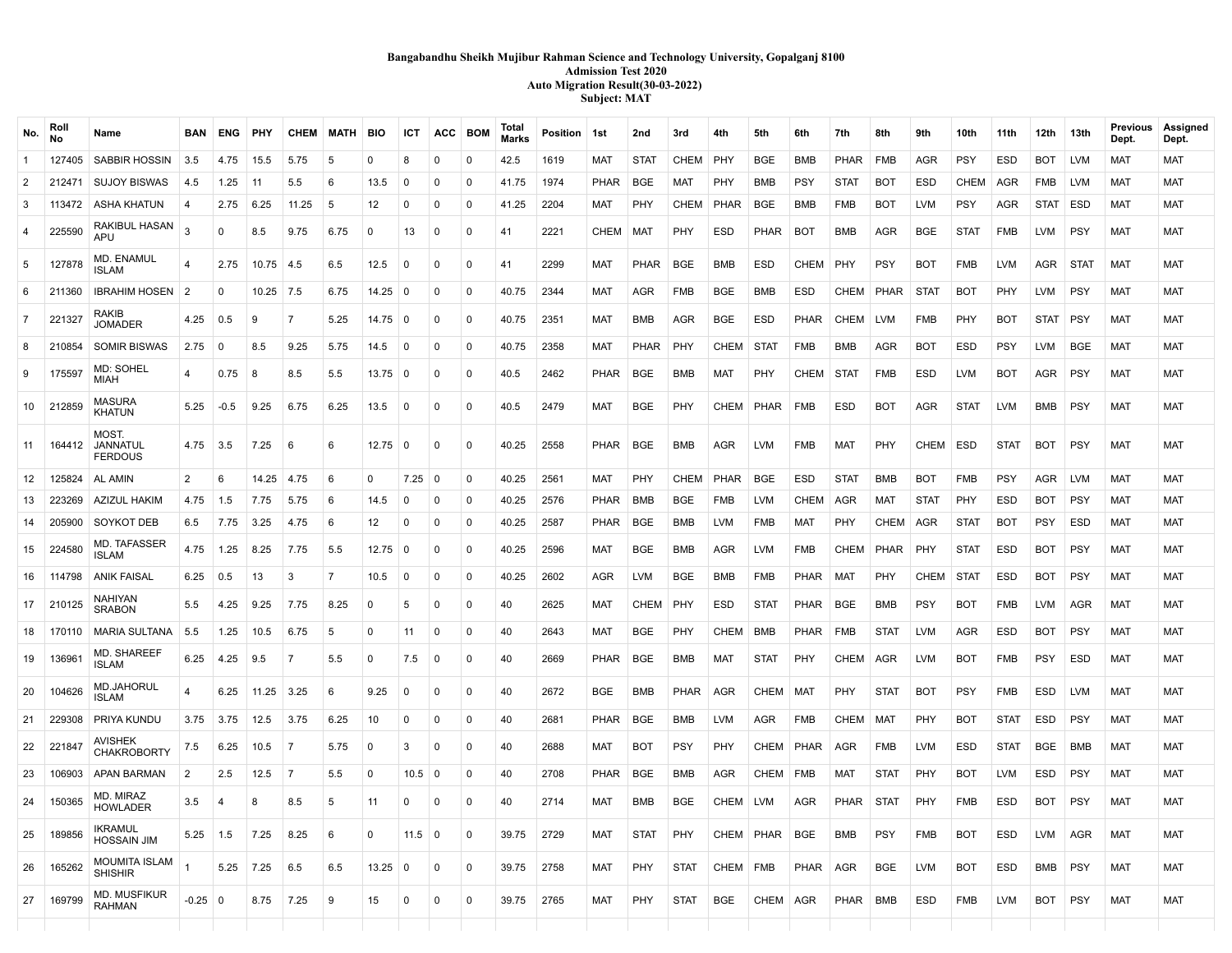# **Bangabandhu Sheikh Mujibur Rahman Science and Technology University, Gopalganj 8100 Admission Test 2020 Auto Migration Result(30-03-2022) Subject: MAT**

| No.            | Roll<br>No | Name                                   | <b>BAN</b>     | <b>ENG</b>     | PHY   | <b>CHEM</b>    | <b>MATH</b>    | <b>BIO</b> | ICT            | ACC          | <b>BOM</b>     | Total<br>Marks | Position | 1st         | 2nd         | 3rd         | 4th         | 5th         | 6th         | 7th         | 8th         | 9th         | 10th        | 11th        | 12th        | 13th        | Previous<br>Dept. | Assigned<br>Dept. |
|----------------|------------|----------------------------------------|----------------|----------------|-------|----------------|----------------|------------|----------------|--------------|----------------|----------------|----------|-------------|-------------|-------------|-------------|-------------|-------------|-------------|-------------|-------------|-------------|-------------|-------------|-------------|-------------------|-------------------|
| -1             | 127405     | SABBIR HOSSIN                          | 3.5            | 4.75           | 15.5  | 5.75           | -5             | $\Omega$   | 8              | $\mathbf{0}$ | $\mathbf{0}$   | 42.5           | 1619     | <b>MAT</b>  | <b>STAT</b> | <b>CHEM</b> | <b>PHY</b>  | <b>BGE</b>  | <b>BMB</b>  | <b>PHAR</b> | <b>FMB</b>  | <b>AGR</b>  | PSY         | <b>ESD</b>  | <b>BOT</b>  | <b>LVM</b>  | <b>MAT</b>        | <b>MAT</b>        |
| $\overline{2}$ | 212471     | <b>SUJOY BISWAS</b>                    | 4.5            | 1.25           | 11    | 5.5            | -6             | 13.5       | $\Omega$       | $\Omega$     | 0              | 41.75          | 1974     | PHAR        | <b>BGE</b>  | MAT         | PHY         | BMB         | PSY         | <b>STAT</b> | <b>BOT</b>  | <b>ESD</b>  | <b>CHEM</b> | AGR         | FMB         | <b>LVM</b>  | <b>MAT</b>        | MAT               |
| 3              | 113472     | ASHA KHATUN                            | 4              | 2.75           | 6.25  | 11.25          | 5              | 12         | 0              | 0            | 0              | 41.25          | 2204     | MAT         | PHY         | <b>CHEM</b> | PHAR        | BGE         | <b>BMB</b>  | <b>FMB</b>  | <b>BOT</b>  | LVM         | PSY         | AGR         | <b>STAT</b> | ESD         | <b>MAT</b>        | MAT               |
| 4              | 225590     | RAKIBUL HASAN<br>APU                   | $\mathcal{R}$  | 0              | 8.5   | 9.75           | 6.75           | $\Omega$   | 13             | $\mathbf{0}$ | $\overline{0}$ | 41             | 2221     | CHEM        | <b>MAT</b>  | PHY         | <b>ESD</b>  | <b>PHAR</b> | <b>BOT</b>  | <b>BMB</b>  | <b>AGR</b>  | <b>BGE</b>  | <b>STAT</b> | <b>FMB</b>  | <b>LVM</b>  | PSY         | <b>MAT</b>        | <b>MAT</b>        |
| 5              | 127878     | MD. ENAMUL<br><b>ISLAM</b>             | 4              | 2.75           | 10.75 | 4.5            | 6.5            | 12.5       | $\Omega$       | $\mathbf 0$  | $\Omega$       | 41             | 2299     | <b>MAT</b>  | PHAR        | <b>BGE</b>  | <b>BMB</b>  | <b>ESD</b>  | <b>CHEM</b> | PHY         | <b>PSY</b>  | <b>BOT</b>  | <b>FMB</b>  | <b>LVM</b>  | AGR         | <b>STAT</b> | <b>MAT</b>        | <b>MAT</b>        |
| 6              | 211360     | <b>IBRAHIM HOSEN</b>                   | $\mathcal{P}$  | $\Omega$       | 10.25 | 7.5            | 6.75           | 14.25      | - 0            | $\Omega$     | 0              | 40.75          | 2344     | MAT         | AGR         | <b>FMB</b>  | <b>BGE</b>  | BMB         | ESD         | CHEM        | PHAR        | <b>STAT</b> | BOT         | PHY         | LVM         | <b>PSY</b>  | <b>MAT</b>        | MAT               |
| $\overline{7}$ | 221327     | RAKIB<br><b>JOMADER</b>                | 4.25           | 0.5            | 9     | $\overline{7}$ | 5.25           | 14.75      | $\Omega$       | $\mathbf 0$  | $\mathbf 0$    | 40.75          | 2351     | <b>MAT</b>  | <b>BMB</b>  | <b>AGR</b>  | <b>BGE</b>  | <b>ESD</b>  | PHAR        | CHEM        | <b>LVM</b>  | <b>FMB</b>  | PHY         | <b>BOT</b>  | <b>STAT</b> | PSY         | <b>MAT</b>        | <b>MAT</b>        |
| 8              | 210854     | <b>SOMIR BISWAS</b>                    | 2.75           | $\Omega$       | 8.5   | 9.25           | 5.75           | 14.5       | 0              | $\mathbf 0$  | $\mathbf 0$    | 40.75          | 2358     | <b>MAT</b>  | <b>PHAR</b> | PHY         | <b>CHEM</b> | STAT        | <b>FMB</b>  | BMB         | AGR         | <b>BOT</b>  | <b>ESD</b>  | <b>PSY</b>  | LVM         | <b>BGE</b>  | <b>MAT</b>        | <b>MAT</b>        |
| 9              | 175597     | MD: SOHEL<br><b>MIAH</b>               | $\overline{4}$ | 0.75           | 8     | 8.5            | 5.5            | 13.75      | $\mathbf 0$    | $\Omega$     | $\mathbf{0}$   | 40.5           | 2462     | <b>PHAR</b> | <b>BGE</b>  | <b>BMB</b>  | <b>MAT</b>  | PHY         | <b>CHEM</b> | STAT        | <b>FMB</b>  | <b>ESD</b>  | <b>LVM</b>  | <b>BOT</b>  | AGR         | <b>PSY</b>  | <b>MAT</b>        | <b>MAT</b>        |
| 10             | 212859     | <b>MASURA</b><br><b>KHATUN</b>         | 5.25           | $-0.5$         | 9.25  | 6.75           | 6.25           | 13.5       | $\mathbf 0$    | 0            | $\mathbf 0$    | 40.5           | 2479     | <b>MAT</b>  | <b>BGE</b>  | PHY         | CHEM        | PHAR        | <b>FMB</b>  | <b>ESD</b>  | <b>BOT</b>  | <b>AGR</b>  | <b>STAT</b> | <b>LVM</b>  | BMB         | PSY         | <b>MAT</b>        | <b>MAT</b>        |
| 11             | 164412     | MOST.<br>JANNATUL<br><b>FERDOUS</b>    | 4.75           | 3.5            | 7.25  | 6              | 6              | 12.75      | $\overline{0}$ | $\mathbf 0$  | $\mathbf 0$    | 40.25          | 2558     | PHAR        | <b>BGE</b>  | <b>BMB</b>  | <b>AGR</b>  | <b>LVM</b>  | <b>FMB</b>  | <b>MAT</b>  | PHY         | <b>CHEM</b> | <b>ESD</b>  | <b>STAT</b> | <b>BOT</b>  | PSY         | <b>MAT</b>        | <b>MAT</b>        |
| 12             | 125824     | AL AMIN                                | 2              | 6              | 14.25 | 4.75           | 6              | $\Omega$   | 7.25           | 0            | $\mathbf 0$    | 40.25          | 2561     | MAT         | PHY         | <b>CHEM</b> | PHAR        | <b>BGE</b>  | <b>ESD</b>  | <b>STAT</b> | <b>BMB</b>  | <b>BOT</b>  | <b>FMB</b>  | <b>PSY</b>  | AGR         | <b>LVM</b>  | <b>MAT</b>        | MAT               |
| 13             | 223269     | <b>AZIZUL HAKIM</b>                    | 4.75           | 1.5            | 7.75  | 5.75           | 6              | 14.5       | $\Omega$       | 0            | $\mathbf 0$    | 40.25          | 2576     | <b>PHAR</b> | <b>BMB</b>  | <b>BGE</b>  | <b>FMB</b>  | <b>LVM</b>  | <b>CHEM</b> | AGR         | MAT         | <b>STAT</b> | PHY         | <b>ESD</b>  | <b>BOT</b>  | PSY         | <b>MAT</b>        | MAT               |
| 14             | 205900     | SOYKOT DEB                             | 6.5            | 7.75           | 3.25  | 4.75           | 6              | 12         | $\mathbf 0$    | $\Omega$     | $\mathbf 0$    | 40.25          | 2587     | <b>PHAR</b> | <b>BGE</b>  | <b>BMB</b>  | <b>LVM</b>  | FMB         | <b>MAT</b>  | <b>PHY</b>  | <b>CHEM</b> | <b>AGR</b>  | <b>STAT</b> | <b>BOT</b>  | PSY         | <b>ESD</b>  | <b>MAT</b>        | MAT               |
| 15             | 224580     | MD. TAFASSER<br><b>ISLAM</b>           | 4.75           | 1.25           | 8.25  | 7.75           | 5.5            | 12.75      | - 0            | $\mathbf 0$  | $\mathbf 0$    | 40.25          | 2596     | MAT         | <b>BGE</b>  | <b>BMB</b>  | AGR         | <b>LVM</b>  | FMB         | CHEM        | PHAR        | <b>PHY</b>  | <b>STAT</b> | <b>ESD</b>  | BOT         | <b>PSY</b>  | <b>MAT</b>        | <b>MAT</b>        |
| 16             | 114798     | <b>ANIK FAISAL</b>                     | 6.25           | 0.5            | 13    | 3              | $\overline{7}$ | 10.5       | $\mathbf 0$    | $\Omega$     | $\mathbf 0$    | 40.25          | 2602     | <b>AGR</b>  | <b>LVM</b>  | <b>BGE</b>  | <b>BMB</b>  | <b>FMB</b>  | <b>PHAR</b> | <b>MAT</b>  | PHY         | <b>CHEM</b> | <b>STAT</b> | <b>ESD</b>  | <b>BOT</b>  | PSY         | <b>MAT</b>        | <b>MAT</b>        |
| 17             | 210125     | <b>NAHIYAN</b><br><b>SRABON</b>        | 5.5            | 4.25           | 9.25  | 7.75           | 8.25           | 0          | -5             | $\Omega$     | $\mathbf{0}$   | 40             | 2625     | <b>MAT</b>  | <b>CHEM</b> | PHY         | <b>ESD</b>  | <b>STAT</b> | <b>PHAR</b> | <b>BGE</b>  | <b>BMB</b>  | <b>PSY</b>  | <b>BOT</b>  | <b>FMB</b>  | <b>LVM</b>  | AGR         | <b>MAT</b>        | MAT               |
| 18             | 170110     | MARIA SULTANA                          | 5.5            | 1.25           | 10.5  | 6.75           | 5              | $\Omega$   | 11             | $\mathbf 0$  | $\mathbf 0$    | 40             | 2643     | <b>MAT</b>  | <b>BGE</b>  | PHY         | <b>CHEM</b> | <b>BMB</b>  | <b>PHAR</b> | <b>FMB</b>  | <b>STAT</b> | <b>LVM</b>  | <b>AGR</b>  | <b>ESD</b>  | <b>BOT</b>  | PSY         | <b>MAT</b>        | <b>MAT</b>        |
| 19             | 136961     | MD. SHAREEF<br><b>ISLAM</b>            | 6.25           | 4.25           | 9.5   | $\overline{7}$ | 5.5            | 0          | 7.5            | 0            | $\mathbf 0$    | 40             | 2669     | <b>PHAR</b> | <b>BGE</b>  | <b>BMB</b>  | <b>MAT</b>  | <b>STAT</b> | PHY         | <b>CHEM</b> | <b>AGR</b>  | <b>LVM</b>  | <b>BOT</b>  | <b>FMB</b>  | <b>PSY</b>  | <b>ESD</b>  | <b>MAT</b>        | <b>MAT</b>        |
| 20             | 104626     | MD.JAHORUL<br><b>ISLAM</b>             | 4              | 6.25           | 11.25 | 3.25           | 6              | 9.25       | 0              | 0            | $\mathbf 0$    | 40             | 2672     | <b>BGE</b>  | BMB         | <b>PHAR</b> | <b>AGR</b>  | CHEM        | <b>MAT</b>  | PHY         | <b>STAT</b> | <b>BOT</b>  | <b>PSY</b>  | <b>FMB</b>  | ESD         | <b>LVM</b>  | <b>MAT</b>        | <b>MAT</b>        |
| 21             | 229308     | PRIYA KUNDU                            | 3.75           | 3.75           | 12.5  | 3.75           | 6.25           | 10         | 0              | $\mathbf 0$  | $\mathbf 0$    | 40             | 2681     | PHAR        | <b>BGE</b>  | <b>BMB</b>  | <b>LVM</b>  | AGR         | <b>FMB</b>  | <b>CHEM</b> | <b>MAT</b>  | PHY         | <b>BOT</b>  | <b>STAT</b> | <b>ESD</b>  | PSY         | <b>MAT</b>        | <b>MAT</b>        |
| 22             | 221847     | AVISHEK<br><b>CHAKROBORTY</b>          | 7.5            | 6.25           | 10.5  | 7              | 5.75           | $\Omega$   | 3              | $\Omega$     | $\Omega$       | 40             | 2688     | MAT         | BOT         | <b>PSY</b>  | PHY         | CHEM        | PHAR        | AGR         | <b>FMB</b>  | <b>LVM</b>  | ESD         | <b>STAT</b> | <b>BGE</b>  | <b>BMB</b>  | MAT               | MAT               |
| 23             | 106903     | APAN BARMAN                            | $\overline{2}$ | 2.5            | 12.5  | $\overline{7}$ | 5.5            | $\Omega$   | 10.5           | 0            | $\mathbf 0$    | 40             | 2708     | <b>PHAR</b> | <b>BGE</b>  | <b>BMB</b>  | AGR         | <b>CHEM</b> | <b>FMB</b>  | MAT         | <b>STAT</b> | PHY         | <b>BOT</b>  | <b>LVM</b>  | ESD         | <b>PSY</b>  | <b>MAT</b>        | MAT               |
| 24             | 150365     | MD. MIRAZ<br><b>HOWLADER</b>           | 3.5            | $\overline{4}$ | 8     | 8.5            | -5             | 11         | $\Omega$       | 0            | $\Omega$       | 40             | 2714     | <b>MAT</b>  | BMB         | <b>BGE</b>  | CHEM        | LVM         | AGR         | PHAR        | <b>STAT</b> | PHY         | FMB         | <b>ESD</b>  | BOT         | <b>PSY</b>  | <b>MAT</b>        | MAT               |
| 25             | 189856     | <b>IKRAMUL</b><br><b>HOSSAIN JIM</b>   | 5.25           | 1.5            | 7.25  | 8.25           | -6             | $\Omega$   | 11.5           | 0            | $\mathbf{0}$   | 39.75          | 2729     | <b>MAT</b>  | <b>STAT</b> | PHY         | CHEM        | PHAR        | <b>BGE</b>  | <b>BMB</b>  | <b>PSY</b>  | <b>FMB</b>  | <b>BOT</b>  | <b>ESD</b>  | <b>LVM</b>  | <b>AGR</b>  | <b>MAT</b>        | <b>MAT</b>        |
| 26             | 165262     | <b>MOUMITA ISLAM</b><br><b>SHISHIR</b> |                | 5.25           | 7.25  | 6.5            | 6.5            | 13.25      | $\mathbf 0$    | $\mathbf 0$  | $\mathbf 0$    | 39.75          | 2758     | <b>MAT</b>  | PHY         | <b>STAT</b> | CHEM        | <b>FMB</b>  | <b>PHAR</b> | <b>AGR</b>  | <b>BGE</b>  | <b>LVM</b>  | <b>BOT</b>  | <b>ESD</b>  | <b>BMB</b>  | PSY         | <b>MAT</b>        | <b>MAT</b>        |
| 27             | 169799     | <b>MD. MUSFIKUR</b><br>RAHMAN          | $-0.25$ 0      |                | 8.75  | 7.25           | 9              | 15         | $\mathbf 0$    | $\mathbf{0}$ | $\overline{0}$ | 39.75          | 2765     | <b>MAT</b>  | PHY         | <b>STAT</b> | <b>BGE</b>  | CHEM        | <b>AGR</b>  | PHAR        | BMB         | <b>ESD</b>  | FMB         | <b>LVM</b>  | <b>BOT</b>  | PSY         | <b>MAT</b>        | <b>MAT</b>        |
|                |            |                                        |                |                |       |                |                |            |                |              |                |                |          |             |             |             |             |             |             |             |             |             |             |             |             |             |                   |                   |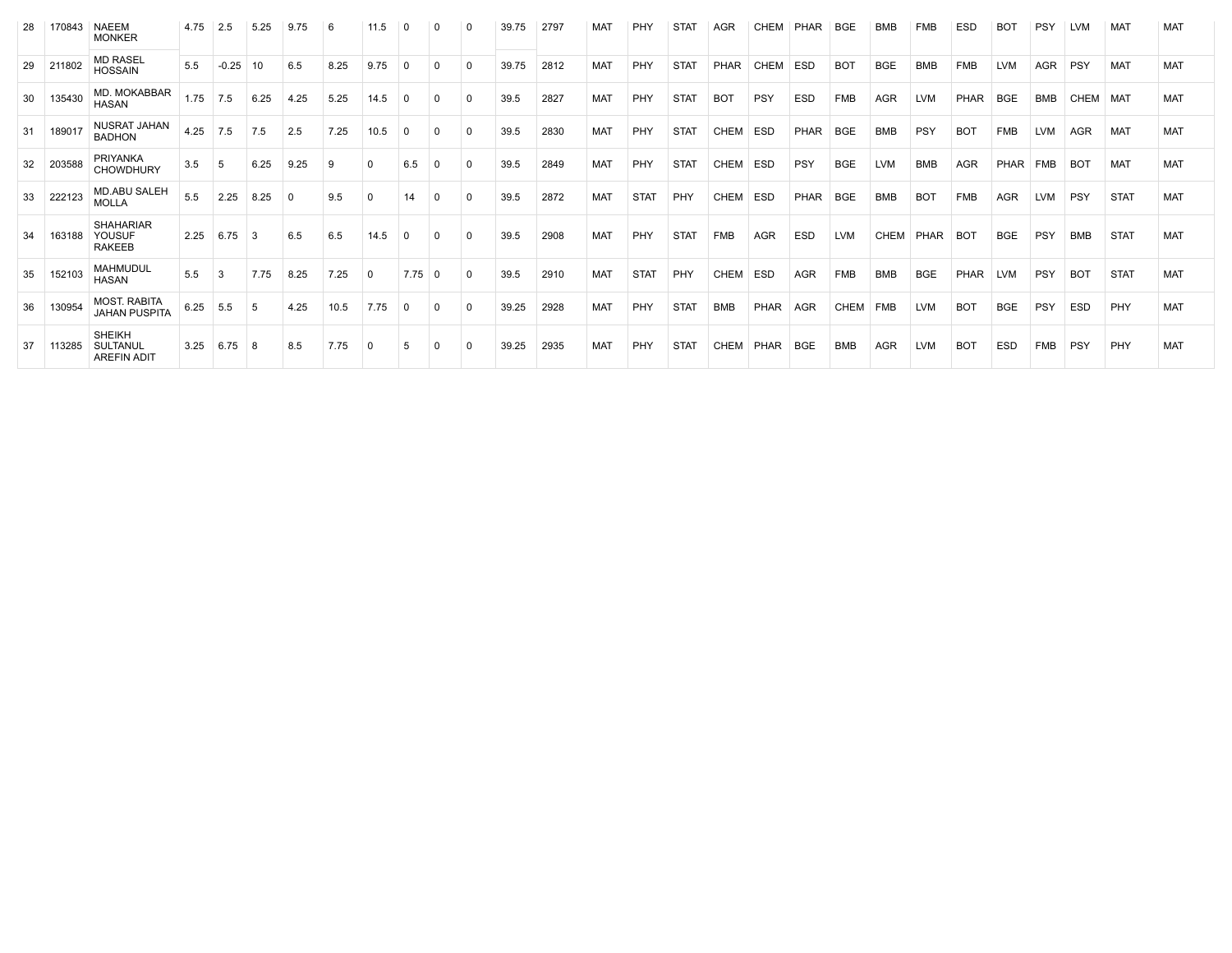| 28 | 170843 | <b>NAEEM</b><br><b>MONKER</b>                   | 4.75 | 2.5     | 5.25 | 9.75        | -6   | 11.5     |                  |              |          | 39.75 | 2797 | MAT        | PHY         | STAT        | AGR         | <b>CHEM</b> | PHAR        | BGE        | BMB        | FMB        | <b>ESD</b> | BO1         | <b>PSY</b> | <b>LVM</b> | MAT         | MAT        |
|----|--------|-------------------------------------------------|------|---------|------|-------------|------|----------|------------------|--------------|----------|-------|------|------------|-------------|-------------|-------------|-------------|-------------|------------|------------|------------|------------|-------------|------------|------------|-------------|------------|
| 29 | 211802 | <b>MD RASEL</b><br><b>HOSSAIN</b>               | 5.5  | $-0.25$ | 10   | 6.5         | 8.25 | 9.75     | 0                | $\Omega$     | $\Omega$ | 39.75 | 2812 | <b>MAT</b> | PHY         | <b>STAT</b> | PHAR        | <b>CHEM</b> | ESD         | <b>BOT</b> | <b>BGE</b> | <b>BMB</b> | <b>FMB</b> | <b>LVM</b>  | <b>AGR</b> | PSY        | <b>MAT</b>  | <b>MAT</b> |
| 30 | 135430 | MD. MOKABBAR<br><b>HASAN</b>                    | 1.75 | 7.5     | 6.25 | 4.25        | 5.25 | 14.5     |                  | $\Omega$     |          | 39.5  | 2827 | <b>MAT</b> | PHY         | <b>STAT</b> | <b>BOT</b>  | PSY         | <b>ESD</b>  | <b>FMB</b> | <b>AGR</b> | <b>LVM</b> | PHAR       | <b>BGE</b>  | BMB        | CHEM       | MAT         | <b>MAT</b> |
| 31 | 189017 | NUSRAT JAHAN<br><b>BADHON</b>                   | 4.25 | 7.5     | 7.5  | 2.5         | 7.25 | 10.5     | $\Omega$         | 0            |          | 39.5  | 2830 | <b>MAT</b> | PHY         | <b>STAT</b> | <b>CHEM</b> | <b>ESD</b>  | <b>PHAR</b> | <b>BGE</b> | <b>BMB</b> | PSY        | <b>BOT</b> | <b>FMB</b>  | <b>LVM</b> | <b>AGR</b> | MAT         | <b>MAT</b> |
| 32 | 203588 | <b>PRIYANKA</b><br><b>CHOWDHURY</b>             | 3.5  | -5      | 6.25 | 9.25        | -9   | $\Omega$ | 6.5              | $\Omega$     |          | 39.5  | 2849 | <b>MAT</b> | PHY         | <b>STAT</b> | CHEM        | <b>ESD</b>  | PSY         | <b>BGE</b> | <b>LVM</b> | <b>BMB</b> | <b>AGR</b> | <b>PHAR</b> | <b>FMB</b> | <b>BOT</b> | MAT         | <b>MAT</b> |
| 33 | 222123 | <b>MD.ABU SALEH</b><br><b>MOLLA</b>             | 5.5  | 2.25    | 8.25 | $\mathbf 0$ | 9.5  | 0        | 14               | $\mathbf 0$  |          | 39.5  | 2872 | <b>MAT</b> | <b>STAT</b> | PHY         | CHEM        | <b>ESD</b>  | PHAR        | <b>BGE</b> | <b>BMB</b> | <b>BOT</b> | <b>FMB</b> | <b>AGR</b>  | <b>LVM</b> | PSY        | <b>STAT</b> | <b>MAT</b> |
| 34 | 163188 | <b>SHAHARIAR</b><br>YOUSUF<br><b>RAKEEB</b>     | 2.25 | 6.75    | -3   | 6.5         | 6.5  | 14.5     | $\Omega$         | $\mathbf{0}$ |          | 39.5  | 2908 | <b>MAT</b> | PHY         | <b>STAT</b> | <b>FMB</b>  | <b>AGR</b>  | <b>ESD</b>  | <b>LVM</b> | CHEM       | PHAR       | <b>BOT</b> | <b>BGE</b>  | PSY        | <b>BMB</b> | <b>STAT</b> | <b>MAT</b> |
| 35 | 152103 | <b>MAHMUDUL</b><br><b>HASAN</b>                 | 5.5  | -3      | 7.75 | 8.25        | 7.25 | $\Omega$ | $7.75 \,   \, 0$ |              | $\Omega$ | 39.5  | 2910 | <b>MAT</b> | <b>STAT</b> | PHY         | <b>CHEM</b> | <b>ESD</b>  | <b>AGR</b>  | <b>FMB</b> | <b>BMB</b> | <b>BGE</b> | PHAR       | <b>LVM</b>  | PSY        | <b>BOT</b> | <b>STAT</b> | <b>MAT</b> |
| 36 | 130954 | <b>MOST. RABITA</b><br><b>JAHAN PUSPITA</b>     | 6.25 | 5.5     | .5   | 4.25        | 10.5 | 7.75     | $\Omega$         | $\Omega$     |          | 39.25 | 2928 | <b>MAT</b> | PHY         | <b>STAT</b> | <b>BMB</b>  | PHAR        | <b>AGR</b>  | CHEM       | <b>FMB</b> | <b>LVM</b> | <b>BOT</b> | <b>BGE</b>  | PSY        | ESD        | PHY         | <b>MAT</b> |
| 37 | 113285 | <b>SHEIKH</b><br>SULTANUL<br><b>AREFIN ADIT</b> | 3.25 | 6.75    | -8   | 8.5         | 7.75 | $\Omega$ |                  |              |          | 39.25 | 2935 | <b>MAT</b> | PHY         | <b>STAT</b> | CHEM        | PHAR        | <b>BGE</b>  | <b>BMB</b> | <b>AGR</b> | <b>LVM</b> | <b>BOT</b> | <b>ESD</b>  | <b>FMB</b> | <b>PSY</b> | PHY         | MAT        |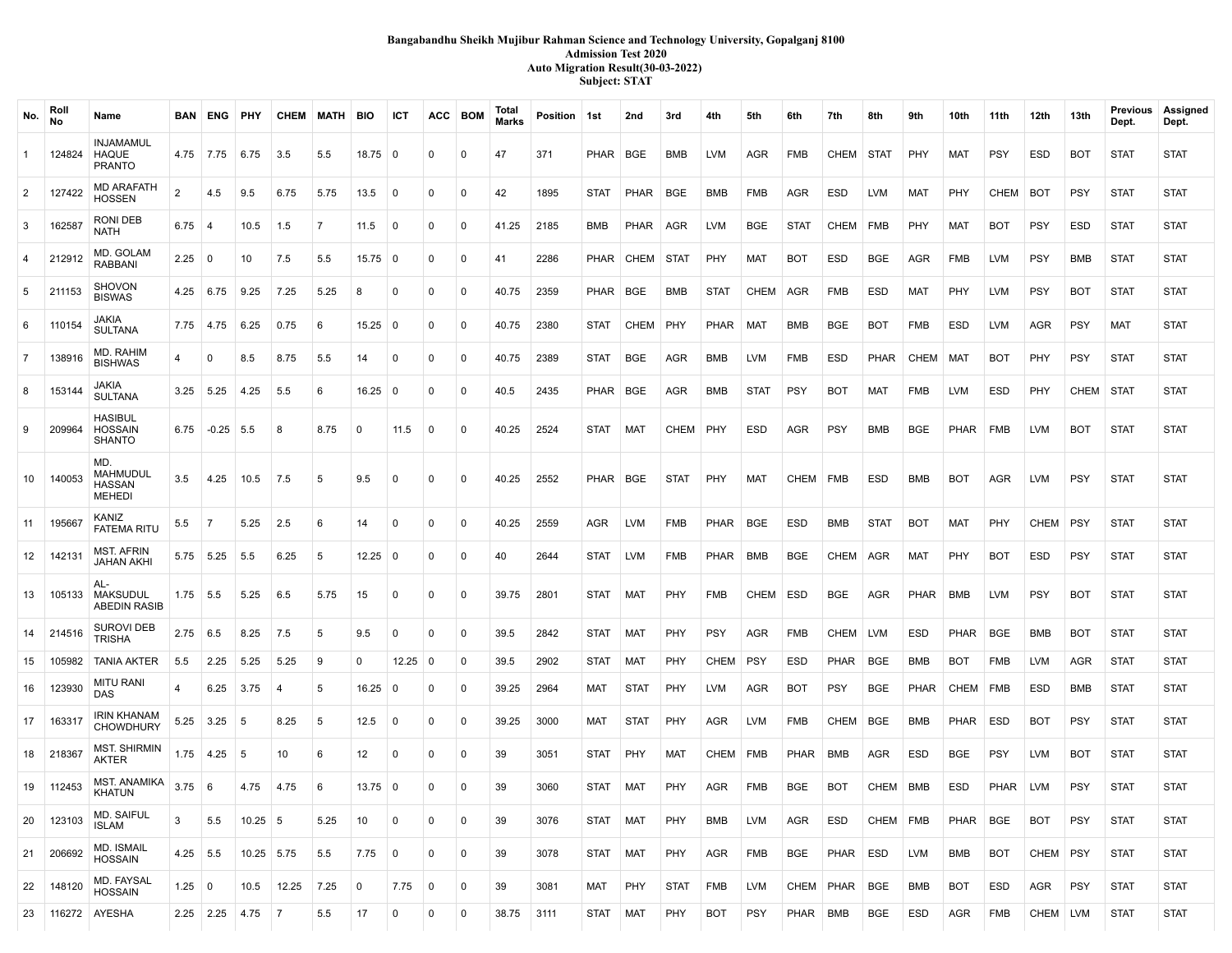### **Bangabandhu Sheikh Mujibur Rahman Science and Technology University, Gopalganj 8100 Admission Test 2020 Auto Migration Result(30-03-2022) Subject: STAT**

| No.            | Roll<br>No | Name                                              |                  | <b>BAN ENG PHY</b> |              |           | CHEM MATH BIO |                   | ICT            |                | ACC BOM      | Total<br><b>Marks</b> | Position 1st |             | 2nd         | 3rd         | 4th         | 5th         | 6th         | 7th           | 8th         | 9th         | 10th       | 11th       | 12th       | 13th       | Previous<br>Dept. | Assigned<br>Dept. |
|----------------|------------|---------------------------------------------------|------------------|--------------------|--------------|-----------|---------------|-------------------|----------------|----------------|--------------|-----------------------|--------------|-------------|-------------|-------------|-------------|-------------|-------------|---------------|-------------|-------------|------------|------------|------------|------------|-------------------|-------------------|
| 1              | 124824     | INJAMAMUL<br>HAQUE<br><b>PRANTO</b>               |                  | 4.75 7.75          | 6.75         | 3.5       | 5.5           | $18.75$ 0         |                | $\mathbf{0}$   | $\mathbf{0}$ | 47                    | 371          | PHAR BGE    |             | BMB         | LVM         | AGR         | FMB         | CHEM          | STAT        | PHY         | MAT        | <b>PSY</b> | ESD        | <b>BOT</b> | <b>STAT</b>       | <b>STAT</b>       |
| $\overline{2}$ | 127422     | <b>MD ARAFATH</b><br>HOSSEN                       | 2                | 4.5                | 9.5          | 6.75      | 5.75          | 13.5              | $\overline{0}$ | $\mathbf{0}$   | 0            | 42                    | 1895         | <b>STAT</b> | PHAR        | BGE         | BMB         | FMB         | AGR         | ESD           | LVM         | MAT         | PHY        | CHEM       | <b>BOT</b> | <b>PSY</b> | <b>STAT</b>       | <b>STAT</b>       |
| 3              | 162587     | RONI DEB<br>NATH                                  | $6.75 \pm 4$     |                    | 10.5         | 1.5       | 7             | 11.5              | $\mathbf 0$    | $\Omega$       | $\Omega$     | 41.25                 | 2185         | BMB         | PHAR        | AGR         | LVM         | BGE         | <b>STAT</b> | CHEM          | <b>FMB</b>  | PHY         | MAT        | <b>BOT</b> | <b>PSY</b> | <b>ESD</b> | <b>STAT</b>       | <b>STAT</b>       |
| 4              | 212912     | MD. GOLAM<br><b>RABBANI</b>                       | $2.25 \ 0$       |                    | 10           | 7.5       | 5.5           | $15.75 \mid 0$    |                | $\Omega$       | $^{\circ}$   | 41                    | 2286         |             | PHAR CHEM   | <b>STAT</b> | PHY         | MAT         | <b>BOT</b>  | <b>ESD</b>    | <b>BGE</b>  | <b>AGR</b>  | <b>FMB</b> | <b>LVM</b> | <b>PSY</b> | BMB        | <b>STAT</b>       | <b>STAT</b>       |
| 5              | 211153     | <b>SHOVON</b><br><b>BISWAS</b>                    |                  | $4.25 \pm 6.75$    | 9.25         | 7.25      | 5.25          | 8                 | $\Omega$       | $\mathbf{0}$   | $^{\circ}$   | 40.75                 | 2359         | PHAR BGE    |             | <b>BMB</b>  | <b>STAT</b> | CHEM        | AGR         | <b>FMB</b>    | ESD         | MAT         | PHY        | <b>LVM</b> | <b>PSY</b> | <b>BOT</b> | <b>STAT</b>       | <b>STAT</b>       |
| 6              | 110154     | JAKIA<br><b>SULTANA</b>                           |                  | $7.75$ 4.75        | 6.25         | 0.75      | 6             | $15.25 \,   \, 0$ |                | $\Omega$       | $^{\circ}$   | 40.75                 | 2380         | <b>STAT</b> | CHEM        | <b>PHY</b>  | PHAR        | MAT         | BMB         | <b>BGE</b>    | <b>BOT</b>  | <b>FMB</b>  | ESD        | LVM        | AGR        | <b>PSY</b> | MAT               | <b>STAT</b>       |
| $\overline{7}$ | 138916     | MD. RAHIM<br><b>BISHWAS</b>                       | 4                | $\Omega$           | 8.5          | 8.75      | 5.5           | 14                | $\Omega$       | $\Omega$       | $\mathbf{0}$ | 40.75                 | 2389         | <b>STAT</b> | BGE         | AGR         | BMB         | LVM         | <b>FMB</b>  | ESD           | <b>PHAR</b> | CHEM        | MAT        | <b>BOT</b> | PHY        | <b>PSY</b> | <b>STAT</b>       | <b>STAT</b>       |
| 8              | 153144     | JAKIA<br><b>SULTANA</b>                           |                  | $3.25$ 5.25        | 4.25         | 5.5       | 6             | $16.25 \mid 0$    |                | $\Omega$       | $^{\circ}$   | 40.5                  | 2435         | PHAR   BGE  |             | AGR         | BMB         | <b>STAT</b> | <b>PSY</b>  | <b>BOT</b>    | <b>MAT</b>  | <b>FMB</b>  | <b>LVM</b> | ESD        | PHY        | CHEM       | <b>STAT</b>       | <b>STAT</b>       |
| 9              | 209964     | <b>HASIBUL</b><br><b>HOSSAIN</b><br><b>SHANTO</b> |                  | $6.75$ -0.25 5.5   |              | 8         | 8.75          | $\mathbf 0$       | 11.5           | $\mathbf 0$    | $\mathbf{0}$ | 40.25                 | 2524         | <b>STAT</b> | MAT         | CHEM PHY    |             | ESD         | AGR         | <b>PSY</b>    | <b>BMB</b>  | BGE         | PHAR       | FMB        | <b>LVM</b> | <b>BOT</b> | <b>STAT</b>       | <b>STAT</b>       |
| 10             | 140053     | MD.<br>MAHMUDUL<br>HASSAN<br><b>MEHEDI</b>        | 3.5              | 4.25               | 10.5         | 7.5       | 5             | 9.5               | $\Omega$       | $\Omega$       | 0            | 40.25                 | 2552         | PHAR   BGE  |             | <b>STAT</b> | PHY         | <b>MAT</b>  | CHEM   FMB  |               | ESD         | BMB         | <b>BOT</b> | <b>AGR</b> | <b>LVM</b> | <b>PSY</b> | <b>STAT</b>       | <b>STAT</b>       |
| 11             | 195667     | KANIZ<br><b>FATEMA RITU</b>                       | 5.5              | $\vert$ 7          | 5.25         | 2.5       | 6             | 14                | $\mathbf 0$    | $\Omega$       | $\mathbf{0}$ | 40.25                 | 2559         | AGR         | LVM         | FMB         | PHAR        | BGE         | <b>ESD</b>  | BMB           | <b>STAT</b> | <b>BOT</b>  | <b>MAT</b> | PHY        | CHEM   PSY |            | <b>STAT</b>       | <b>STAT</b>       |
| 12             | 142131     | <b>MST. AFRIN</b><br>JAHAN AKHI                   |                  | 5.75 5.25          | 5.5          | 6.25      | 5             | $12.25 \mid 0$    |                | $\mathbf{0}$   | 0            | 40                    | 2644         | <b>STAT</b> | LVM         | <b>FMB</b>  | PHAR        | BMB         | BGE         | CHEM          | AGR         | MAT         | PHY        | <b>BOT</b> | ESD        | <b>PSY</b> | <b>STAT</b>       | <b>STAT</b>       |
| 13             | 105133     | AL-<br><b>MAKSUDUL</b><br><b>ABEDIN RASIB</b>     |                  | $1.75$ 5.5         | 5.25         | 6.5       | 5.75          | 15                | $\mathbf 0$    | $\Omega$       | $\mathbf 0$  | 39.75                 | 2801         | <b>STAT</b> | MAT         | <b>PHY</b>  | FMB         | CHEM        | ESD         | <b>BGE</b>    | <b>AGR</b>  | <b>PHAR</b> | BMB        | <b>LVM</b> | <b>PSY</b> | <b>BOT</b> | <b>STAT</b>       | <b>STAT</b>       |
| 14             | 214516     | <b>SUROVI DEB</b><br><b>TRISHA</b>                |                  | $2.75 \t6.5$       | 8.25         | 7.5       | 5             | 9.5               | $\Omega$       | $\Omega$       | $^{\circ}$   | 39.5                  | 2842         | <b>STAT</b> | MAT         | <b>PHY</b>  | <b>PSY</b>  | AGR         | <b>FMB</b>  | CHEM LVM      |             | ESD         | PHAR       | <b>BGE</b> | BMB        | <b>BOT</b> | <b>STAT</b>       | <b>STAT</b>       |
| 15             | 105982     | <b>TANIA AKTER</b>                                | 5.5              | 2.25               | 5.25         | 5.25      | 9             | $\mathbf 0$       | $12.25 \mid 0$ |                | 0            | 39.5                  | 2902         | <b>STAT</b> | MAT         | PHY         | CHEM        | <b>PSY</b>  | ESD         | PHAR          | BGE         | <b>BMB</b>  | <b>BOT</b> | <b>FMB</b> | <b>LVM</b> | AGR        | <b>STAT</b>       | <b>STAT</b>       |
| 16             | 123930     | <b>MITU RANI</b><br>DAS                           | 4                | 6.25               | 3.75         | 4         | 5             | $16.25 \,   \, 0$ |                | $\Omega$       | $^{\circ}$   | 39.25                 | 2964         | MAT         | <b>STAT</b> | <b>PHY</b>  | LVM         | AGR         | BOT         | <b>PSY</b>    | <b>BGE</b>  | PHAR        | CHEM       | <b>FMB</b> | <b>ESD</b> | BMB        | <b>STAT</b>       | <b>STAT</b>       |
| 17             | 163317     | <b>IRIN KHANAM</b><br><b>CHOWDHURY</b>            |                  | 5.25 3.25          | 5            | 8.25      | 5             | 12.5              | $\mathbf 0$    | $\mathbf{0}$   | $^{\circ}$   | 39.25                 | 3000         | MAT         | <b>STAT</b> | PHY         | AGR         | LVM         | FMB         | CHEM          | <b>BGE</b>  | BMB         | PHAR       | ESD        | <b>BOT</b> | <b>PSY</b> | <b>STAT</b>       | <b>STAT</b>       |
| 18             | 218367     | <b>MST. SHIRMIN</b><br>AKTER                      |                  | $1.75$ 4.25        | 5            | 10        | 6             | 12                | $\mathbf 0$    | $\Omega$       | $^{\circ}$   | 39                    | 3051         | <b>STAT</b> | PHY         | MAT         | CHEM   FMB  |             | PHAR        | BMB           | AGR         | ESD         | BGE        | <b>PSY</b> | <b>LVM</b> | <b>BOT</b> | <b>STAT</b>       | <b>STAT</b>       |
| 19             | 112453     | <b>MST. ANAMIKA</b><br><b>KHATUN</b>              | $3.75 \;   \; 6$ |                    | 4.75         | 4.75      | -6            | $13.75 \mid 0$    |                | $\Omega$       | 0            | 39                    | 3060         | STAT        | MAT         | PHY         | AGR         | FMB         | BGE         | <b>BOT</b>    | CHEM   BMB  |             | ESD        | PHAR       | LVM        | <b>PSY</b> | <b>STAT</b>       | <b>STAT</b>       |
| 20             | 123103     | MD. SAIFUL<br>ISLAM                               | 3                | 5.5                | $10.25$ 5    |           | 5.25          | 10                | $\mathbf 0$    | $\mathbf 0$    | $\mathbf 0$  | 39                    | 3076         | STAT        | ∣ MAT       | PHY         | BMB         | LVM         | AGR         | ESD           | CHEM   FMB  |             | PHAR       | BGE        | <b>BOT</b> | <b>PSY</b> | <b>STAT</b>       | <b>STAT</b>       |
| 21             | 206692     | MD. ISMAIL<br><b>HOSSAIN</b>                      | $4.25$ 5.5       |                    | $10.25$ 5.75 |           | 5.5           | 7.75              | 0              | 0              | $\mathbf 0$  | 39                    | 3078         | <b>STAT</b> | MAT         | PHY         | AGR         | FMB         | BGE         | PHAR          | ESD         | <b>LVM</b>  | BMB        | <b>BOT</b> | CHEM PSY   |            | <b>STAT</b>       | <b>STAT</b>       |
| 22             | 148120     | MD. FAYSAL<br><b>HOSSAIN</b>                      | $1.25 \ 0$       |                    | 10.5         | 12.25     | 7.25          | $\mathbf 0$       | 7.75           | $\overline{0}$ | $\mathbf 0$  | 39                    | 3081         | MAT         | PHY         | <b>STAT</b> | FMB         | LVM         |             | CHEM PHAR BGE |             | BMB         | <b>BOT</b> | ESD        | AGR        | <b>PSY</b> | <b>STAT</b>       | <b>STAT</b>       |
| 23             | 116272     | AYESHA                                            |                  | $2.25$ 2.25        | 4.75         | $\vert$ 7 | $5.5$         | 17                | 0              | 0              | 0            | 38.75                 | 3111         | <b>STAT</b> | MAT         | PHY         | <b>BOT</b>  | PSY         | PHAR BMB    |               | <b>BGE</b>  | ESD         | AGR        | FMB        | CHEM LVM   |            | <b>STAT</b>       | <b>STAT</b>       |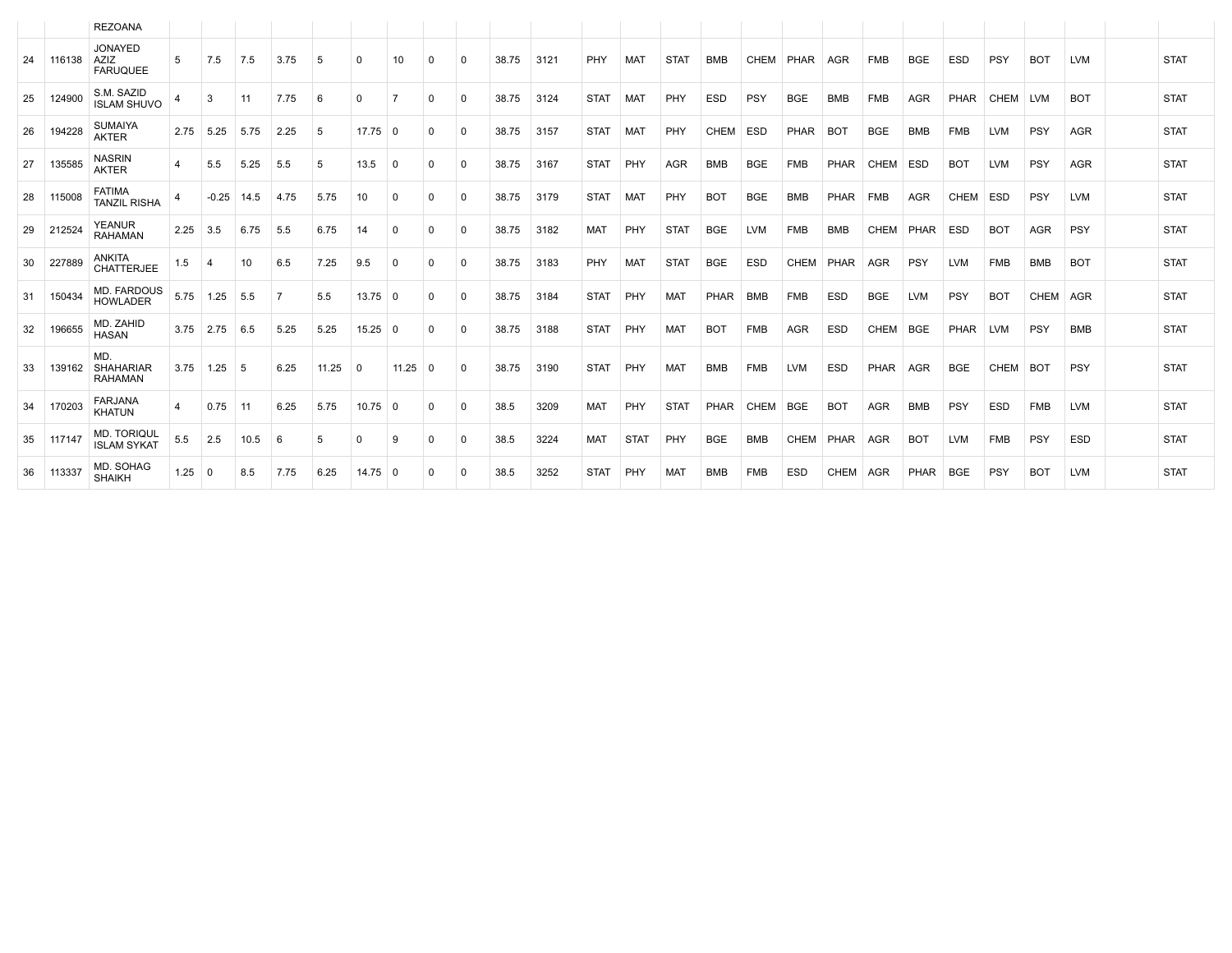|    |        | <b>REZOANA</b>                            |            |                     |            |      |       |             |                |              |             |       |      |             |             |             |            |             |             |            |            |             |             |            |            |            |             |
|----|--------|-------------------------------------------|------------|---------------------|------------|------|-------|-------------|----------------|--------------|-------------|-------|------|-------------|-------------|-------------|------------|-------------|-------------|------------|------------|-------------|-------------|------------|------------|------------|-------------|
| 24 | 116138 | <b>JONAYED</b><br>AZIZ<br><b>FARUQUEE</b> | 5          | 7.5                 | 7.5        | 3.75 | 5     | $\Omega$    | 10             | $\mathbf{0}$ | $\mathbf 0$ | 38.75 | 3121 | <b>PHY</b>  | MAT         | <b>STAT</b> | <b>BMB</b> | CHEM        | PHAR AGR    |            | <b>FMB</b> | <b>BGE</b>  | ESD         | <b>PSY</b> | <b>BOT</b> | LVM        | <b>STAT</b> |
| 25 | 124900 | S.M. SAZID<br><b>ISLAM SHUVO</b>          |            | 3                   | 11         | 7.75 | 6     | $\Omega$    | $\overline{7}$ | $\Omega$     | $\Omega$    | 38.75 | 3124 | <b>STAT</b> | MAT         | PHY         | <b>ESD</b> | PSY         | <b>BGE</b>  | <b>BMB</b> | <b>FMB</b> | <b>AGR</b>  | <b>PHAR</b> | CHEM LVM   |            | <b>BOT</b> | <b>STAT</b> |
| 26 | 194228 | <b>SUMAIYA</b><br><b>AKTER</b>            | 2.75       | 5.25                | 5.75       | 2.25 | 5     | $17.75$ 0   |                | 0            | $\Omega$    | 38.75 | 3157 | <b>STAT</b> | MAT         | <b>PHY</b>  | CHEM       | ESD         | <b>PHAR</b> | <b>BOT</b> | <b>BGE</b> | <b>BMB</b>  | <b>FMB</b>  | LVM        | <b>PSY</b> | AGR        | <b>STAT</b> |
| 27 | 135585 | <b>NASRIN</b><br><b>AKTER</b>             | 4          | 5.5                 | 5.25       | 5.5  | 5     | 13.5        | $^{\circ}$     | 0            | $\Omega$    | 38.75 | 3167 | <b>STAT</b> | PHY         | <b>AGR</b>  | <b>BMB</b> | <b>BGE</b>  | <b>FMB</b>  | PHAR       | CHEM       | <b>ESD</b>  | <b>BOT</b>  | <b>LVM</b> | <b>PSY</b> | AGR        | <b>STAT</b> |
| 28 | 115008 | <b>FATIMA</b><br><b>TANZIL RISHA</b>      | 4          | $-0.25$ 14.5        |            | 4.75 | 5.75  | 10          | $\mathbf{0}$   | 0            | $\Omega$    | 38.75 | 3179 | <b>STAT</b> | MAT         | PHY         | <b>BOT</b> | <b>BGE</b>  | <b>BMB</b>  | PHAR       | <b>FMB</b> | <b>AGR</b>  | CHEM ESD    |            | <b>PSY</b> | LVM        | <b>STAT</b> |
| 29 | 212524 | <b>YEANUR</b><br><b>RAHAMAN</b>           | 2.25       | 3.5                 | 6.75       | 5.5  | 6.75  | 14          | $\Omega$       | 0            | $\Omega$    | 38.75 | 3182 | <b>MAT</b>  | PHY         | <b>STAT</b> | <b>BGE</b> | <b>LVM</b>  | <b>FMB</b>  | <b>BMB</b> | CHEM       | PHAR        | ESD         | <b>BOT</b> | <b>AGR</b> | <b>PSY</b> | <b>STAT</b> |
| 30 | 227889 | <b>ANKITA</b><br><b>CHATTERJEE</b>        | 1.5        | 4                   | 10         | 6.5  | 7.25  | 9.5         | $\mathbf 0$    | $\Omega$     | $\Omega$    | 38.75 | 3183 | PHY         | MAT         | <b>STAT</b> | <b>BGE</b> | <b>ESD</b>  | CHEM        | PHAR       | <b>AGR</b> | PSY         | <b>LVM</b>  | <b>FMB</b> | <b>BMB</b> | <b>BOT</b> | <b>STAT</b> |
| 31 | 150434 | <b>MD. FARDOUS</b><br><b>HOWLADER</b>     | 5.75       | 1.25                | 5.5        | - 7  | 5.5   | $13.75$ 0   |                | $\Omega$     | $\Omega$    | 38.75 | 3184 | <b>STAT</b> | PHY         | <b>MAT</b>  | PHAR       | <b>BMB</b>  | <b>FMB</b>  | <b>ESD</b> | <b>BGE</b> | <b>LVM</b>  | <b>PSY</b>  | <b>BOT</b> | CHEM AGR   |            | <b>STAT</b> |
| 32 | 196655 | MD. ZAHID<br><b>HASAN</b>                 |            | $3.75$   2.75   6.5 |            | 5.25 | 5.25  | $15.25 \ 0$ |                | $\Omega$     | $\Omega$    | 38.75 | 3188 | <b>STAT</b> | PHY         | <b>MAT</b>  | <b>BOT</b> | <b>FMB</b>  | <b>AGR</b>  | <b>ESD</b> | CHEM BGE   |             | PHAR LVM    |            | <b>PSY</b> | <b>BMB</b> | <b>STAT</b> |
| 33 | 139162 | MD.<br>SHAHARIAR<br><b>RAHAMAN</b>        |            | $3.75$   1.25   5   |            | 6.25 | 11.25 | 0           | $11.25 \ 0$    |              | $\Omega$    | 38.75 | 3190 | <b>STAT</b> | PHY         | <b>MAT</b>  | <b>BMB</b> | <b>FMB</b>  | <b>LVM</b>  | <b>ESD</b> | PHAR       | AGR         | <b>BGE</b>  | CHEM BOT   |            | <b>PSY</b> | <b>STAT</b> |
| 34 | 170203 | <b>FARJANA</b><br><b>KHATUN</b>           | 4          | 0.75                | $\vert$ 11 | 6.25 | 5.75  | $10.75$ 0   |                | $\Omega$     | $\Omega$    | 38.5  | 3209 | <b>MAT</b>  | PHY         | <b>STAT</b> | PHAR       | <b>CHEM</b> | <b>BGE</b>  | <b>BOT</b> | AGR        | <b>BMB</b>  | PSY         | <b>ESD</b> | <b>FMB</b> | <b>LVM</b> | <b>STAT</b> |
| 35 | 117147 | <b>MD. TORIQUL</b><br><b>ISLAM SYKAT</b>  | 5.5        | 2.5                 | 10.5       | 6    | 5     | $\Omega$    | 9              | 0            | $\Omega$    | 38.5  | 3224 | MAT         | <b>STAT</b> | PHY         | <b>BGE</b> | <b>BMB</b>  | CHEM        | PHAR       | AGR        | <b>BOT</b>  | <b>LVM</b>  | <b>FMB</b> | <b>PSY</b> | <b>ESD</b> | <b>STAT</b> |
| 36 | 113337 | MD. SOHAG<br><b>SHAIKH</b>                | $1.25 \ 0$ |                     | 8.5        | 7.75 | 6.25  | $14.75$ 0   |                | 0            | 0           | 38.5  | 3252 | <b>STAT</b> | PHY         | MAT         | BMB        | FMB         | <b>ESD</b>  | CHEM       | AGR        | <b>PHAR</b> | BGE         | <b>PSY</b> | <b>BOT</b> | LVM        | <b>STAT</b> |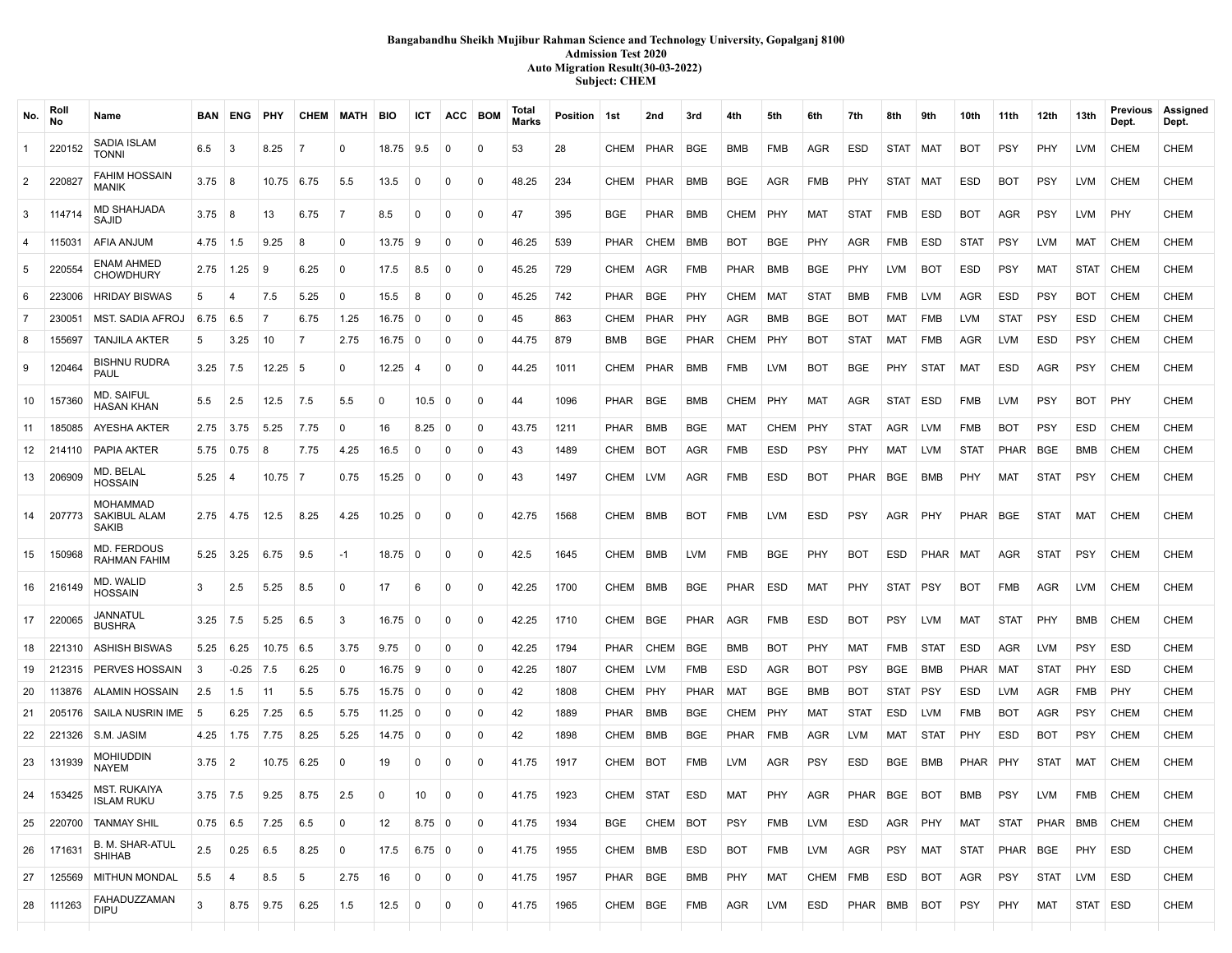# **Bangabandhu Sheikh Mujibur Rahman Science and Technology University, Gopalganj 8100 Admission Test 2020 Auto Migration Result(30-03-2022) Subject: CHEM**

| No.            | Roll<br>No | Name                                     |                  | <b>BAN ENG</b> | <b>PHY</b>   |                | <b>CHEM MATH</b> | BIO       | ICT              | ACC BOM     |              | Total<br>Marks | Position   1st |             | 2nd         | 3rd        | 4th         | 5th         | 6th         | 7th         | 8th        | 9th         | 10th        | 11th        | 12th        | 13th       | Previous<br>Dept. | Assigned<br>Dept. |
|----------------|------------|------------------------------------------|------------------|----------------|--------------|----------------|------------------|-----------|------------------|-------------|--------------|----------------|----------------|-------------|-------------|------------|-------------|-------------|-------------|-------------|------------|-------------|-------------|-------------|-------------|------------|-------------------|-------------------|
| $\mathbf{1}$   | 220152     | <b>SADIA ISLAM</b><br><b>TONNI</b>       | 6.5              | -3             | 8.25         | 7              | $\Omega$         | 18.75     | 9.5              | 0           | $\Omega$     | 53             | 28             | CHEM        | <b>PHAR</b> | BGE        | BMB         | FMB         | AGR         | ESD         | STAT I     | MAT         | BOT         | <b>PSY</b>  | PHY         | LVM        | <b>CHEM</b>       | <b>CHEM</b>       |
| $\overline{2}$ | 220827     | <b>FAHIM HOSSAIN</b><br><b>MANIK</b>     | $3.75 \,   \, 8$ |                | 10.75        | 6.75           | 5.5              | 13.5      | 0                | 0           | 0            | 48.25          | 234            | CHEM        | PHAR        | BMB        | BGE         | <b>AGR</b>  | FMB         | PHY         | STAT       | MAT         | <b>ESD</b>  | BOT         | <b>PSY</b>  | LVM        | <b>CHEM</b>       | <b>CHEM</b>       |
| 3              | 114714     | MD SHAHJADA<br>SAJID                     | 3.75             | 8              | 13           | 6.75           | 7                | 8.5       | $\Omega$         | 0           | 0            | 47             | 395            | BGE         | PHAR        | BMB        | CHEM        | PHY         | <b>MAT</b>  | <b>STAT</b> | FMB        | ESD         | <b>BOT</b>  | AGR         | <b>PSY</b>  | LVM        | PHY               | <b>CHEM</b>       |
| 4              | 115031     | AFIA ANJUM                               | 4.75             | $\vert$ 1.5    | 9.25         | 8              | 0                | 13.75     | 9                | $\Omega$    | $\Omega$     | 46.25          | 539            | <b>PHAR</b> | CHEM        | BMB        | BOT         | <b>BGE</b>  | PHY         | <b>AGR</b>  | FMB        | ESD         | <b>STAT</b> | <b>PSY</b>  | <b>LVM</b>  | MAT        | <b>CHEM</b>       | <b>CHEM</b>       |
| 5              | 220554     | <b>ENAM AHMED</b><br><b>CHOWDHURY</b>    | 2.75             | 1.25           | 9            | 6.25           | 0                | 17.5      | 8.5              | 0           | $\mathbf 0$  | 45.25          | 729            | CHEM        | AGR         | <b>FMB</b> | PHAR        | BMB         | <b>BGE</b>  | PHY         | LVM        | <b>BOT</b>  | <b>ESD</b>  | <b>PSY</b>  | MAT         | STAT       | <b>CHEM</b>       | <b>CHEM</b>       |
| 6              | 223006     | <b>HRIDAY BISWAS</b>                     | 5                | $\overline{4}$ | 7.5          | 5.25           | 0                | 15.5      | 8                | 0           | $\mathbf 0$  | 45.25          | 742            | <b>PHAR</b> | BGE         | PHY        | CHEM        | MAT         | <b>STAT</b> | <b>BMB</b>  | FMB        | <b>LVM</b>  | <b>AGR</b>  | ESD         | <b>PSY</b>  | <b>BOT</b> | <b>CHEM</b>       | <b>CHEM</b>       |
| $\overline{7}$ | 230051     | <b>MST. SADIA AFROJ</b>                  | 6.75             | 6.5            | 7            | 6.75           | 1.25             | 16.75     | 0                | $\Omega$    | $\Omega$     | 45             | 863            | <b>CHEM</b> | PHAR        | PHY        | <b>AGR</b>  | <b>BMB</b>  | <b>BGE</b>  | <b>BOT</b>  | MAT        | <b>FMB</b>  | <b>LVM</b>  | <b>STAT</b> | <b>PSY</b>  | ESD        | <b>CHEM</b>       | <b>CHEM</b>       |
| 8              | 155697     | <b>TANJILA AKTER</b>                     | 5                | 3.25           | 10           | $\overline{7}$ | 2.75             | 16.75     | 0                | 0           | 0            | 44.75          | 879            | BMB         | BGE         | PHAR       | <b>CHEM</b> | PHY         | <b>BOT</b>  | <b>STAT</b> | MAT        | FMB         | <b>AGR</b>  | <b>LVM</b>  | <b>ESD</b>  | <b>PSY</b> | <b>CHEM</b>       | <b>CHEM</b>       |
| 9              | 120464     | <b>BISHNU RUDRA</b><br>PAUL              | 3.25             | 7.5            | $12.25 \t 5$ |                | $\mathbf 0$      | 12.25     | 4                | 0           | $\mathbf 0$  | 44.25          | 1011           | CHEM        | PHAR        | BMB        | <b>FMB</b>  | LVM         | BOT         | <b>BGE</b>  | PHY        | STAT        | MAT         | ESD         | AGR         | PSY        | <b>CHEM</b>       | <b>CHEM</b>       |
| 10             | 157360     | <b>MD. SAIFUL</b><br><b>HASAN KHAN</b>   | 5.5              | 2.5            | 12.5         | 7.5            | 5.5              | $\Omega$  | 10.5             | $\mathbf 0$ | $\Omega$     | 44             | 1096           | <b>PHAR</b> | BGE         | <b>BMB</b> | CHEM        | PHY         | MAT         | <b>AGR</b>  | STAT       | ESD         | <b>FMB</b>  | <b>LVM</b>  | <b>PSY</b>  | <b>BOT</b> | PHY               | <b>CHEM</b>       |
| 11             | 185085     | AYESHA AKTER                             | 2.75             | 3.75           | 5.25         | 7.75           | 0                | 16        | 8.25             | - 0         | $\mathbf 0$  | 43.75          | 1211           | <b>PHAR</b> | BMB         | <b>BGE</b> | MAT         | <b>CHEM</b> | PHY         | <b>STAT</b> | AGR        | <b>LVM</b>  | <b>FMB</b>  | <b>BOT</b>  | <b>PSY</b>  | ESD        | <b>CHEM</b>       | <b>CHEM</b>       |
| 12             | 214110     | PAPIA AKTER                              | 5.75             | 0.75           | 8            | 7.75           | 4.25             | 16.5      | $\Omega$         | 0           | $\mathbf 0$  | 43             | 1489           | CHEM        | BOT         | AGR        | FMB         | ESD         | <b>PSY</b>  | PHY         | MAT        | <b>LVM</b>  | <b>STAT</b> | PHAR        | <b>BGE</b>  | BMB        | <b>CHEM</b>       | <b>CHEM</b>       |
| 13             | 206909     | MD. BELAL<br><b>HOSSAIN</b>              | 5.25             | -4             | 10.75        | $\overline{7}$ | 0.75             | 15.25     | $\Omega$         | $\Omega$    | $\Omega$     | 43             | 1497           | CHEM        | LVM         | AGR        | FMB         | ESD         | <b>BOT</b>  | PHAR        | BGE        | <b>BMB</b>  | PHY         | MAT         | <b>STAT</b> | <b>PSY</b> | <b>CHEM</b>       | <b>CHEM</b>       |
| 14             | 207773     | <b>MOHAMMAD</b><br>SAKIBUL ALAM<br>SAKIB |                  | $2.75$ 4.75    | 12.5         | 8.25           | 4.25             | 10.25     | $\mathbf 0$      | 0           | $\mathbf 0$  | 42.75          | 1568           | CHEM        | BMB         | <b>BOT</b> | <b>FMB</b>  | <b>LVM</b>  | <b>ESD</b>  | <b>PSY</b>  | AGR        | PHY         | <b>PHAR</b> | BGE         | <b>STAT</b> | MAT        | <b>CHEM</b>       | <b>CHEM</b>       |
| 15             | 150968     | <b>MD. FERDOUS</b><br>RAHMAN FAHIM       | 5.25             | 3.25           | 6.75         | 9.5            | $-1$             | 18.75     | 0                | 0           | $\Omega$     | 42.5           | 1645           | <b>CHEM</b> | <b>BMB</b>  | LVM        | <b>FMB</b>  | <b>BGE</b>  | PHY         | BOT         | ESD        | PHAR        | MAT         | AGR         | <b>STAT</b> | PSY        | <b>CHEM</b>       | <b>CHEM</b>       |
| 16             | 216149     | MD. WALID<br><b>HOSSAIN</b>              | 3                | 2.5            | 5.25         | 8.5            | 0                | 17        | 6                | $\Omega$    | $\Omega$     | 42.25          | 1700           | CHEM        | <b>BMB</b>  | <b>BGE</b> | <b>PHAR</b> | ESD         | <b>MAT</b>  | <b>PHY</b>  | STAT       | <b>PSY</b>  | <b>BOT</b>  | FMB         | AGR         | LVM        | <b>CHEM</b>       | <b>CHEM</b>       |
| 17             | 220065     | JANNATUL<br><b>BUSHRA</b>                | 3.25             | 7.5            | 5.25         | 6.5            | 3                | 16.75     | $\mathbf 0$      | 0           | $\mathbf 0$  | 42.25          | 1710           | CHEM        | BGE         | PHAR       | AGR         | <b>FMB</b>  | <b>ESD</b>  | BOT         | PSY        | LVM         | <b>MAT</b>  | <b>STAT</b> | PHY         | BMB        | <b>CHEM</b>       | <b>CHEM</b>       |
| 18             | 221310     | <b>ASHISH BISWAS</b>                     | 5.25             | 6.25           | 10.75        | 6.5            | 3.75             | 9.75      | 0                | 0           | 0            | 42.25          | 1794           | <b>PHAR</b> | CHEM        | <b>BGE</b> | BMB         | <b>BOT</b>  | PHY         | <b>MAT</b>  | <b>FMB</b> | <b>STAT</b> | <b>ESD</b>  | AGR         | <b>LVM</b>  | <b>PSY</b> | ESD               | <b>CHEM</b>       |
| 19             | 212315     | PERVES HOSSAIN                           | -3               | -0.25          | 7.5          | 6.25           | 0                | 16.75     | - 9              | 0           | $\mathbf 0$  | 42.25          | 1807           | CHEM        | LVM         | <b>FMB</b> | ESD         | <b>AGR</b>  | <b>BOT</b>  | <b>PSY</b>  | BGE        | <b>BMB</b>  | <b>PHAR</b> | MAT         | <b>STAT</b> | PHY        | ESD               | <b>CHEM</b>       |
| 20             | 113876     | <b>ALAMIN HOSSAIN</b>                    | 2.5              | 1.5            | 11           | 5.5            | 5.75             | $15.75$ 0 |                  | 0           | $\mathbf 0$  | 42             | 1808           | CHEM        | PHY         | PHAR       | MAT         | <b>BGE</b>  | <b>BMB</b>  | <b>BOT</b>  | STAT   PSY |             | ESD         | <b>LVM</b>  | AGR         | FMB        | PHY               | <b>CHEM</b>       |
| 21             | 205176     | SAILA NUSRIN IME                         | -5               | 6.25           | 7.25         | 6.5            | 5.75             | 11.25     | 0                | 0           | $\Omega$     | 42             | 1889           | PHAR        | BMB         | <b>BGE</b> | CHEM        | PHY         | MAT         | STAT        | ESD        | <b>LVM</b>  | <b>FMB</b>  | BOT         | AGR         | PSY        | <b>CHEM</b>       | CHEM              |
| 22             | 221326     | S.M. JASIM                               | 4.25             | 1.75           | 7.75         | 8.25           | 5.25             | 14.75     | - 0              | 0           | 0            | 42             | 1898           | CHEM        | BMB         | <b>BGE</b> | PHAR        | FMB         | AGR         | LVM         | MAT        | STAT        | PHY         | ESD         | <b>BOT</b>  | <b>PSY</b> | <b>CHEM</b>       | <b>CHEM</b>       |
| 23             | 131939     | <b>MOHIUDDIN</b><br><b>NAYEM</b>         | 3.75             | $\overline{2}$ | 10.75        | 6.25           | $\mathbf 0$      | 19        | $\Omega$         | 0           | $\mathbf 0$  | 41.75          | 1917           | CHEM        | BOT         | <b>FMB</b> | LVM         | AGR         | <b>PSY</b>  | ESD         | BGE        | BMB         | PHAR I      | <b>PHY</b>  | <b>STAT</b> | MAT        | <b>CHEM</b>       | <b>CHEM</b>       |
| 24             | 153425     | <b>MST. RUKAIYA</b><br><b>ISLAM RUKU</b> | $3.75$ 7.5       |                | 9.25         | 8.75           | 2.5              | 0         | 10               | 0           | $\mathbf{0}$ | 41.75          | 1923           | СНЕМ        | <b>STAT</b> | ESD        | MAT         | <b>PHY</b>  | AGR         | PHAR        | BGE        | <b>BOT</b>  | <b>BMB</b>  | <b>PSY</b>  | LVM         | FMB        | <b>CHEM</b>       | <b>CHEM</b>       |
| 25             | 220700     | <b>TANMAY SHIL</b>                       | $0.75$ 6.5       |                | 7.25         | 6.5            | $\mathbf 0$      | 12        | 8.75 0           |             | 0            | 41.75          | 1934           | <b>BGE</b>  | CHEM        | <b>BOT</b> | PSY         | <b>FMB</b>  | LVM         | ESD         | AGR        | PHY         | <b>MAT</b>  | <b>STAT</b> | PHAR        | BMB        | <b>CHEM</b>       | <b>CHEM</b>       |
| 26             | 171631     | B. M. SHAR-ATUL<br><b>SHIHAB</b>         | 2.5              | 0.25           | 6.5          | 8.25           | 0                | 17.5      | $6.75 \,   \, 0$ |             | 0            | 41.75          | 1955           | CHEM BMB    |             | ESD        | <b>BOT</b>  | FMB         | LVM         | AGR         | PSY MAT    |             | <b>STAT</b> | PHAR BGE    |             | PHY        | ESD               | <b>CHEM</b>       |
| 27             | 125569     | <b>MITHUN MONDAL</b>                     | 5.5              | $\overline{4}$ | 8.5          | 5              | 2.75             | 16        | 0                | 0           | 0            | 41.75          | 1957           | PHAR   BGE  |             | BMB        | PHY         | MAT         | CHEM        | <b>FMB</b>  | ESD        | <b>BOT</b>  | AGR         | <b>PSY</b>  | <b>STAT</b> | LVM        | ESD               | <b>CHEM</b>       |
| 28             | 111263     | FAHADUZZAMAN<br><b>DIPU</b>              | 3                | 8.75           | 9.75         | 6.25           | 1.5              | 12.5      | $\mathbf 0$      | $\mathbf 0$ | 0            | 41.75          | 1965           | CHEM   BGE  |             | FMB        | AGR         | LVM         | ESD         | PHAR   BMB  |            | <b>BOT</b>  | <b>PSY</b>  | PHY         | MAT         | STAT ESD   |                   | <b>CHEM</b>       |
|                |            |                                          |                  |                |              |                |                  |           |                  |             |              |                |                |             |             |            |             |             |             |             |            |             |             |             |             |            |                   |                   |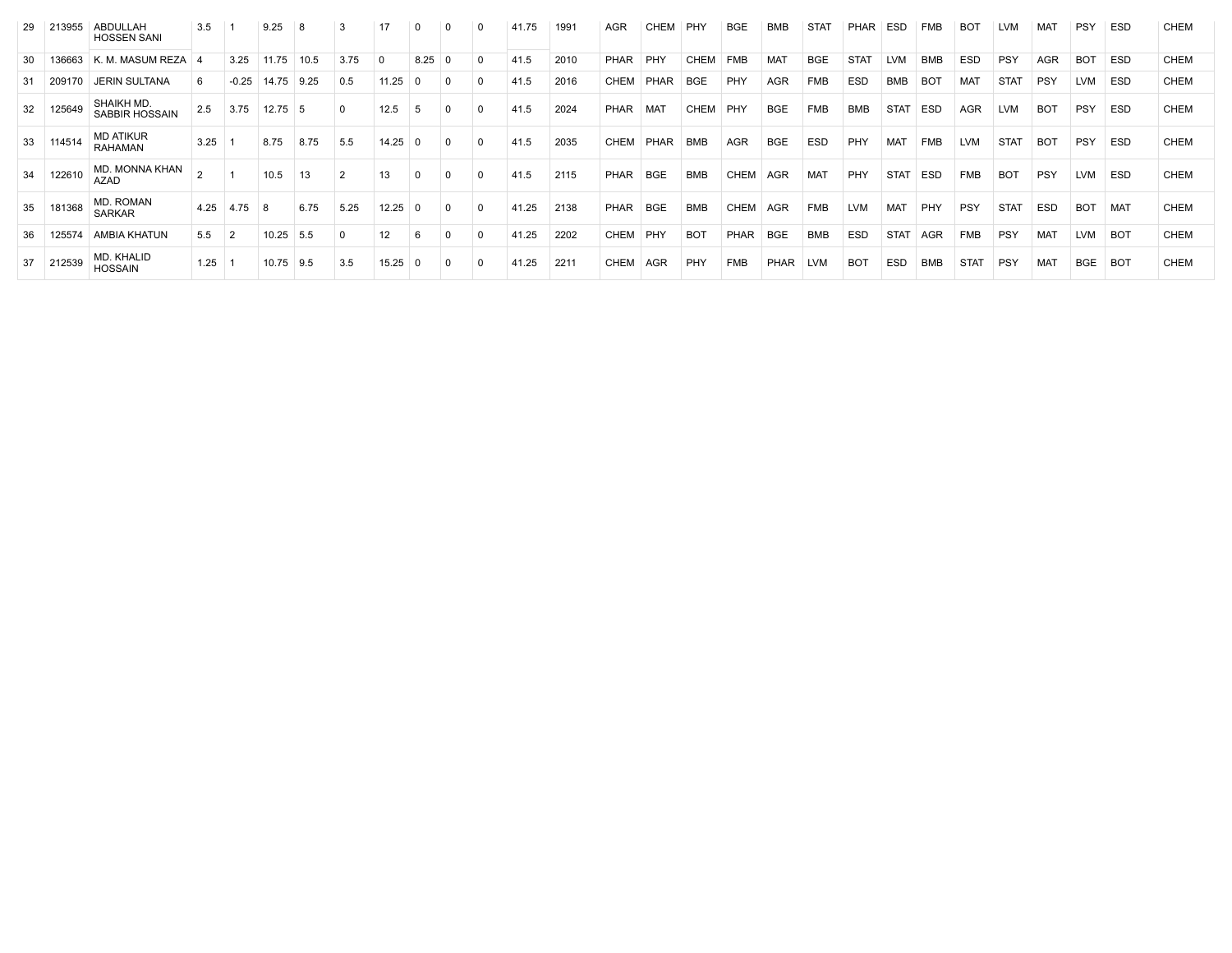| -29 | 213955 | ABDULLAH<br><b>HOSSEN SANI</b>     | 3.5  |         | 9.25      | -8   | 3    | 17    | $\Omega$ | 0 |              | 41.75 | 1991 | <b>AGR</b>  | CHEM        | PHY         | <b>BGE</b>  | <b>BMB</b> | <b>STAT</b> | <b>PHAR</b> | ESD         | <b>FMB</b> | <b>BOT</b>  | <b>LVM</b>  | MAT        | <b>PSY</b> | <b>ESD</b>      | CHEM        |
|-----|--------|------------------------------------|------|---------|-----------|------|------|-------|----------|---|--------------|-------|------|-------------|-------------|-------------|-------------|------------|-------------|-------------|-------------|------------|-------------|-------------|------------|------------|-----------------|-------------|
| -30 | 136663 | K. M. MASUM REZA                   | 4    | 3.25    | 11.75     | 10.5 | 3.75 |       | 8.25     | 0 | <sup>0</sup> | 41.5  | 2010 | PHAR        | PHY         | <b>CHEM</b> | <b>FMB</b>  | <b>MAT</b> | <b>BGE</b>  | <b>STAT</b> | <b>LVM</b>  | <b>BMB</b> | <b>ESD</b>  | PSY         | <b>AGR</b> | <b>BOT</b> | <b>ESD</b>      | <b>CHEM</b> |
| 31  | 209170 | <b>JERIN SULTANA</b>               | 6    | $-0.25$ | 14.75     | 9.25 | 0.5  | 11.25 | $\Omega$ |   |              | 41.5  | 2016 | <b>CHEM</b> | <b>PHAR</b> | <b>BGE</b>  | PHY         | <b>AGR</b> | <b>FMB</b>  | <b>ESD</b>  | <b>BMB</b>  | <b>BOT</b> | MAT         | <b>STAT</b> | <b>PSY</b> | <b>LVM</b> | <b>ESD</b>      | CHEM        |
| 32  | 125649 | SHAIKH MD.<br>SABBIR HOSSAIN       | 2.5  | 3.75    | $12.75$ 5 |      |      | 12.5  | 5        | 0 |              | 41.5  | 2024 | PHAR        | MAT         | <b>CHEM</b> | PHY         | <b>BGE</b> | <b>FMB</b>  | <b>BMB</b>  | <b>STAT</b> | <b>ESD</b> | <b>AGR</b>  | <b>LVM</b>  | <b>BOT</b> | <b>PSY</b> | <b>ESD</b>      | <b>CHEM</b> |
| 33  | 114514 | <b>MD ATIKUR</b><br><b>RAHAMAN</b> | 3.25 |         | 8.75      | 8.75 | 5.5  | 14.25 | -0       |   |              | 41.5  | 2035 | <b>CHEM</b> | PHAR        | <b>BMB</b>  | <b>AGR</b>  | <b>BGE</b> | <b>ESD</b>  | PHY         | <b>MAT</b>  | <b>FMB</b> | <b>LVM</b>  | <b>STAT</b> | <b>BOT</b> | PSY        | <b>ESD</b>      | <b>CHEM</b> |
| 34  | 122610 | MD. MONNA KHAN<br>AZAD             |      |         | 10.5      | 13   |      | 13    | $\Omega$ |   |              | 41.5  | 2115 | PHAR        | <b>BGE</b>  | <b>BMB</b>  | <b>CHEM</b> | AGR        | <b>MAT</b>  | PHY         | <b>STAT</b> | <b>ESD</b> | <b>FMB</b>  | <b>BOT</b>  | <b>PSY</b> | <b>LVM</b> | ESD             | <b>CHEM</b> |
| 35  | 181368 | MD. ROMAN<br><b>SARKAR</b>         | 4.25 | 4.75    | <b>8</b>  | 6.75 | 5.25 | 12.25 | $\Omega$ |   | $\Omega$     | 41.25 | 2138 | PHAR        | <b>BGE</b>  | <b>BMB</b>  | CHEM        | AGR        | <b>FMB</b>  | <b>LVM</b>  | <b>MAT</b>  | PHY        | PSY         | <b>STAT</b> | <b>ESD</b> | <b>BOT</b> | MAT             | <b>CHEM</b> |
| 36  | 125574 | AMBIA KHATUN                       | 5.5  |         | 10.25     | 5.5  |      | 12    | 6        |   |              | 41.25 | 2202 | CHEM        | PHY         | <b>BOT</b>  | <b>PHAR</b> | <b>BGE</b> | <b>BMB</b>  | <b>ESD</b>  | <b>STAT</b> | <b>AGR</b> | <b>FMB</b>  | PSY         | <b>MAT</b> | <b>LVM</b> | <b>BOT</b>      | <b>CHEM</b> |
| 37  | 212539 | MD. KHALID<br><b>HOSSAIN</b>       | 1.25 |         | 10.75     | 9.5  | 3.5  | 15.25 |          |   |              | 41.25 | 2211 | <b>CHEM</b> | AGR         | PHY         | <b>FMB</b>  | PHAR       | <b>LVM</b>  | <b>BOT</b>  | <b>ESD</b>  | <b>BMB</b> | <b>STAT</b> | <b>PSY</b>  | <b>MAT</b> | <b>BGE</b> | BO <sub>1</sub> | <b>CHEM</b> |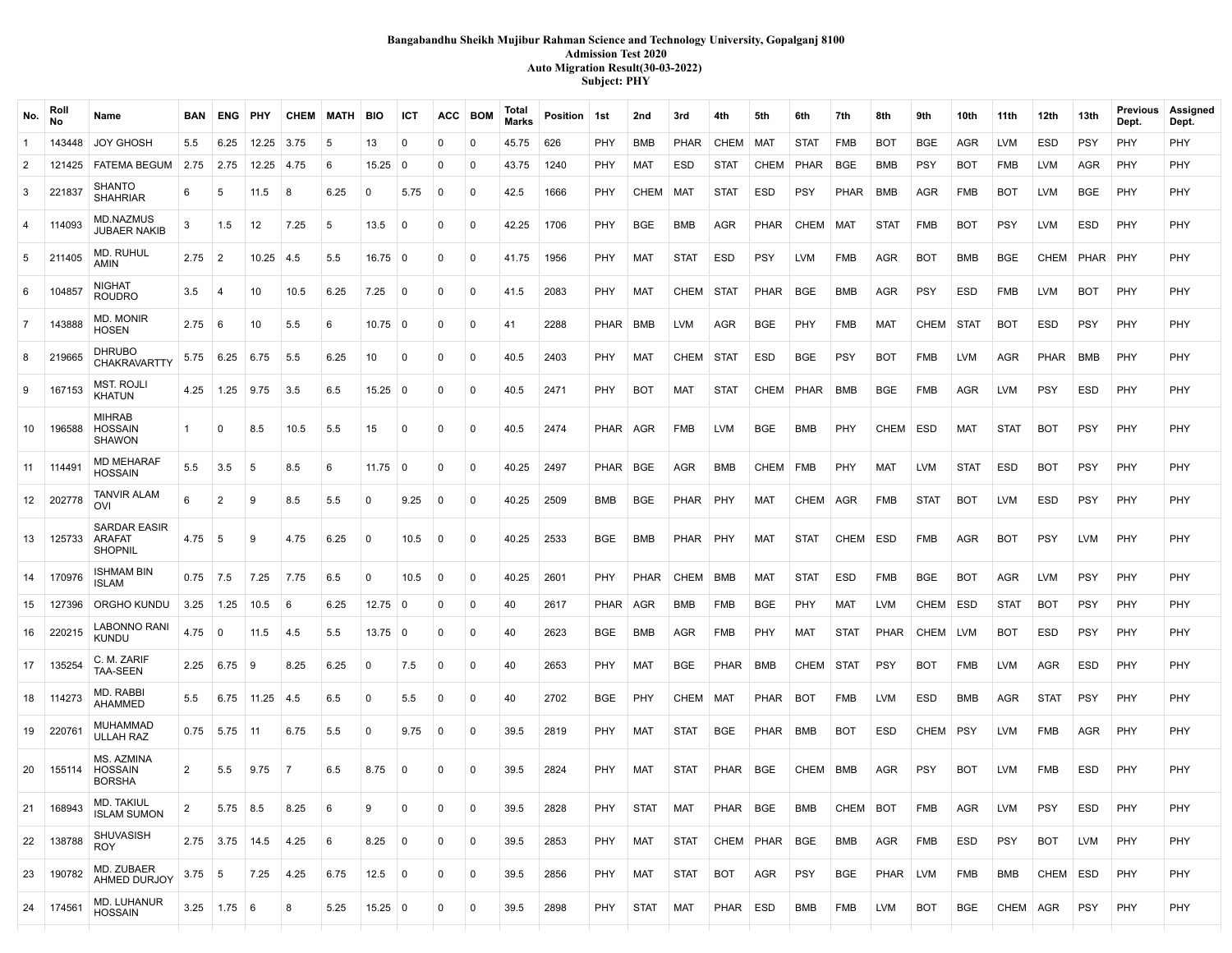### **Bangabandhu Sheikh Mujibur Rahman Science and Technology University, Gopalganj 8100 Admission Test 2020 Auto Migration Result(30-03-2022) Subject: PHY**

| No.            | Roll<br>No | Name                                            | <b>BAN</b>     | ENG              | PHY              | CHEM           | MATH | <b>BIO</b>        | ICT            | ACC            | <b>BOM</b>  | Total<br>Marks | Position 1st |            | 2nd         | 3rd         | 4th         | 5th         | 6th         | 7th         | 8th         | 9th         | 10th        | 11th        | 12th        | 13th       | Previous<br>Dept. | Assigned<br>Dept. |
|----------------|------------|-------------------------------------------------|----------------|------------------|------------------|----------------|------|-------------------|----------------|----------------|-------------|----------------|--------------|------------|-------------|-------------|-------------|-------------|-------------|-------------|-------------|-------------|-------------|-------------|-------------|------------|-------------------|-------------------|
| $\overline{1}$ | 143448     | <b>JOY GHOSH</b>                                | 5.5            | 6.25             | 12.25            | 3.75           | 5    | 13                | 0              | 0              | 0           | 45.75          | 626          | PHY        | BMB         | <b>PHAR</b> | CHEM        | <b>MAT</b>  | <b>STAT</b> | <b>FMB</b>  | <b>BOT</b>  | <b>BGE</b>  | AGR         | <b>LVM</b>  | <b>ESD</b>  | <b>PSY</b> | PHY               | PHY               |
| $\overline{2}$ | 121425     | <b>FATEMA BEGUM</b>                             | 2.75           | 2.75             | 12.25            | 4.75           | 6    | 15.25             | $\mathbf 0$    | 0              | $\Omega$    | 43.75          | 1240         | PHY        | MAT         | <b>ESD</b>  | STAT        | CHEM        | PHAR        | <b>BGE</b>  | <b>BMB</b>  | <b>PSY</b>  | <b>BOT</b>  | <b>FMB</b>  | LVM         | <b>AGR</b> | PHY               | <b>PHY</b>        |
| 3              | 221837     | <b>SHANTO</b><br><b>SHAHRIAR</b>                | 6              | 5                | 11.5             | 8              | 6.25 | 0                 | 5.75           | 0              | $\mathbf 0$ | 42.5           | 1666         | PHY        | <b>CHEM</b> | MAT         | <b>STAT</b> | ESD         | <b>PSY</b>  | PHAR        | BMB         | AGR         | FMB         | <b>BOT</b>  | <b>LVM</b>  | <b>BGE</b> | PHY               | PHY               |
| $\overline{4}$ | 114093     | <b>MD.NAZMUS</b><br>JUBAER NAKIB                | 3              | 1.5              | 12               | 7.25           | 5    | 13.5              | $\Omega$       | $\Omega$       | $\mathbf 0$ | 42.25          | 1706         | PHY        | <b>BGE</b>  | <b>BMB</b>  | <b>AGR</b>  | <b>PHAR</b> | CHEM        | MAT         | <b>STAT</b> | <b>FMB</b>  | <b>BOT</b>  | <b>PSY</b>  | <b>LVM</b>  | <b>ESD</b> | PHY               | <b>PHY</b>        |
| 5              | 211405     | MD. RUHUL<br>AMIN                               | $2.75 \pm 2$   |                  | 10.25            | 4.5            | 5.5  | $16.75 \pm 0$     |                | $^{\circ}$     | $\mathbf 0$ | 41.75          | 1956         | PHY        | MAT         | <b>STAT</b> | ESD         | <b>PSY</b>  | LVM         | <b>FMB</b>  | AGR         | <b>BOT</b>  | BMB         | <b>BGE</b>  | <b>CHEM</b> | PHAR       | <b>PHY</b>        | <b>PHY</b>        |
| 6              | 104857     | <b>NIGHAT</b><br><b>ROUDRO</b>                  | 3.5            | 4                | 10               | 10.5           | 6.25 | 7.25              | $\Omega$       | $\mathbf 0$    | 0           | 41.5           | 2083         | <b>PHY</b> | <b>MAT</b>  | CHEM        | STAT        | PHAR        | <b>BGE</b>  | BMB         | AGR         | <b>PSY</b>  | ESD         | <b>FMB</b>  | <b>LVM</b>  | <b>BOT</b> | PHY               | PHY               |
| $\overline{7}$ | 143888     | <b>MD. MONIR</b><br><b>HOSEN</b>                | 2.75           | 6                | 10               | 5.5            | 6    | $10.75$ 0         |                | $\mathbf 0$    | $\mathbf 0$ | 41             | 2288         | PHAR       | BMB         | <b>LVM</b>  | AGR         | BGE         | PHY         | <b>FMB</b>  | MAT         | CHEM        | <b>STAT</b> | <b>BOT</b>  | <b>ESD</b>  | <b>PSY</b> | PHY               | PHY               |
| 8              | 219665     | <b>DHRUBO</b><br><b>CHAKRAVARTTY</b>            | 5.75           | 6.25             | 6.75             | 5.5            | 6.25 | 10                | $\Omega$       | 0              | 0           | 40.5           | 2403         | PHY        | <b>MAT</b>  | CHEM        | <b>STAT</b> | <b>ESD</b>  | <b>BGE</b>  | <b>PSY</b>  | <b>BOT</b>  | <b>FMB</b>  | LVM         | AGR         | <b>PHAR</b> | <b>BMB</b> | PHY               | <b>PHY</b>        |
| 9              | 167153     | <b>MST. ROJLI</b><br>KHATUN                     | 4.25           | $1.25$ 9.75      |                  | 3.5            | 6.5  | $15.25 \,   \, 0$ |                | $\mathbf 0$    | 0           | 40.5           | 2471         | PHY        | <b>BOT</b>  | <b>MAT</b>  | <b>STAT</b> | CHEM        | PHAR        | <b>BMB</b>  | <b>BGE</b>  | <b>FMB</b>  | <b>AGR</b>  | <b>LVM</b>  | <b>PSY</b>  | <b>ESD</b> | PHY               | <b>PHY</b>        |
| 10             | 196588     | <b>MIHRAB</b><br>HOSSAIN<br><b>SHAWON</b>       | 1              | $\Omega$         | 8.5              | 10.5           | 5.5  | 15                | $\mathbf{0}$   | $\mathbf 0$    | $\mathbf 0$ | 40.5           | 2474         | PHAR AGR   |             | <b>FMB</b>  | <b>LVM</b>  | <b>BGE</b>  | <b>BMB</b>  | <b>PHY</b>  | CHEM        | ESD         | <b>MAT</b>  | <b>STAT</b> | <b>BOT</b>  | <b>PSY</b> | <b>PHY</b>        | <b>PHY</b>        |
| 11             | 114491     | <b>MD MEHARAF</b><br><b>HOSSAIN</b>             | 5.5            | 3.5              | 5                | 8.5            | 6    | $11.75$ 0         |                | $\mathbf 0$    | 0           | 40.25          | 2497         | PHAR       | BGE         | AGR         | BMB         | CHEM        | <b>FMB</b>  | PHY         | MAT         | <b>LVM</b>  | <b>STAT</b> | ESD         | <b>BOT</b>  | <b>PSY</b> | PHY               | <b>PHY</b>        |
| 12             | 202778     | <b>TANVIR ALAM</b><br>OVI                       | 6              | $\overline{2}$   | 9                | 8.5            | 5.5  | 0                 | 9.25           | 0              | $\mathbf 0$ | 40.25          | 2509         | <b>BMB</b> | <b>BGE</b>  | <b>PHAR</b> | PHY         | MAT         | CHEM        | AGR         | <b>FMB</b>  | <b>STAT</b> | <b>BOT</b>  | <b>LVM</b>  | <b>ESD</b>  | <b>PSY</b> | PHY               | PHY               |
| 13             | 125733     | <b>SARDAR EASIR</b><br>ARAFAT<br><b>SHOPNIL</b> | 4.75           | 5                | 9                | 4.75           | 6.25 | $\Omega$          | 10.5           | $\mathbf 0$    | $\mathbf 0$ | 40.25          | 2533         | BGE        | <b>BMB</b>  | <b>PHAR</b> | PHY         | MAT         | <b>STAT</b> | CHEM        | <b>ESD</b>  | <b>FMB</b>  | <b>AGR</b>  | <b>BOT</b>  | <b>PSY</b>  | <b>LVM</b> | PHY               | <b>PHY</b>        |
| 14             | 170976     | ISHMAM BIN<br>ISLAM                             | 0.75           | 7.5              | 7.25             | 7.75           | 6.5  | 0                 | 10.5           | $\overline{0}$ | $\mathbf 0$ | 40.25          | 2601         | <b>PHY</b> | <b>PHAR</b> | CHEM        | BMB         | <b>MAT</b>  | <b>STAT</b> | <b>ESD</b>  | <b>FMB</b>  | <b>BGE</b>  | <b>BOT</b>  | <b>AGR</b>  | <b>LVM</b>  | <b>PSY</b> | PHY               | PHY               |
| 15             | 127396     | ORGHO KUNDU                                     | 3.25           | 1.25             | 10.5             | 6              | 6.25 | $12.75$ 0         |                | $\mathbf{0}$   | 0           | 40             | 2617         | PHAR       | AGR         | BMB         | FMB         | BGE         | PHY         | <b>MAT</b>  | LVM         | CHEM        | ESD         | <b>STAT</b> | <b>BOT</b>  | <b>PSY</b> | PHY               | <b>PHY</b>        |
| 16             | 220215     | <b>LABONNO RANI</b><br>KUNDU                    | 4.75           | $\mathbf 0$      | 11.5             | 4.5            | 5.5  | $13.75$ 0         |                | $\mathbf 0$    | $\Omega$    | 40             | 2623         | BGE        | BMB         | AGR         | <b>FMB</b>  | PHY         | MAT         | <b>STAT</b> | <b>PHAR</b> | CHEM        | LVM         | <b>BOT</b>  | <b>ESD</b>  | <b>PSY</b> | PHY               | <b>PHY</b>        |
| 17             | 135254     | C. M. ZARIF<br>TAA-SEEN                         | 2.25           | 6.75             | 9                | 8.25           | 6.25 | $\Omega$          | 7.5            | $\mathbf 0$    | 0           | 40             | 2653         | PHY        | <b>MAT</b>  | BGE         | <b>PHAR</b> | BMB         | CHEM        | <b>STAT</b> | <b>PSY</b>  | <b>BOT</b>  | <b>FMB</b>  | <b>LVM</b>  | AGR         | <b>ESD</b> | PHY               | <b>PHY</b>        |
| 18             | 114273     | MD. RABBI<br><b>AHAMMED</b>                     | 5.5            |                  | $6.75$ 11.25 4.5 |                | 6.5  | $\Omega$          | 5.5            | 0              | 0           | 40             | 2702         | BGE        | PHY         | CHEM        | MAT         | <b>PHAR</b> | BOT         | <b>FMB</b>  | LVM         | <b>ESD</b>  | BMB         | AGR         | <b>STAT</b> | <b>PSY</b> | PHY               | PHY               |
| 19             | 220761     | <b>MUHAMMAD</b><br>ULLAH RAZ                    | 0.75           | $5.75$ 11        |                  | 6.75           | 5.5  | 0                 | 9.75           | 0              | $\mathbf 0$ | 39.5           | 2819         | PHY        | <b>MAT</b>  | <b>STAT</b> | BGE         | PHAR        | BMB         | <b>BOT</b>  | <b>ESD</b>  | CHEM        | <b>PSY</b>  | <b>LVM</b>  | <b>FMB</b>  | <b>AGR</b> | PHY               | PHY               |
| 20             | 155114     | MS. AZMINA<br><b>HOSSAIN</b><br><b>BORSHA</b>   | 2              | 5.5              | 9.75             | $\overline{7}$ | 6.5  | 8.75              | 0              | 0              | $\mathbf 0$ | 39.5           | 2824         | PHY        | MAT         | <b>STAT</b> | PHAR        | BGE         | CHEM        | BMB         | AGR         | <b>PSY</b>  | <b>BOT</b>  | LVM         | <b>FMB</b>  | <b>ESD</b> | PHY               | PHY               |
| 21             | 168943     | MD. TAKIUL<br><b>ISLAM SUMON</b>                | $\overline{2}$ | $5.75$ 8.5       |                  | 8.25           | 6    | 9                 | 0              | 0              | 0           | 39.5           | 2828         | PHY        | <b>STAT</b> | MAT         | PHAR        | BGE         | BMB         | CHEM BOT    |             | FMB         | AGR         | <b>LVM</b>  | <b>PSY</b>  | <b>ESD</b> | PHY               | <b>PHY</b>        |
| 22             | 138788     | SHUVASISH<br>ROY                                |                | $2.75$ 3.75 14.5 |                  | 4.25           | 6    | 8.25              | 0              | $\mathbf{0}$   | $\mathbf 0$ | 39.5           | 2853         | PHY        | MAT         | <b>STAT</b> |             | CHEM PHAR   | BGE         | BMB         | AGR         | FMB         | ESD         | <b>PSY</b>  | <b>BOT</b>  | LVM        | PHY               | <b>PHY</b>        |
| 23             | 190782     | MD. ZUBAER<br>AHMED DURJOY                      | $3.75$ 5       |                  | 7.25             | 4.25           | 6.75 | 12.5              | $\overline{0}$ | $\mathbf 0$    | $\mathbf 0$ | 39.5           | 2856         | PHY        | MAT         | <b>STAT</b> | BOT         | AGR         | <b>PSY</b>  | BGE         | PHAR LVM    |             | FMB         | BMB         | <b>CHEM</b> | ESD        | PHY               | PHY               |
| 24             | 174561     | MD. LUHANUR<br><b>HOSSAIN</b>                   |                | $3.25$ 1.75 6    |                  | 8              | 5.25 | $15.25 \,   \, 0$ |                | 0              | $\mathbf 0$ | 39.5           | 2898         | PHY        | <b>STAT</b> | MAT         | PHAR        | ESD         | BMB         | FMB         | LVM         | <b>BOT</b>  | BGE         | CHEM AGR    |             | <b>PSY</b> | PHY               | PHY               |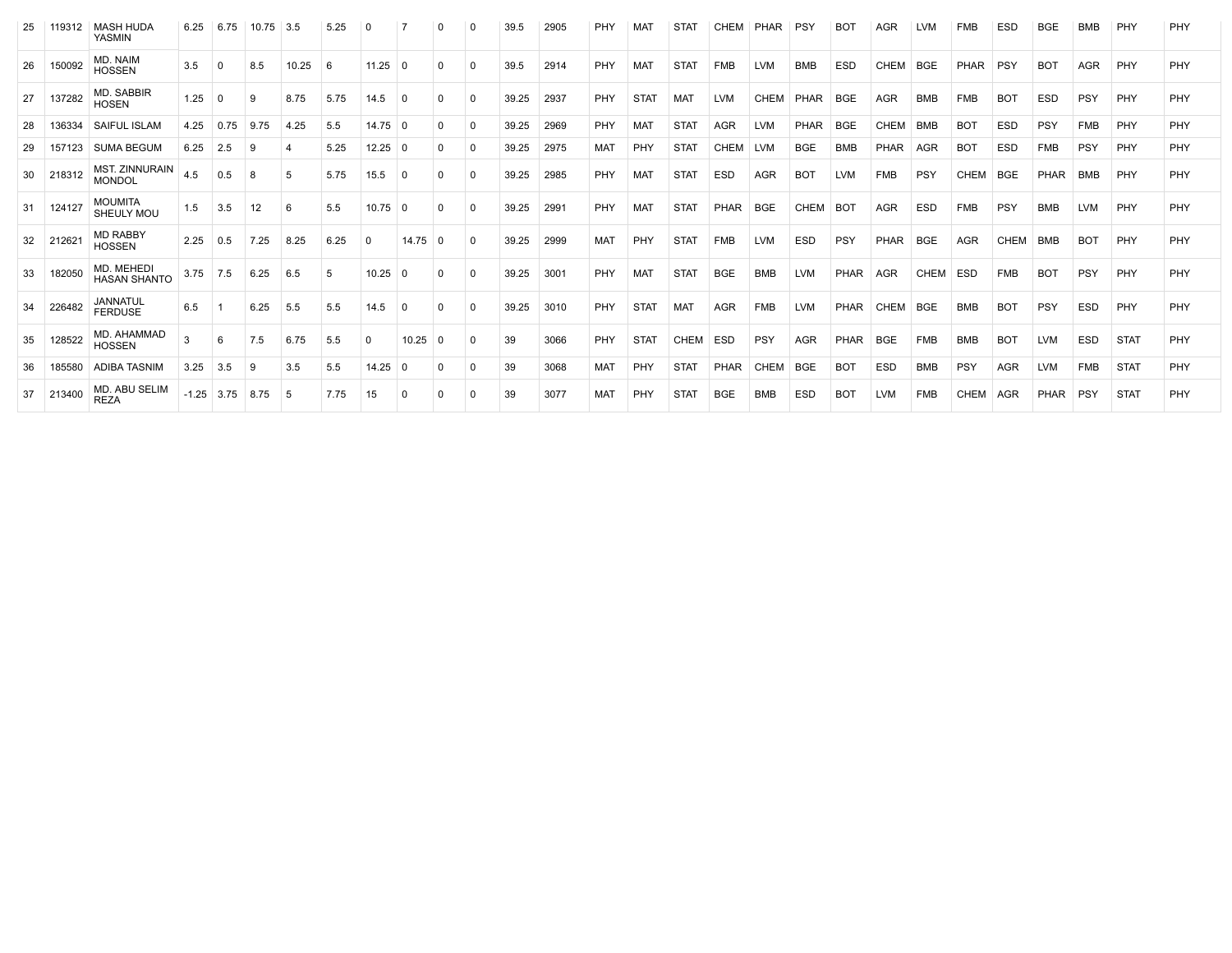|    | 119312 | <b>MASH HUDA</b><br><b>YASMIN</b>      | 6.25    | 6.75     | 10.75 | 3.5   | 5.25 | 0         |               |          |          | 39.5  | 2905 | PHY        | MA          | <b>STAT</b> | CHEM        | PHAR        | <b>PSY</b>  | <b>BOT</b> | <b>AGR</b>  | <b>LVM</b>  | FMB         | <b>ESD</b> | <b>BGE</b> | <b>BMB</b> | PHY         | PHY |
|----|--------|----------------------------------------|---------|----------|-------|-------|------|-----------|---------------|----------|----------|-------|------|------------|-------------|-------------|-------------|-------------|-------------|------------|-------------|-------------|-------------|------------|------------|------------|-------------|-----|
| 26 | 150092 | MD. NAIM<br><b>HOSSEN</b>              | 3.5     | $\Omega$ | 8.5   | 10.25 | 6    | 11.25     | $\Omega$      | O        | $\Omega$ | 39.5  | 2914 | PHY        | <b>MAT</b>  | <b>STAT</b> | <b>FMB</b>  | <b>LVM</b>  | <b>BMB</b>  | <b>ESD</b> | CHEM        | <b>BGE</b>  | PHAR        | PSY        | <b>BOT</b> | <b>AGR</b> | PHY         | PHY |
| 27 | 137282 | <b>MD. SABBIR</b><br><b>HOSEN</b>      | 1.25    | 0        | 9     | 8.75  | 5.75 | 14.5      | $\Omega$      |          | O        | 39.25 | 2937 | PHY        | <b>STAT</b> | <b>MAT</b>  | <b>LVM</b>  | CHEM        | PHAR        | <b>BGE</b> | <b>AGR</b>  | <b>BMB</b>  | <b>FMB</b>  | <b>BOT</b> | <b>ESD</b> | PSY        | PHY         | PHY |
| 28 | 136334 | <b>SAIFUL ISLAM</b>                    | 4.25    | 0.75     | 9.75  | 4.25  | 5.5  | $14.75$ 0 |               | $\Omega$ | $\Omega$ | 39.25 | 2969 | PHY        | <b>MAT</b>  | <b>STAT</b> | <b>AGR</b>  | <b>LVM</b>  | <b>PHAR</b> | <b>BGE</b> | <b>CHEM</b> | BMB         | <b>BOT</b>  | <b>ESD</b> | PSY        | <b>FMB</b> | PHY         | PHY |
| 29 | 157123 | <b>SUMA BEGUM</b>                      | 6.25    | 2.5      | 9     |       | 5.25 | $12.25$ 0 |               | $\Omega$ | $\Omega$ | 39.25 | 2975 | <b>MAT</b> | PHY         | <b>STAT</b> | <b>CHEM</b> | LVM         | <b>BGE</b>  | <b>BMB</b> | PHAR        | <b>AGR</b>  | <b>BOT</b>  | <b>ESD</b> | <b>FMB</b> | PSY        | PHY         | PHY |
| 30 | 218312 | <b>MST. ZINNURAIN</b><br><b>MONDOL</b> | 4.5     | 0.5      | 8     | 5     | 5.75 | 15.5      | 0             |          | 0        | 39.25 | 2985 | PHY        | <b>MAT</b>  | <b>STAT</b> | <b>ESD</b>  | <b>AGR</b>  | <b>BOT</b>  | <b>LVM</b> | <b>FMB</b>  | PSY         | <b>CHEM</b> | <b>BGE</b> | PHAR       | <b>BMB</b> | PHY         | PHY |
| 31 | 124127 | <b>MOUMITA</b><br>SHEULY MOL           | 1.5     | 3.5      | 12    | 6     | 5.5  | $10.75$ 0 |               | $\Omega$ | 0        | 39.25 | 2991 | PHY        | MAT         | <b>STAT</b> | PHAR        | <b>BGE</b>  | <b>CHEM</b> | <b>BOT</b> | <b>AGR</b>  | <b>ESD</b>  | <b>FMB</b>  | PSY        | <b>BMB</b> | <b>LVM</b> | PHY         | PHY |
| 32 | 212621 | <b>MD RABBY</b><br><b>HOSSEN</b>       | 2.25    | 0.5      | 7.25  | 8.25  | 6.25 | $\Omega$  | $14.75 \pm 0$ |          | $\Omega$ | 39.25 | 2999 | <b>MAT</b> | PHY         | <b>STAT</b> | <b>FMB</b>  | <b>LVM</b>  | <b>ESD</b>  | PSY        | PHAR        | <b>BGE</b>  | <b>AGR</b>  | CHEM       | <b>BMB</b> | <b>BOT</b> | PHY         | PHY |
| 33 | 182050 | MD. MEHEDI<br><b>HASAN SHANTO</b>      | 3.75    | 7.5      | 6.25  | 6.5   | 5    | 10.25     | 0             | $\Omega$ | $\Omega$ | 39.25 | 3001 | PHY        | <b>MAT</b>  | <b>STAT</b> | <b>BGE</b>  | <b>BMB</b>  | <b>LVM</b>  | PHAR       | AGR         | <b>CHEM</b> | <b>ESD</b>  | <b>FMB</b> | <b>BOT</b> | PSY        | PHY         | PHY |
| 34 | 226482 | <b>JANNATUL</b><br><b>FERDUSE</b>      | 6.5     |          | 6.25  | 5.5   | 5.5  | 14.5      | $\mathbf 0$   | $\Omega$ | $\Omega$ | 39.25 | 3010 | PHY        | <b>STAT</b> | <b>MAT</b>  | <b>AGR</b>  | <b>FMB</b>  | <b>LVM</b>  | PHAR       | <b>CHEM</b> | <b>BGE</b>  | <b>BMB</b>  | <b>BOT</b> | PSY        | <b>ESD</b> | PHY         | PHY |
| 35 | 128522 | MD. AHAMMAD<br><b>HOSSEN</b>           |         | 6        | 7.5   | 6.75  | 5.5  | $\Omega$  | 10.25         | $\Omega$ | 0        | 39    | 3066 | PHY        | <b>STAT</b> | <b>CHEM</b> | <b>ESD</b>  | PSY         | <b>AGR</b>  | PHAR       | <b>BGE</b>  | <b>FMB</b>  | <b>BMB</b>  | <b>BOT</b> | <b>LVM</b> | <b>ESD</b> | <b>STAT</b> | PHY |
| 36 | 185580 | ADIBA TASNIM                           | 3.25    | 3.5      | 9     | 3.5   | 5.5  | 14.25     | 0             | 0        | $\Omega$ | 39    | 3068 | <b>MAT</b> | <b>PHY</b>  | <b>STAT</b> | <b>PHAR</b> | <b>CHEM</b> | <b>BGE</b>  | <b>BOT</b> | <b>ESD</b>  | <b>BMB</b>  | <b>PSY</b>  | <b>AGR</b> | LVM        | <b>FMB</b> | <b>STAT</b> | PHY |
| 37 | 213400 | MD. ABU SELIM<br><b>REZA</b>           | $-1.25$ | 3.75     | 8.75  | 5     | 7.75 | 15        | 0             |          | O        | 39    | 3077 | <b>MAT</b> | PHY         | <b>STAT</b> | <b>BGE</b>  | <b>BMB</b>  | <b>ESD</b>  | <b>BOT</b> | <b>LVM</b>  | <b>FMB</b>  | <b>CHEM</b> | <b>AGR</b> | PHAR       | PSY        | <b>STAT</b> | PHY |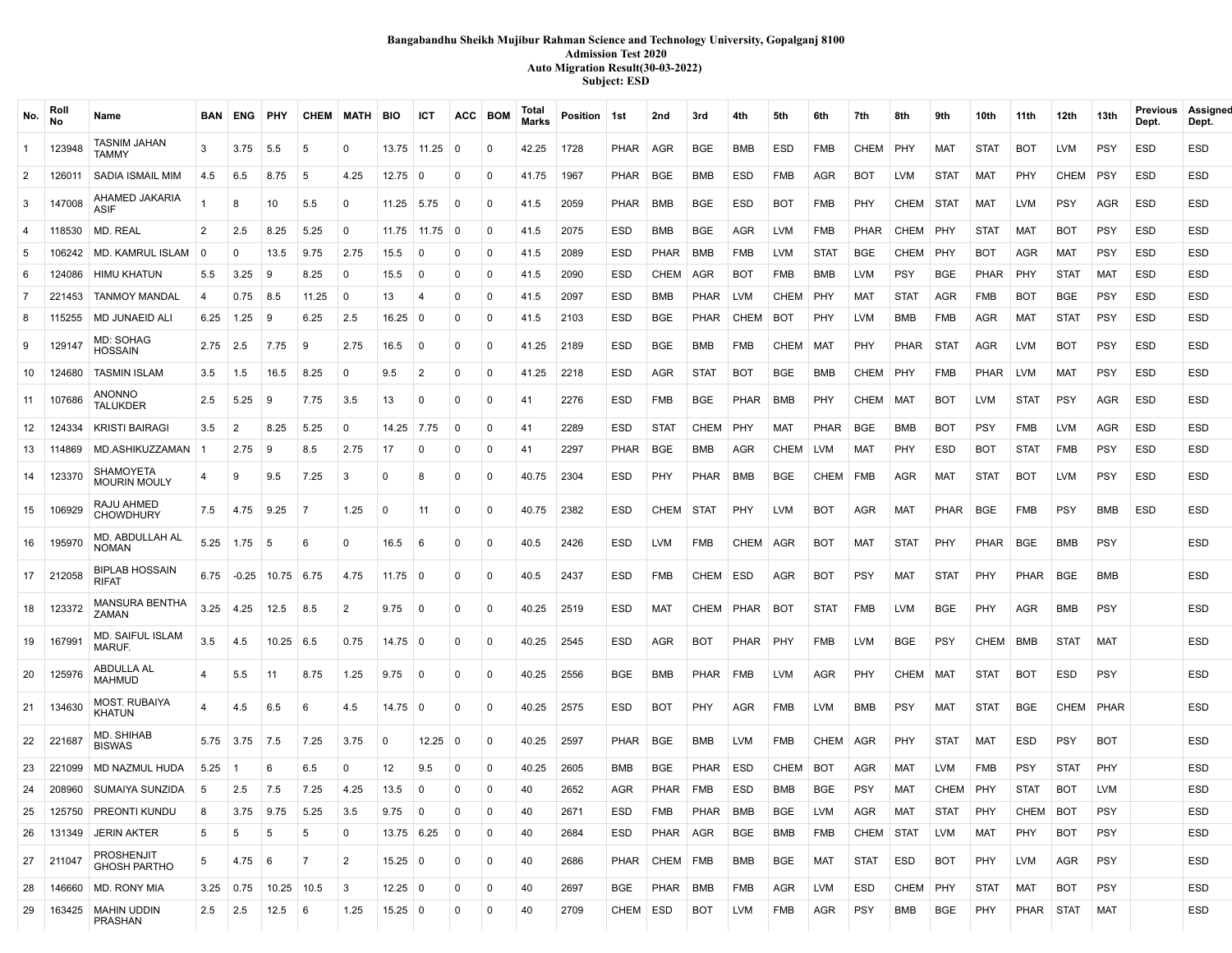### **Bangabandhu Sheikh Mujibur Rahman Science and Technology University, Gopalganj 8100 Admission Test 2020 Auto Migration Result(30-03-2022) Subject: ESD**

| No.            | Rol<br><b>No</b> | Name                                     | <b>BAN</b>     | ENG     | PHY             | <b>CHEM MATH</b> |              | <b>BIO</b>           | ICT            | <b>ACC</b>   | <b>BOM</b>  | Total<br><b>Marks</b> | Position 1st |             | 2nd         | 3rd         | 4th         | 5th         | 6th         | 7th         | 8th         | 9th         | 10th        | 11th        | 12th        | 13th        | Previous<br>Dept. | Assigned<br>Dept. |
|----------------|------------------|------------------------------------------|----------------|---------|-----------------|------------------|--------------|----------------------|----------------|--------------|-------------|-----------------------|--------------|-------------|-------------|-------------|-------------|-------------|-------------|-------------|-------------|-------------|-------------|-------------|-------------|-------------|-------------------|-------------------|
| $\overline{1}$ | 123948           | TASNIM JAHAN<br>TAMMY                    | 3              | 3.75    | 5.5             | 5                | $\mathbf 0$  |                      | 13.75 11.25    | 0            | $\mathbf 0$ | 42.25                 | 1728         | PHAR        | AGR         | <b>BGE</b>  | <b>BMB</b>  | ESD         | <b>FMB</b>  | CHEM        | PHY         | <b>MAT</b>  | <b>STAT</b> | <b>BOT</b>  | LVM         | <b>PSY</b>  | ESD               | ESD               |
| $\overline{2}$ | 126011           | SADIA ISMAIL MIM                         | 4.5            | 6.5     | 8.75            | 5                | 4.25         | 12.75                | $\Omega$       | $\Omega$     | $\mathbf 0$ | 41.75                 | 1967         | PHAR        | BGE         | <b>BMB</b>  | <b>ESD</b>  | <b>FMB</b>  | AGR         | <b>BOT</b>  | <b>LVM</b>  | <b>STAT</b> | <b>MAT</b>  | PHY         | CHEM        | <b>PSY</b>  | ESD               | ESD               |
| $\mathbf{3}$   | 147008           | AHAMED JAKARIA<br><b>ASIF</b>            | $\overline{1}$ | 8       | 10              | 5.5              | $\mathbf{0}$ | 11.25                | 5.75           | $\Omega$     | $\mathbf 0$ | 41.5                  | 2059         | <b>PHAR</b> | BMB         | BGE         | <b>ESD</b>  | <b>BOT</b>  | <b>FMB</b>  | PHY         | <b>CHEM</b> | STAT        | <b>MAT</b>  | LVM         | <b>PSY</b>  | AGR         | ESD               | ESD               |
| $\overline{4}$ | 118530           | MD. REAL                                 | $\overline{2}$ | 2.5     | 8.25            | 5.25             | $\mathbf 0$  | 11.75                | 11.75          | - 0          | $\Omega$    | 41.5                  | 2075         | <b>ESD</b>  | <b>BMB</b>  | <b>BGE</b>  | <b>AGR</b>  | <b>LVM</b>  | <b>FMB</b>  | <b>PHAR</b> | <b>CHEM</b> | <b>PHY</b>  | <b>STAT</b> | <b>MAT</b>  | <b>BOT</b>  | <b>PSY</b>  | <b>ESD</b>        | ESD               |
| 5              | 106242           | MD. KAMRUL ISLAM                         | 0              | 0       | 13.5            | 9.75             | 2.75         | 15.5                 | 0              | $\Omega$     | $\mathbf 0$ | 41.5                  | 2089         | <b>ESD</b>  | <b>PHAR</b> | BMB         | FMB         | <b>LVM</b>  | <b>STAT</b> | BGE         | CHEM        | <b>PHY</b>  | <b>BOT</b>  | AGR         | MAT         | <b>PSY</b>  | ESD               | ESD               |
| 6              | 124086           | <b>HIMU KHATUN</b>                       | 5.5            | 3.25    | 9               | 8.25             | 0            | 15.5                 | $\Omega$       | $\Omega$     | $\Omega$    | 41.5                  | 2090         | ESD         | CHEM        | AGR         | <b>BOT</b>  | <b>FMB</b>  | <b>BMB</b>  | <b>LVM</b>  | PSY         | <b>BGE</b>  | PHAR        | PHY         | <b>STAT</b> | MAT         | ESD               | ESD               |
| $\overline{7}$ | 221453           | <b>TANMOY MANDAL</b>                     | 4              | 0.75    | 8.5             | 11.25            | $\mathbf 0$  | 13                   | -4             | $\Omega$     | $\Omega$    | 41.5                  | 2097         | <b>ESD</b>  | <b>BMB</b>  | <b>PHAR</b> | <b>LVM</b>  | <b>CHEM</b> | <b>PHY</b>  | MAT         | <b>STAT</b> | AGR         | <b>FMB</b>  | BOT         | <b>BGE</b>  | <b>PSY</b>  | <b>ESD</b>        | ESD               |
| 8              | 115255           | <b>MD JUNAEID ALI</b>                    | 6.25           | 1.25    | 9               | 6.25             | 2.5          | 16.25                | - 0            | $\Omega$     | $\Omega$    | 41.5                  | 2103         | ESD         | BGE         | <b>PHAR</b> | CHEM        | BOT         | PHY         | <b>LVM</b>  | BMB         | <b>FMB</b>  | AGR         | MAT         | STAT        | <b>PSY</b>  | ESD               | ESD               |
| 9              | 129147           | MD: SOHAG<br><b>HOSSAIN</b>              | 2.75           | 2.5     | 7.75            | 9                | 2.75         | 16.5                 | $\Omega$       | $\Omega$     | $\Omega$    | 41.25                 | 2189         | ESD         | <b>BGE</b>  | <b>BMB</b>  | <b>FMB</b>  | <b>CHEM</b> | MAT         | <b>PHY</b>  | <b>PHAR</b> | STAT        | AGR         | LVM         | BOT         | <b>PSY</b>  | <b>ESD</b>        | ESD               |
| 10             | 124680           | <b>TASMIN ISLAM</b>                      | 3.5            | 1.5     | 16.5            | 8.25             | 0            | 9.5                  | $\overline{2}$ | $\mathbf 0$  | $\mathbf 0$ | 41.25                 | 2218         | <b>ESD</b>  | AGR         | <b>STAT</b> | <b>BOT</b>  | <b>BGE</b>  | <b>BMB</b>  | CHEM        | <b>PHY</b>  | <b>FMB</b>  | <b>PHAR</b> | <b>LVM</b>  | MAT         | <b>PSY</b>  | ESD               | ESD               |
| 11             | 107686           | ANONNO<br><b>TALUKDER</b>                | 2.5            | 5.25    | 9               | 7.75             | 3.5          | 13                   | $\Omega$       | $\Omega$     | $\mathbf 0$ | 41                    | 2276         | <b>ESD</b>  | <b>FMB</b>  | <b>BGE</b>  | <b>PHAR</b> | BMB         | PHY         | <b>CHEM</b> | <b>MAT</b>  | <b>BOT</b>  | <b>LVM</b>  | STAT        | <b>PSY</b>  | AGR         | ESD               | ESD               |
| 12             | 124334           | <b>KRISTI BAIRAGI</b>                    | 3.5            | 2       | 8.25            | 5.25             | $\mathbf 0$  | 14.25 7.75           |                | $\Omega$     | $\mathbf 0$ | 41                    | 2289         | <b>ESD</b>  | <b>STAT</b> | <b>CHEM</b> | PHY         | <b>MAT</b>  | <b>PHAR</b> | <b>BGE</b>  | <b>BMB</b>  | <b>BOT</b>  | <b>PSY</b>  | <b>FMB</b>  | LVM         | AGR         | ESD               | ESD               |
| 13             | 114869           | MD.ASHIKUZZAMAN                          | l 1            | 2.75    | 9               | 8.5              | 2.75         | 17                   | $\Omega$       | $\Omega$     | $\mathbf 0$ | 41                    | 2297         | PHAR        | <b>BGE</b>  | <b>BMB</b>  | <b>AGR</b>  | <b>CHEM</b> | <b>LVM</b>  | <b>MAT</b>  | PHY         | ESD         | <b>BOT</b>  | <b>STAT</b> | FMB         | <b>PSY</b>  | <b>ESD</b>        | ESD               |
| 14             | 123370           | SHAMOYETA<br><b>MOURIN MOULY</b>         |                | 9       | 9.5             | 7.25             | 3            | $\Omega$             | -8             | $\Omega$     | $\Omega$    | 40.75                 | 2304         | <b>ESD</b>  | PHY         | <b>PHAR</b> | BMB         | <b>BGE</b>  | <b>CHEM</b> | FMB         | AGR         | MAT         | <b>STAT</b> | BOT         | LVM         | <b>PSY</b>  | ESD               | ESD               |
| 15             | 106929           | RAJU AHMED<br><b>CHOWDHURY</b>           | 7.5            | 4.75    | 9.25            | $\overline{7}$   | 1.25         | $\Omega$             | 11             | $\mathbf 0$  | $\mathbf 0$ | 40.75                 | 2382         | ESD         | CHEM        | STAT        | PHY         | <b>LVM</b>  | <b>BOT</b>  | <b>AGR</b>  | MAT         | PHAR        | BGE         | FMB         | <b>PSY</b>  | BMB         | ESD               | ESD               |
| 16             | 195970           | MD. ABDULLAH AL<br><b>NOMAN</b>          | 5.25           | 1.75    | -5              | 6                | 0            | 16.5                 | -6             | 0            | $\mathbf 0$ | 40.5                  | 2426         | <b>ESD</b>  | <b>LVM</b>  | FMB         | CHEM        | AGR         | <b>BOT</b>  | <b>MAT</b>  | <b>STAT</b> | <b>PHY</b>  | PHAR        | BGE         | <b>BMB</b>  | <b>PSY</b>  |                   | ESD               |
| 17             | 212058           | <b>BIPLAB HOSSAIN</b><br><b>RIFAT</b>    | 6.75           | $-0.25$ | 10.75 6.75      |                  | 4.75         | $11.75 \pm 0$        |                | $\mathbf 0$  | $\mathbf 0$ | 40.5                  | 2437         | <b>ESD</b>  | <b>FMB</b>  | CHEM        | ESD         | AGR         | <b>BOT</b>  | <b>PSY</b>  | MAT         | <b>STAT</b> | <b>PHY</b>  | PHAR        | BGE         | <b>BMB</b>  |                   | <b>ESD</b>        |
| 18             | 123372           | MANSURA BENTHA<br>ZAMAN                  | 3.25           | 4.25    | 12.5            | 8.5              | 2            | 9.75                 | 0              | $\Omega$     | $\Omega$    | 40.25                 | 2519         | <b>ESD</b>  | <b>MAT</b>  | <b>CHEM</b> | PHAR        | BOT         | <b>STAT</b> | <b>FMB</b>  | LVM         | <b>BGE</b>  | <b>PHY</b>  | AGR         | BMB         | <b>PSY</b>  |                   | ESD               |
| 19             | 167991           | <b>MD. SAIFUL ISLAM</b><br>MARUF.        | 3.5            | 4.5     | $10.25 \pm 6.5$ |                  | 0.75         | $14.75 \pm 0$        |                | 0            | $\Omega$    | 40.25                 | 2545         | <b>ESD</b>  | AGR         | <b>BOT</b>  | PHAR        | PHY         | <b>FMB</b>  | <b>LVM</b>  | BGE         | <b>PSY</b>  | <b>CHEM</b> | BMB         | <b>STAT</b> | MAT         |                   | ESD               |
| 20             | 125976           | ABDULLA AL<br><b>MAHMUD</b>              |                | 5.5     | 11              | 8.75             | 1.25         | 9.75                 | 0              | $\Omega$     | $\mathbf 0$ | 40.25                 | 2556         | <b>BGE</b>  | BMB         | PHAR        | FMB         | <b>LVM</b>  | AGR         | PHY         | <b>CHEM</b> | MAT         | <b>STAT</b> | BOT         | ESD         | <b>PSY</b>  |                   | ESD               |
| 21             | 134630           | <b>MOST. RUBAIYA</b><br>KHATUN           | 4              | 4.5     | 6.5             | 6                | 4.5          | $14.75$ 0            |                | $\Omega$     | $\mathbf 0$ | 40.25                 | 2575         | <b>ESD</b>  | <b>BOT</b>  | <b>PHY</b>  | <b>AGR</b>  | <b>FMB</b>  | <b>LVM</b>  | BMB         | PSY         | <b>MAT</b>  | <b>STAT</b> | BGE         | CHEM        | <b>PHAR</b> |                   | ESD               |
| 22             | 221687           | MD. SHIHAB<br><b>BISWAS</b>              | 5.75           | 3.75    | 7.5             | 7.25             | 3.75         | $\Omega$             | 12.25          | $\Omega$     | $\mathbf 0$ | 40.25                 | 2597         | <b>PHAR</b> | BGE         | <b>BMB</b>  | <b>LVM</b>  | <b>FMB</b>  | <b>CHEM</b> | AGR         | PHY         | <b>STAT</b> | MAT         | ESD         | <b>PSY</b>  | <b>BOT</b>  |                   | ESD               |
|                | 23 221099        | MD NAZMUL HUDA                           | 5.25           |         | 6               | 6.5              | $\Omega$     | 12                   | 9.5            | $\Omega$     | $\Omega$    | 40.25                 | 2605         | <b>BMB</b>  | BGE         | <b>PHAR</b> | ESD         | <b>CHEM</b> | <b>BOT</b>  | AGR         | MAT         | <b>LVM</b>  | <b>FMB</b>  | PSY         | <b>STAT</b> | PHY         |                   | ESD               |
| 24             | 208960           | SUMAIYA SUNZIDA                          | 5              | 2.5     | 7.5             | 7.25             | 4.25         | 13.5                 | $\Omega$       |              | $\Omega$    | 40                    | 2652         | AGR         | <b>PHAR</b> | FMB         | <b>ESD</b>  | BMB         | <b>BGE</b>  | <b>PSY</b>  | <b>MAT</b>  | <b>CHEM</b> | <b>PHY</b>  | <b>STAT</b> | BOT         | <b>LVM</b>  |                   | ESD               |
| 25             | 125750           | PREONTI KUNDU                            | 8              | 3.75    | 9.75            | 5.25             | 3.5          | 9.75                 | 0              | $\Omega$     | 0           | 40                    | 2671         | ESD         | FMB         | PHAR        | BMB         | <b>BGE</b>  | <b>LVM</b>  | AGR         | MAT         | <b>STAT</b> | PHY         | CHEM BOT    |             | <b>PSY</b>  |                   | ESD               |
| 26             | 131349           | <b>JERIN AKTER</b>                       | 5              | 5       | 5               | 5                | $\mathbf 0$  | $13.75 \;   \; 6.25$ |                | 0            | 0           | 40                    | 2684         | ESD         | PHAR   AGR  |             | BGE         | BMB         | FMB         | CHEM        | STAT        | LVM         | MAT         | PHY         | BOT         | <b>PSY</b>  |                   | ESD               |
| 27             | 211047           | <b>PROSHENJIT</b><br><b>GHOSH PARTHO</b> | 5              | 4.75    | -6              | 7                | 2            | $15.25 \pm 0$        |                | $\mathbf{0}$ | 0           | 40                    | 2686         | PHAR        | CHEM FMB    |             | BMB         | <b>BGE</b>  | MAT         | <b>STAT</b> | ESD         | <b>BOT</b>  | PHY         | LVM         | AGR         | <b>PSY</b>  |                   | ESD               |
| 28             | 146660           | <b>MD. RONY MIA</b>                      | 3.25           | 0.75    | $10.25$ 10.5    |                  | 3            | $12.25 \mid 0$       |                | 0            | 0           | 40                    | 2697         | BGE         | PHAR        | BMB         | <b>FMB</b>  | AGR         | <b>LVM</b>  | <b>ESD</b>  | CHEM        | PHY         | <b>STAT</b> | MAT         | <b>BOT</b>  | <b>PSY</b>  |                   | <b>ESD</b>        |
| 29             | 163425           | MAHIN UDDIN<br>PRASHAN                   | 2.5            | 2.5     | 12.5            | 6                | 1.25         | $15.25 \,   \, 0$    |                | $\mathbf 0$  | 0           | 40                    | 2709         | CHEM        | ESD         | BOT         | LVM         | FMB         | AGR         | <b>PSY</b>  | BMB         | <b>BGE</b>  | PHY         | PHAR        | STAT        | MAT         |                   | <b>ESD</b>        |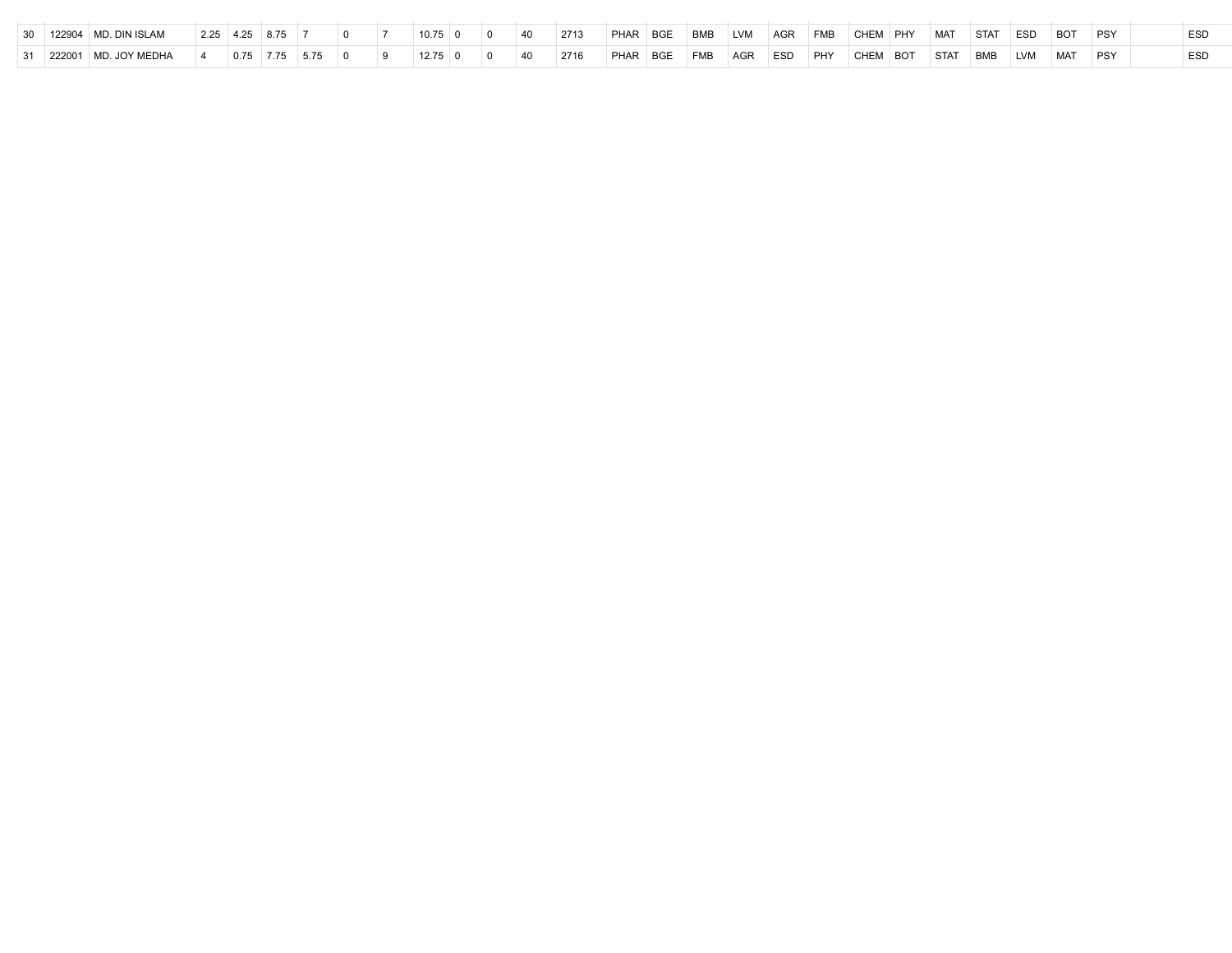|  | $\perp$ 122904 $\parallel$ MD. DIN ISLAM | $2.25$   4.25   8.75 |      |  | $10.75 \pm 0$ |  | 40 | 2713 | PHAR BGE | BMB LVM | AGR FMB | CHEM PHY | MAT      | STAT | <b>ESD</b> | <b>BOT</b> | <b>PSY</b> | <b>ESD</b> |
|--|------------------------------------------|----------------------|------|--|---------------|--|----|------|----------|---------|---------|----------|----------|------|------------|------------|------------|------------|
|  | 222001   MD. JOY MEDHA                   | $0.75$ 7.75          | 5.75 |  | $1275$ 0      |  | 40 | 2716 | PHAR BGE | FMB AGR | ESD PHY | CHEM BOT | STAT BMB |      | LVM        | MAT        | PSY        | <b>ESD</b> |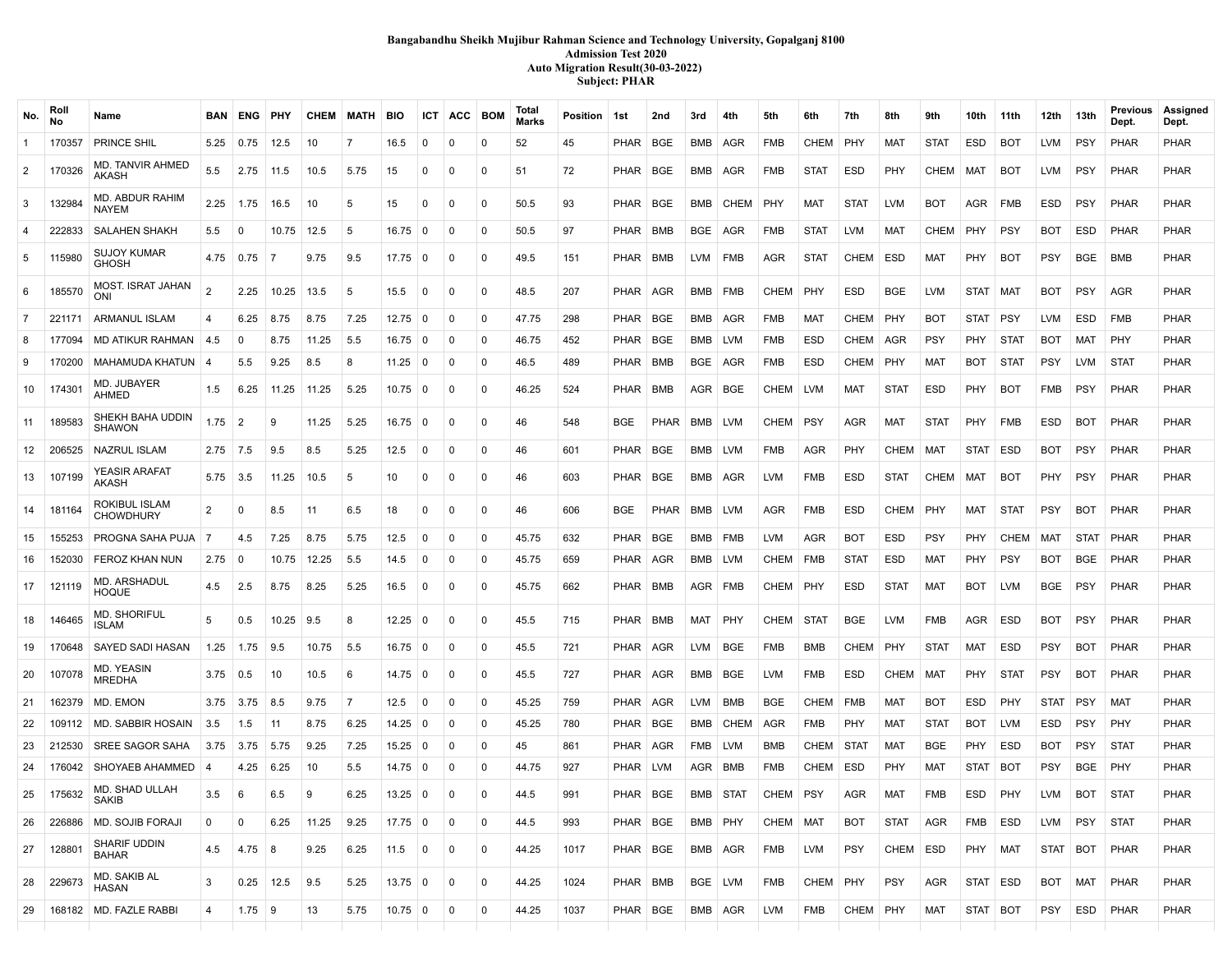# **Bangabandhu Sheikh Mujibur Rahman Science and Technology University, Gopalganj 8100 Admission Test 2020 Auto Migration Result(30-03-2022) Subject: PHAR**

| No.            | Rol<br><b>No</b> | Name                                | <b>BAN</b> | ENG              | ∣ PHY       |          | CHEM MATH      | BIO               |                | <b>ICT ACC BOM</b> |              | Total<br><b>Marks</b> | Position 1st |             | 2nd        | 3rd       | 4th         | 5th         | 6th         | 7th         | 8th         | 9th         | 10th       | 11th        | 12th        | 13th        | Previous<br>Dept. | Assigned<br>Dept. |
|----------------|------------------|-------------------------------------|------------|------------------|-------------|----------|----------------|-------------------|----------------|--------------------|--------------|-----------------------|--------------|-------------|------------|-----------|-------------|-------------|-------------|-------------|-------------|-------------|------------|-------------|-------------|-------------|-------------------|-------------------|
| $\overline{1}$ | 170357           | PRINCE SHIL                         | 5.25       | 0.75             | 12.5        | 10       | 7              | 16.5              | 0              | 0                  | 0            | 52                    | 45           | PHAR        | BGE        | BMB       | AGR         | <b>FMB</b>  | CHEM        | PHY         | <b>MAT</b>  | <b>STAT</b> | ESD        | <b>BOT</b>  | LVM         | <b>PSY</b>  | PHAR              | <b>PHAR</b>       |
| $\overline{2}$ | 170326           | MD. TANVIR AHMED<br>AKASH           | 5.5        | 2.75             | 11.5        | 10.5     | 5.75           | 15                | $\Omega$       | 0                  | 0            | 51                    | 72           | PHAR        | BGE        | BMB       | AGR         | <b>FMB</b>  | <b>STAT</b> | ESD         | PHY         | <b>CHEM</b> | MAT        | <b>BOT</b>  | LVM         | <b>PSY</b>  | PHAR              | <b>PHAR</b>       |
| 3              | 132984           | MD. ABDUR RAHIM<br><b>NAYEM</b>     | 2.25       | 1.75             | 16.5        | 10       | -5             | 15                | $\mathbf{0}$   | $\mathbf{0}$       | 0            | 50.5                  | 93           | PHAR        | BGE        | BMB       | CHEM        | PHY         | MAT         | <b>STAT</b> | <b>LVM</b>  | <b>BOT</b>  | AGR        | ∣ FMB       | ESD         | <b>PSY</b>  | PHAR              | <b>PHAR</b>       |
| 4              | 222833           | <b>SALAHEN SHAKH</b>                | 5.5        | $\mathbf 0$      | 10.75       | 12.5     | -5             | 16.75             | 0              | 0                  | $\Omega$     | 50.5                  | 97           | PHAR        | BMB        | BGE       | AGR         | <b>FMB</b>  | <b>STAT</b> | LVM         | <b>MAT</b>  | <b>CHEM</b> | PHY        | <b>PSY</b>  | BOT         | ESD         | PHAR              | <b>PHAR</b>       |
| 5              | 115980           | <b>SUJOY KUMAR</b><br><b>GHOSH</b>  | 4.75       | 0.75             | 7           | 9.75     | 9.5            | 17.75             | $\overline{0}$ | $\Omega$           | $\mathbf{0}$ | 49.5                  | 151          | PHAR I      | <b>BMB</b> | LVM FMB   |             | AGR         | <b>STAT</b> | <b>CHEM</b> | ESD         | MAT         | PHY        | BOT         | PSY         | <b>BGE</b>  | <b>BMB</b>        | <b>PHAR</b>       |
| 6              | 185570           | <b>MOST. ISRAT JAHAN</b><br>ONI     |            | 2.25             | 10.25       | 13.5     | -5             | 15.5              | $\Omega$       | $\Omega$           | $\Omega$     | 48.5                  | 207          | PHAR        | <b>AGR</b> | BMB       | FMB         | <b>CHEM</b> | PHY         | ESD         | <b>BGE</b>  | <b>LVM</b>  | STAT       | <b>MAT</b>  | <b>BOT</b>  | <b>PSY</b>  | AGR               | <b>PHAR</b>       |
| $\overline{7}$ | 221171           | ARMANUL ISLAM                       |            | 6.25             | 8.75        | 8.75     | 7.25           | 12.75             | <b>0</b>       | $\Omega$           | $\mathbf{0}$ | 47.75                 | 298          | PHAR        | <b>BGE</b> | BMB   AGR |             | <b>FMB</b>  | <b>MAT</b>  | <b>CHEM</b> | PHY         | <b>BOT</b>  | STAT PSY   |             | <b>LVM</b>  | <b>ESD</b>  | <b>FMB</b>        | <b>PHAR</b>       |
| 8              | 177094           | MD ATIKUR RAHMAN                    | 4.5        | $\Omega$         | 8.75        | 11.25    | 5.5            | 16.75             | $\mathbf 0$    | 0                  | $\Omega$     | 46.75                 | 452          | PHAR        | BGE        | BMB       | LVM         | FMB         | <b>ESD</b>  | <b>CHEM</b> | AGR         | <b>PSY</b>  | PHY        | STAT        | BOT         | MAT         | <b>PHY</b>        | <b>PHAR</b>       |
| 9              | 170200           | MAHAMUDA KHATUN                     |            | 5.5              | 9.25        | 8.5      | 8              | 11.25             | $\mathbf 0$    | 0                  | 0            | 46.5                  | 489          | PHAR        | BMB        | BGE       | AGR         | <b>FMB</b>  | ESD         | <b>CHEM</b> | PHY         | MAT         | <b>BOT</b> | STAT        | PSY         | LVM         | <b>STAT</b>       | <b>PHAR</b>       |
| 10             | 174301           | MD. JUBAYER<br>AHMED                | 1.5        | 6.25             | 11.25       | 11.25    | 5.25           | 10.75             | 0              | $\Omega$           | $\mathbf{0}$ | 46.25                 | 524          | PHAR        | BMB        | AGR BGE   |             | CHEM        | LVM         | MAT         | <b>STAT</b> | ESD         | PHY        | BOT         | <b>FMB</b>  | <b>PSY</b>  | PHAR              | <b>PHAR</b>       |
| 11             | 189583           | SHEKH BAHA UDDIN<br><b>SHAWON</b>   | 1.75       | $\overline{2}$   | 9           | 11.25    | 5.25           | 16.75             | 0              | $\Omega$           | 0            | 46                    | 548          | <b>BGE</b>  | PHAR       | BMB       | ∣ LVM       | <b>CHEM</b> | <b>PSY</b>  | <b>AGR</b>  | <b>MAT</b>  | <b>STAT</b> | PHY        | <b>FMB</b>  | ESD         | <b>BOT</b>  | PHAR              | <b>PHAR</b>       |
| 12             | 206525           | <b>NAZRUL ISLAM</b>                 | $2.75$ 7.5 |                  | 9.5         | 8.5      | 5.25           | 12.5              | $\mathbf 0$    | $\Omega$           | $\mathbf{0}$ | 46                    | 601          | PHAR        | BGE        | BMB   LVM |             | <b>FMB</b>  | AGR         | <b>PHY</b>  | CHEM        | <b>MAT</b>  | STAT ESD   |             | BOT         | <b>PSY</b>  | PHAR              | <b>PHAR</b>       |
| 13             | 107199           | YEASIR ARAFAT<br>AKASH              | $5.75$ 3.5 |                  | 11.25       | 10.5     | -5             | 10                | $\Omega$       | $\Omega$           | 0            | 46                    | 603          | PHAR        | <b>BGE</b> | BMB AGR   |             | <b>LVM</b>  | <b>FMB</b>  | ESD         | <b>STAT</b> | <b>CHEM</b> | MAT        | <b>BOT</b>  | <b>PHY</b>  | <b>PSY</b>  | PHAR              | <b>PHAR</b>       |
| 14             | 181164           | ROKIBUL ISLAM<br><b>CHOWDHURY</b>   | 2          | $\Omega$         | 8.5         | 11       | 6.5            | 18                | $\mathbf 0$    | $\Omega$           | $\mathbf{0}$ | 46                    | 606          | <b>BGE</b>  | PHAR       | BMB       | LVM         | AGR         | FMB         | <b>ESD</b>  | <b>CHEM</b> | <b>PHY</b>  | MAT        | STAT        | <b>PSY</b>  | <b>BOT</b>  | PHAR              | <b>PHAR</b>       |
| 15             | 155253           | PROGNA SAHA PUJA                    | -7         | 4.5              | 7.25        | 8.75     | 5.75           | 12.5              | $\Omega$       | 0                  | 0            | 45.75                 | 632          | PHAR        | <b>BGE</b> | BMB       | <b>FMB</b>  | <b>LVM</b>  | AGR         | <b>BOT</b>  | ESD         | <b>PSY</b>  | PHY        | <b>CHEM</b> | MAT         | <b>STAT</b> | PHAR              | PHAR              |
| 16             | 152030           | <b>FEROZ KHAN NUN</b>               | 2.75       | $\mathbf 0$      | 10.75       | 12.25    | 5.5            | 14.5              | $\mathbf 0$    | $\Omega$           | $\mathbf{0}$ | 45.75                 | 659          | PHAR        | AGR        | BMB LVM   |             | CHEM        | FMB         | <b>STAT</b> | ESD         | MAT         | PHY        | <b>PSY</b>  | BOT         | <b>BGE</b>  | <b>PHAR</b>       | <b>PHAR</b>       |
| 17             | 121119           | MD. ARSHADUL<br>HOQUE               | 4.5        | 2.5              | 8.75        | 8.25     | 5.25           | 16.5              | $\mathbf 0$    | $\Omega$           | $\mathbf{0}$ | 45.75                 | 662          | PHAR        | BMB        | AGR FMB   |             | CHEM        | PHY         | ESD         | <b>STAT</b> | MAT         | <b>BOT</b> | LVM         | BGE         | <b>PSY</b>  | PHAR              | <b>PHAR</b>       |
| 18             | 146465           | <b>MD. SHORIFUL</b><br><b>ISLAM</b> | 5          | 0.5              | 10.25       | 9.5      | -8             | 12.25             | ∣0             | 0                  | $\mathbf{0}$ | 45.5                  | 715          | PHAR        | BMB        | MAT       | PHY         | <b>CHEM</b> | STAT        | <b>BGE</b>  | LVM         | <b>FMB</b>  | AGR        | ESD         | вот         | <b>PSY</b>  | PHAR              | <b>PHAR</b>       |
| 19             | 170648           | SAYED SADI HASAN                    | 1.25       | 1.75             | 9.5         | 10.75    | 5.5            | $16.75 \mid 0$    |                | 0                  | 0            | 45.5                  | 721          | PHAR        | AGR        | LVM       | BGE         | <b>FMB</b>  | BMB         | <b>CHEM</b> | <b>PHY</b>  | <b>STAT</b> | <b>MAT</b> | ESD         | PSY         | <b>BOT</b>  | PHAR              | <b>PHAR</b>       |
| 20             | 107078           | MD. YEASIN<br><b>MREDHA</b>         | 3.75       | 0.5              | 10          | 10.5     | -6             | 14.75             | 0              | 0                  | 0            | 45.5                  | 727          | PHAR        | AGR        | BMB       | BGE         | <b>LVM</b>  | <b>FMB</b>  | ESD         | <b>CHEM</b> | <b>MAT</b>  | PHY        | <b>STAT</b> | <b>PSY</b>  | <b>BOT</b>  | PHAR              | <b>PHAR</b>       |
| 21             | 162379           | MD. EMON                            | 3.75       | 3.75             | 8.5         | 9.75     | $\overline{7}$ | 12.5              | $\mathbf 0$    | $\Omega$           | 0            | 45.25                 | 759          | PHAR        | AGR        | LVM       | BMB         | <b>BGE</b>  | <b>CHEM</b> | <b>FMB</b>  | <b>MAT</b>  | <b>BOT</b>  | <b>ESD</b> | PHY         | <b>STAT</b> | PSY         | <b>MAT</b>        | PHAR              |
| 22             | 109112           | <b>MD. SABBIR HOSAIN</b>            | 3.5        | 1.5              | 11          | 8.75     | 6.25           | 14.25             | $\mathbf{0}$   | 0                  | 0            | 45.25                 | 780          | PHAR        | BGE        | BMB       | CHEM        | AGR         | FMB         | PHY         | <b>MAT</b>  | <b>STAT</b> | <b>BOT</b> | LVM         | ESD         | <b>PSY</b>  | PHY               | PHAR              |
| 23             | 212530           | <b>SREE SAGOR SAHA</b>              | 3.75       | 3.75             | 5.75        | 9.25     | 7.25           | 15.25             | $\mathbf 0$    | 0                  | $\mathbf{0}$ | 45                    | 861          | PHAR        | AGR        | FMB       | LVM         | BMB         | <b>CHEM</b> | STAT        | MAT         | <b>BGE</b>  | PHY        | ESD         | вот         | <b>PSY</b>  | <b>STAT</b>       | <b>PHAR</b>       |
| 24             | 176042           | SHOYAEB AHAMMED                     |            | 4.25             | 6.25        | 10       | 5.5            | 14.75             | $\mathbf 0$    | 0                  | 0            | 44.75                 | 927          | PHAR        | <b>LVM</b> | AGR   BMB |             | <b>FMB</b>  | CHEM        | ESD         | PHY         | <b>MAT</b>  | STAT       | <b>BOT</b>  | PSY         | <b>BGE</b>  | PHY               | <b>PHAR</b>       |
| 25             | 175632           | MD. SHAD ULLAH<br>SAKIB             | 3.5        | 6                | 6.5         | <b>g</b> | 6.25           | 13.25             | $\Omega$       | $\Omega$           | $\Omega$     | 44.5                  | 991          | <b>PHAR</b> | <b>BGE</b> | BMB       | <b>STAT</b> | CHEM        | <b>PSY</b>  | <b>AGR</b>  | <b>MAT</b>  | <b>FMB</b>  | <b>ESD</b> | PHY         | LVM         | <b>BOT</b>  | <b>STAT</b>       | <b>PHAR</b>       |
| 26             | 226886           | MD. SOJIB FORAJI                    | 0          | 0                | 6.25        | 11.25    | 9.25           | $17.75 \,   \, 0$ |                | 0                  | 0            | 44.5                  | 993          | PHAR   BGE  |            | BMB PHY   |             | CHEM        | MAT         | <b>BOT</b>  | <b>STAT</b> | <b>AGR</b>  | FMB        | ESD         | LVM         | PSY         | <b>STAT</b>       | PHAR              |
| 27             | 128801           | SHARIF UDDIN<br><b>BAHAR</b>        | 4.5        | $4.75 \,   \, 8$ |             | 9.25     | 6.25           | $11.5 \ 0$        |                | 0                  | 0            | 44.25                 | 1017         | PHAR   BGE  |            | BMB AGR   |             | FMB         | LVM         | PSY         | CHEM   ESD  |             | PHY   MAT  |             |             | STAT BOT    | PHAR              | PHAR              |
| 28             | 229673           | MD. SAKIB AL<br>HASAN               | 3          |                  | $0.25$ 12.5 | 9.5      | 5.25           | $13.75 \,   \, 0$ |                | 0                  | 0            | 44.25                 | 1024         | PHAR   BMB  |            | BGE LVM   |             | FMB         | CHEM PHY    |             | <b>PSY</b>  | AGR         | STAT   ESD |             | BOT         | MAT         | PHAR              | <b>PHAR</b>       |
| 29             |                  | 168182   MD. FAZLE RABBI            | 4          | $1.75$ 9         |             | 13       | 5.75           | $10.75 \,   \, 0$ |                | 0                  | 0            | 44.25                 | 1037         | PHAR   BGE  |            | BMB AGR   |             | LVM         | FMB         | CHEM   PHY  |             | MAT         | STAT   BOT |             | <b>PSY</b>  | ESD         | PHAR              | PHAR              |
|                |                  |                                     |            |                  |             |          |                |                   |                |                    |              |                       |              |             |            |           |             |             |             |             |             |             |            |             |             |             |                   |                   |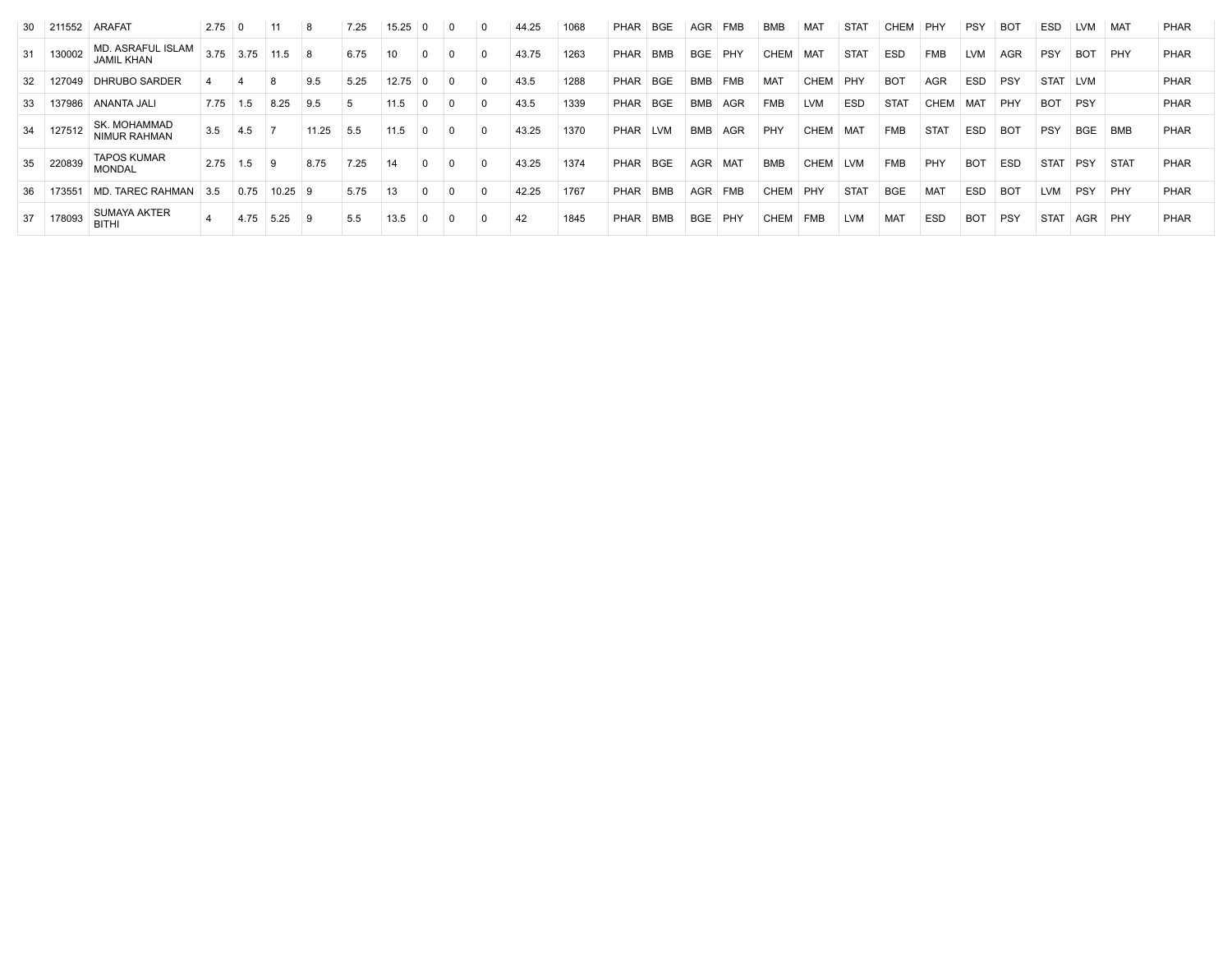|     | 30 211552 | ARAFAT                                 | 2.75 | 0    |       | 8     | 7.25 | 15.25 |          | $\Omega$ | 0        | 44.25 | 1068 | <b>PHAR</b> | BGE        | AGR        | <b>FMB</b> | BMB         | MAT         | <b>STAT</b> | CHEM        | PHY         | <b>PSY</b> | BO <sub>1</sub> | <b>ESD</b>  | LVM        | MAT         | <b>PHAR</b> |
|-----|-----------|----------------------------------------|------|------|-------|-------|------|-------|----------|----------|----------|-------|------|-------------|------------|------------|------------|-------------|-------------|-------------|-------------|-------------|------------|-----------------|-------------|------------|-------------|-------------|
| 31  | 130002    | MD. ASRAFUL ISLAM<br><b>JAMIL KHAN</b> | 3.75 | 3.75 | 11.5  | ∣ 8   | 6.75 | 10    |          | 0        | $\Omega$ | 43.75 | 1263 | <b>PHAR</b> | BMB        | <b>BGE</b> | PHY        | CHEM        | <b>MAT</b>  | <b>STAT</b> | <b>ESD</b>  | FMB         | <b>LVM</b> | AGR             | <b>PSY</b>  | <b>BOT</b> | PHY         | <b>PHAR</b> |
| -32 | 127049    | <b>DHRUBO SARDER</b>                   |      |      |       | 9.5   | 5.25 | 12.75 |          | $\Omega$ | 0        | 43.5  | 1288 | PHAR        | <b>BGE</b> | <b>BMB</b> | <b>FMB</b> | <b>MAT</b>  | CHEM        | PHY         | <b>BOT</b>  | <b>AGR</b>  | <b>ESD</b> | PSY             | STAT        | <b>LVM</b> |             | PHAR        |
| 33  | 137986    | ANANTA JALI                            | 7.75 | 1.5  | 8.25  | 9.5   |      | 11.5  |          |          | $\Omega$ | 43.5  | 1339 | <b>PHAR</b> | <b>BGE</b> | <b>BMB</b> | <b>AGR</b> | <b>FMB</b>  | <b>LVM</b>  | <b>ESD</b>  | <b>STAT</b> | <b>CHEM</b> | MA1        | PHY             | <b>BOT</b>  | <b>PSY</b> |             | PHAR        |
| 34  | 127512    | SK. MOHAMMAD<br>NIMUR RAHMAN           | 3.5  | 4.5  |       | 11.25 | 5.5  | 11.5  | $\Omega$ | $\Omega$ | $\Omega$ | 43.25 | 1370 | <b>PHAR</b> | <b>LVM</b> | <b>BMB</b> | AGR        | PHY         | <b>CHEM</b> | MA1         | <b>FMB</b>  | <b>STAT</b> | <b>ESD</b> | <b>BOT</b>      | <b>PSY</b>  | <b>BGE</b> | <b>BMB</b>  | <b>PHAR</b> |
|     | 35 220839 | <b>TAPOS KUMAR</b><br><b>MONDAL</b>    | 2.75 | 1.5  | 9     | 8.75  | 7.25 | 14    | $\Omega$ | $\Omega$ | $\Omega$ | 43.25 | 1374 | <b>PHAR</b> | <b>BGE</b> | AGR        | <b>MAT</b> | BMB         | CHEM        | <b>LVM</b>  | <b>FMB</b>  | PHY         | BOT        | <b>ESD</b>      | <b>STAT</b> | <b>PSY</b> | <b>STAT</b> | <b>PHAR</b> |
| 36  | 173551    | MD. TAREC RAHMAN                       | 3.5  | 0.75 | 10.25 | - 9   | 5.75 | 13    |          | $\Omega$ | $\Omega$ | 42.25 | 1767 | PHAR        | <b>BMB</b> | <b>AGR</b> | <b>FMB</b> | CHEM        | PHY         | <b>STAT</b> | <b>BGE</b>  | <b>MAT</b>  | <b>ESD</b> | BO <sub>1</sub> | <b>LVM</b>  | <b>PSY</b> | PHY         | PHAR        |
|     | 37 178093 | <b>SUMAYA AKTER</b><br><b>BITHI</b>    |      | 4.75 | 5.25  | ୍ର    | 5.5  | 13.5  |          | 0        | $\Omega$ | 42    | 1845 | PHAR        | <b>BMB</b> | <b>BGE</b> | PHY        | <b>CHEM</b> | <b>FMB</b>  | <b>LVM</b>  | MAT         | <b>ESD</b>  | <b>BOT</b> | PSY             | <b>STAT</b> | AGR        | PHY         | <b>PHAR</b> |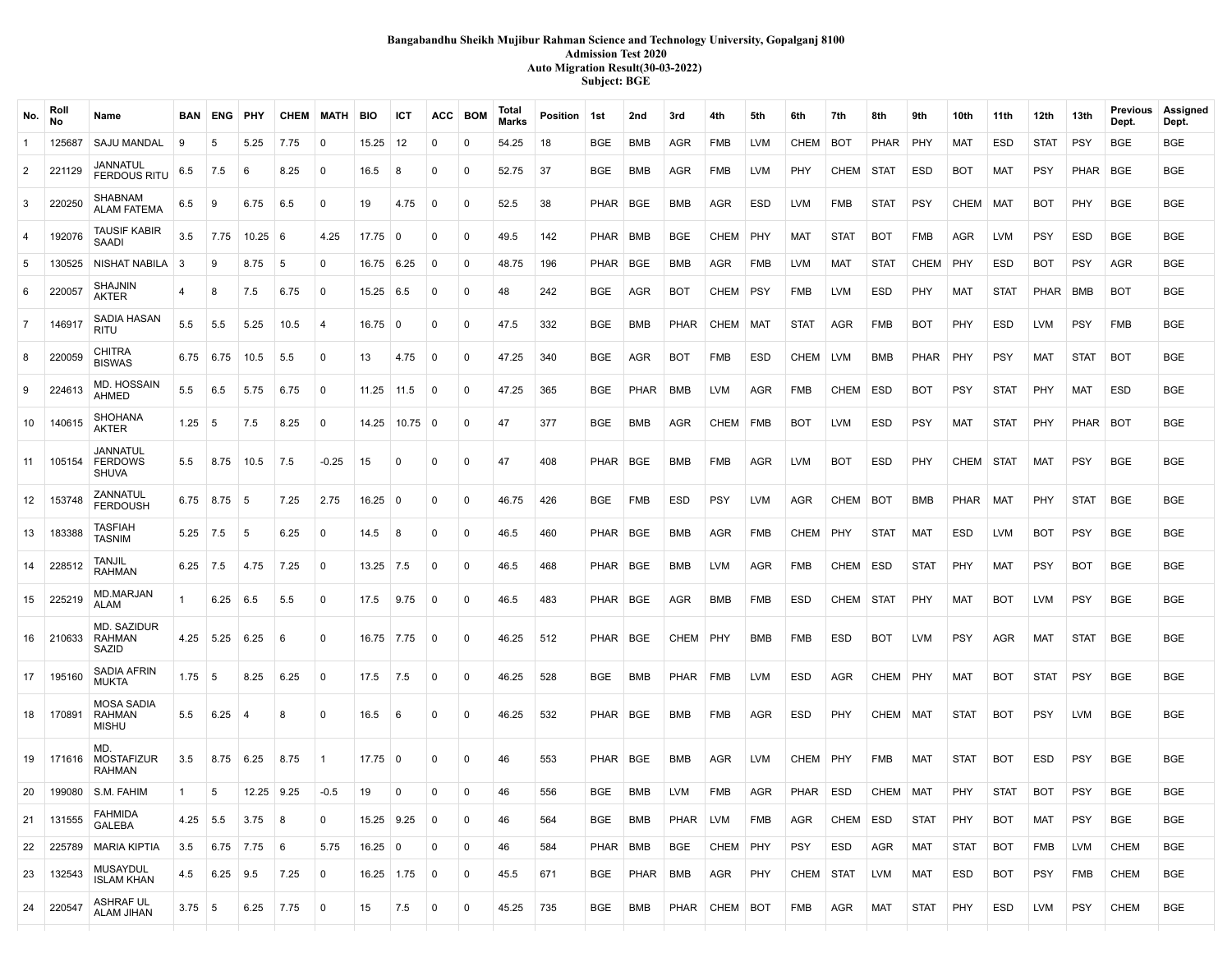### **Bangabandhu Sheikh Mujibur Rahman Science and Technology University, Gopalganj 8100 Admission Test 2020 Auto Migration Result(30-03-2022) Subject: BGE**

| No.            | Roll<br>No | Name                                               |               | <b>BAN ENG PHY</b> |                   |      | <b>CHEM MATH</b> | <b>BIO</b>          | ICT          |                | ACC BOM     | Total<br><b>Marks</b> | Position 1st |            | 2nd         | 3rd         | 4th        | 5th        | 6th         | 7th         | 8th         | 9th         | 10th        | 11th        | 12th        | 13th        | Previous<br>Dept. | Assigned<br>Dept. |
|----------------|------------|----------------------------------------------------|---------------|--------------------|-------------------|------|------------------|---------------------|--------------|----------------|-------------|-----------------------|--------------|------------|-------------|-------------|------------|------------|-------------|-------------|-------------|-------------|-------------|-------------|-------------|-------------|-------------------|-------------------|
| $\mathbf{1}$   | 125687     | <b>SAJU MANDAL</b>                                 | 9             | 5                  | 5.25              | 7.75 | $\mathbf 0$      | 15.25               | 12           | 0              | 0           | 54.25                 | 18           | <b>BGE</b> | BMB         | <b>AGR</b>  | <b>FMB</b> | <b>LVM</b> | <b>CHEM</b> | BOT         | <b>PHAR</b> | PHY         | MAT         | <b>ESD</b>  | <b>STAT</b> | <b>PSY</b>  | <b>BGE</b>        | <b>BGE</b>        |
| $\overline{2}$ | 221129     | JANNATUL<br><b>FERDOUS RITU</b>                    | 6.5           | 7.5                | 6                 | 8.25 | 0                | 16.5                | 8            | 0              | 0           | 52.75                 | 37           | <b>BGE</b> | BMB         | AGR         | FMB        | <b>LVM</b> | PHY         | CHEM        | STAT        | <b>ESD</b>  | <b>BOT</b>  | <b>MAT</b>  | <b>PSY</b>  | PHAR        | <b>BGE</b>        | <b>BGE</b>        |
| 3              | 220250     | <b>SHABNAM</b><br><b>ALAM FATEMA</b>               | 6.5           | 9                  | 6.75              | 6.5  | 0                | 19                  | 4.75         | 0              | $\mathbf 0$ | 52.5                  | 38           | PHAR       | BGE         | <b>BMB</b>  | AGR        | ESD        | LVM         | <b>FMB</b>  | <b>STAT</b> | <b>PSY</b>  | CHEM        | <b>MAT</b>  | <b>BOT</b>  | PHY         | BGE               | <b>BGE</b>        |
| $\overline{4}$ | 192076     | <b>TAUSIF KABIR</b><br>SAADI                       | 3.5           | 7.75               | $10.25 \,   \, 6$ |      | 4.25             | 17.75               | $\mathbf 0$  | 0              | 0           | 49.5                  | 142          | PHAR       | BMB         | <b>BGE</b>  | CHEM       | PHY        | MAT         | <b>STAT</b> | <b>BOT</b>  | <b>FMB</b>  | AGR         | <b>LVM</b>  | <b>PSY</b>  | ESD         | BGE               | <b>BGE</b>        |
| 5              | 130525     | NISHAT NABILA   3                                  |               | 9                  | 8.75              | 5    | 0                | $16.75 \mid 6.25$   |              | 0              | 0           | 48.75                 | 196          | PHAR       | <b>BGE</b>  | <b>BMB</b>  | AGR        | FMB        | <b>LVM</b>  | <b>MAT</b>  | <b>STAT</b> | CHEM        | PHY         | <b>ESD</b>  | <b>BOT</b>  | <b>PSY</b>  | <b>AGR</b>        | <b>BGE</b>        |
| 6              | 220057     | <b>SHAJNIN</b><br><b>AKTER</b>                     | 4             | 8                  | 7.5               | 6.75 | 0                | $15.25 \;   \; 6.5$ |              | 0              | 0           | 48                    | 242          | BGE        | AGR         | <b>BOT</b>  | CHEM       | <b>PSY</b> | <b>FMB</b>  | LVM         | ESD         | PHY         | <b>MAT</b>  | <b>STAT</b> | PHAR        | <b>BMB</b>  | <b>BOT</b>        | <b>BGE</b>        |
| $\overline{7}$ | 146917     | SADIA HASAN<br>RITU                                | 5.5           | 5.5                | 5.25              | 10.5 | $\overline{4}$   | $16.75 \,   \, 0$   |              | $\Omega$       | $\mathbf 0$ | 47.5                  | 332          | BGE        | BMB         | <b>PHAR</b> | CHEM       | MAT        | <b>STAT</b> | AGR         | FMB         | <b>BOT</b>  | <b>PHY</b>  | <b>ESD</b>  | LVM         | <b>PSY</b>  | <b>FMB</b>        | <b>BGE</b>        |
| 8              | 220059     | <b>CHITRA</b><br><b>BISWAS</b>                     |               | $6.75 \quad 6.75$  | 10.5              | 5.5  | 0                | 13                  | 4.75         | $\Omega$       | 0           | 47.25                 | 340          | <b>BGE</b> | AGR         | <b>BOT</b>  | FMB        | ESD        | CHEM        | <b>LVM</b>  | <b>BMB</b>  | PHAR        | PHY         | <b>PSY</b>  | <b>MAT</b>  | <b>STAT</b> | <b>BOT</b>        | <b>BGE</b>        |
| 9              | 224613     | <b>MD. HOSSAIN</b><br>AHMED                        | 5.5           | 6.5                | 5.75              | 6.75 | 0                | 11.25               | 11.5         | $\Omega$       | 0           | 47.25                 | 365          | <b>BGE</b> | <b>PHAR</b> | BMB         | <b>LVM</b> | <b>AGR</b> | <b>FMB</b>  | CHEM        | ESD         | <b>BOT</b>  | <b>PSY</b>  | <b>STAT</b> | PHY         | MAT         | <b>ESD</b>        | <b>BGE</b>        |
| 10             | 140615     | <b>SHOHANA</b><br><b>AKTER</b>                     | $1.25 \, 5$   |                    | 7.5               | 8.25 | 0                | 14.25               | 10.75        | 0              | 0           | 47                    | 377          | <b>BGE</b> | BMB         | <b>AGR</b>  | CHEM       | FMB        | <b>BOT</b>  | <b>LVM</b>  | <b>ESD</b>  | <b>PSY</b>  | <b>MAT</b>  | <b>STAT</b> | PHY         | PHAR        | <b>BOT</b>        | <b>BGE</b>        |
| 11             | 105154     | JANNATUL<br><b>FERDOWS</b><br>SHUVA                | 5.5           | 8.75               | 10.5              | 7.5  | $-0.25$          | 15                  | $\mathbf{0}$ | 0              | 0           | 47                    | 408          | PHAR       | BGE         | <b>BMB</b>  | FMB        | AGR        | LVM         | <b>BOT</b>  | ESD         | PHY         | CHEM        | STAT        | MAT         | <b>PSY</b>  | BGE               | <b>BGE</b>        |
| 12             | 153748     | ZANNATUL<br>FERDOUSH                               |               | $6.75$ $8.75$ 5    |                   | 7.25 | 2.75             | $16.25 \ 0$         |              | $\mathbf{0}$   | 0           | 46.75                 | 426          | <b>BGE</b> | FMB         | <b>ESD</b>  | <b>PSY</b> | <b>LVM</b> | AGR         | CHEM        | <b>BOT</b>  | <b>BMB</b>  | PHAR        | MAT         | PHY         | <b>STAT</b> | <b>BGE</b>        | <b>BGE</b>        |
| 13             | 183388     | <b>TASFIAH</b><br>TASNIM                           | $5.25$ 7.5    |                    | 5                 | 6.25 | 0                | 14.5                | 8            | 0              | 0           | 46.5                  | 460          | PHAR       | <b>BGE</b>  | <b>BMB</b>  | <b>AGR</b> | FMB        | <b>CHEM</b> | PHY         | <b>STAT</b> | <b>MAT</b>  | ESD         | <b>LVM</b>  | <b>BOT</b>  | <b>PSY</b>  | <b>BGE</b>        | <b>BGE</b>        |
| 14             | 228512     | TANJIL<br>RAHMAN                                   | $6.25$ 7.5    |                    | 4.75              | 7.25 | 0                | $13.25$ 7.5         |              | 0              | 0           | 46.5                  | 468          | PHAR I     | BGE         | <b>BMB</b>  | LVM        | AGR        | <b>FMB</b>  | CHEM        | ESD         | <b>STAT</b> | <b>PHY</b>  | <b>MAT</b>  | <b>PSY</b>  | <b>BOT</b>  | <b>BGE</b>        | <b>BGE</b>        |
| 15             | 225219     | MD.MARJAN<br>ALAM                                  | 1             | $6.25 \;   \; 6.5$ |                   | 5.5  | $\mathbf 0$      | 17.5                | 9.75         | $\Omega$       | 0           | 46.5                  | 483          | PHAR I     | BGE         | AGR         | BMB        | FMB        | ESD         | CHEM        | STAT        | PHY         | MAT         | <b>BOT</b>  | LVM         | <b>PSY</b>  | BGE               | <b>BGE</b>        |
| 16             | 210633     | <b>MD. SAZIDUR</b><br>RAHMAN<br>SAZID              |               | $4.25$ 5.25 6.25   |                   | 6    | $\mathbf{0}$     | $16.75$ 7.75        |              | 0              | 0           | 46.25                 | 512          | PHAR BGE   |             | CHEM        | PHY        | BMB        | <b>FMB</b>  | ESD         | BOT         | <b>LVM</b>  | <b>PSY</b>  | AGR         | MAT         | <b>STAT</b> | <b>BGE</b>        | <b>BGE</b>        |
| 17             | 195160     | <b>SADIA AFRIN</b><br><b>MUKTA</b>                 | $1.75$ 5      |                    | 8.25              | 6.25 | 0                | 17.5                | 7.5          | 0              | 0           | 46.25                 | 528          | BGE        | BMB         | PHAR        | FMB        | LVM        | ESD         | AGR         | CHEM        | PHY         | MAT         | BOT         | <b>STAT</b> | <b>PSY</b>  | BGE               | <b>BGE</b>        |
| 18             | 170891     | <b>MOSA SADIA</b><br><b>RAHMAN</b><br><b>MISHU</b> | $5.5^{\circ}$ | 6.25               | -4                | 8    | $\mathbf 0$      | 16.5                | 6            | 0              | 0           | 46.25                 | 532          | PHAR       | BGE         | <b>BMB</b>  | FMB        | <b>AGR</b> | ESD         | PHY         | CHEM        | MAT         | <b>STAT</b> | <b>BOT</b>  | <b>PSY</b>  | <b>LVM</b>  | <b>BGE</b>        | <b>BGE</b>        |
| 19             | 171616     | MD.<br><b>MOSTAFIZUR</b><br><b>RAHMAN</b>          | 3.5           |                    | $8.75$ 6.25       | 8.75 | -1               | $17.75$ 0           |              | $\mathbf{0}$   | 0           | 46                    | 553          | PHAR BGE   |             | <b>BMB</b>  | AGR        | <b>LVM</b> | CHEM        | PHY         | <b>FMB</b>  | <b>MAT</b>  | <b>STAT</b> | <b>BOT</b>  | ESD         | <b>PSY</b>  | BGE               | <b>BGE</b>        |
| 20             |            | 199080   S.M. FAHIM                                | $\mathbf{1}$  | 5                  | 12.25 9.25        |      | $-0.5$           | 19                  | 0            | 0              | 0           | 46                    | 556          | <b>BGE</b> | BMB         | <b>LVM</b>  | <b>FMB</b> | AGR        | PHAR        | ESD         | CHEM MAT    |             | PHY         | <b>STAT</b> | <b>BOT</b>  | <b>PSY</b>  | <b>BGE</b>        | <b>BGE</b>        |
| 21             | 131555     | <b>FAHMIDA</b><br><b>GALEBA</b>                    | $4.25$ 5.5    |                    | 3.75              | 8    | $\mathbf{0}$     | 15.25 9.25          |              | 0              | 0           | 46                    | 564          | BGE        | BMB         | PHAR LVM    |            | FMB        | AGR         | CHEM ESD    |             | <b>STAT</b> | PHY         | <b>BOT</b>  | MAT         | <b>PSY</b>  | <b>BGE</b>        | <b>BGE</b>        |
| 22             | 225789     | MARIA KIPTIA                                       | 3.5           |                    | $6.75$ 7.75 6     |      | 5.75             | $16.25 \,   \, 0$   |              | 0              | 0           | 46                    | 584          | PHAR   BMB |             | BGE         | CHEM PHY   |            | <b>PSY</b>  | ESD         | AGR         | <b>MAT</b>  | <b>STAT</b> | <b>BOT</b>  | FMB         | LVM         | <b>CHEM</b>       | <b>BGE</b>        |
| 23             | 132543     | <b>MUSAYDUL</b><br><b>ISLAM KHAN</b>               | 4.5           | $6.25$ 9.5         |                   | 7.25 | $\mathbf 0$      | $16.25$   1.75      |              | $\overline{0}$ | 0           | 45.5                  | 671          | BGE        | PHAR        | BMB         | AGR        | PHY        | CHEM        | STAT        | LVM         | MAT         | ESD         | <b>BOT</b>  | <b>PSY</b>  | FMB         | <b>CHEM</b>       | <b>BGE</b>        |
| 24             | 220547     | ASHRAF UL<br><b>ALAM JIHAN</b>                     | $3.75$ 5      |                    | 6.25              | 7.75 | 0                | 15                  | 7.5          | 0              | 0           | 45.25                 | 735          | BGE        | BMB         | PHAR        | CHEM       | <b>BOT</b> | FMB         | AGR         | MAT         | <b>STAT</b> | PHY         | ESD         | LVM         | PSY         | <b>CHEM</b>       | <b>BGE</b>        |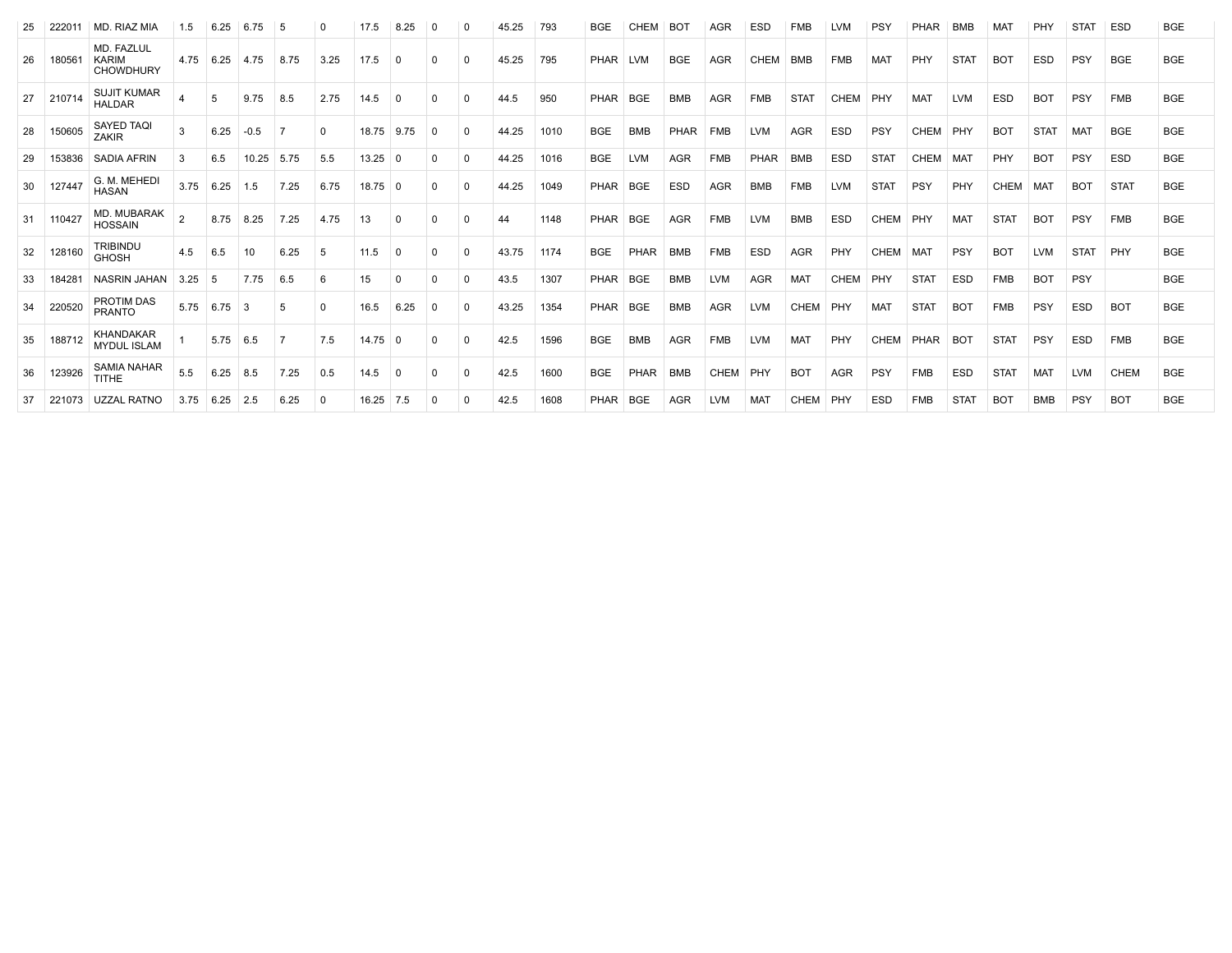|    | 222011 | MD. RIAZ MIA                                   | 1.5            | 6.25       | 6.75   |      |          | 17.5           | 8.25     |          |             | 45.25 | 793  | <b>BGE</b>  | <b>CHEM</b> | BO <sub>1</sub> | <b>AGR</b>  | <b>ESD</b>  | <b>FMB</b>       |             | <b>PSY</b>  | PHAR        | <b>BMB</b>      |             | PHY         | <b>STAT</b> | <b>ESD</b>  | <b>BGE</b> |
|----|--------|------------------------------------------------|----------------|------------|--------|------|----------|----------------|----------|----------|-------------|-------|------|-------------|-------------|-----------------|-------------|-------------|------------------|-------------|-------------|-------------|-----------------|-------------|-------------|-------------|-------------|------------|
| 26 | 180561 | MD. FAZLUL<br><b>KARIM</b><br><b>CHOWDHURY</b> | 4.75           | 6.25       | 4.75   | 8.75 | 3.25     | 17.5           | $\Omega$ | $\Omega$ | $\Omega$    | 45.25 | 795  | PHAR LVM    |             | <b>BGE</b>      | <b>AGR</b>  | <b>CHEM</b> | BMB              | <b>FMB</b>  | <b>MAT</b>  | <b>PHY</b>  | <b>STAT</b>     | <b>BOT</b>  | <b>ESD</b>  | <b>PSY</b>  | <b>BGE</b>  | <b>BGE</b> |
| 27 | 210714 | <b>SUJIT KUMAR</b><br><b>HALDAR</b>            |                | 5          | 9.75   | 8.5  | 2.75     | 14.5           | $\Omega$ | $\Omega$ | $\Omega$    | 44.5  | 950  | PHAR        | <b>BGE</b>  | <b>BMB</b>      | <b>AGR</b>  | <b>FMB</b>  | STA <sub>1</sub> | <b>CHEM</b> | PHY         | <b>MAT</b>  | LVM             | <b>ESD</b>  | <b>BOT</b>  | <b>PSY</b>  | <b>FMB</b>  | <b>BGE</b> |
| 28 | 150605 | <b>SAYED TAQI</b><br><b>ZAKIR</b>              | 3              | 6.25       | $-0.5$ |      | $\Omega$ | 18.75          | 9.75     | $\Omega$ | 0           | 44.25 | 1010 | <b>BGE</b>  | <b>BMB</b>  | PHAR            | FMB         | <b>LVM</b>  | <b>AGR</b>       | <b>ESD</b>  | PSY         | <b>CHEM</b> | PHY             | <b>BOT</b>  | <b>STAT</b> | <b>MAT</b>  | <b>BGE</b>  | <b>BGE</b> |
| 29 | 153836 | SADIA AFRIN                                    | 3              | 6.5        | 10.25  | 5.75 | 5.5      | $13.25 \mid 0$ |          | 0        | $\mathbf 0$ | 44.25 | 1016 | <b>BGE</b>  | <b>LVM</b>  | <b>AGR</b>      | <b>FMB</b>  | PHAR        | <b>BMB</b>       | <b>ESD</b>  | <b>STAT</b> | <b>CHEM</b> | MA <sub>1</sub> | PHY         | <b>BOT</b>  | <b>PSY</b>  | <b>ESD</b>  | <b>BGE</b> |
| 30 | 127447 | G. M. MEHED<br><b>HASAN</b>                    | 3.75           | 6.25       | 1.5    | 7.25 | 6.75     | $18.75$ 0      |          | $\Omega$ | $\Omega$    | 44.25 | 1049 | PHAR        | <b>BGE</b>  | <b>ESD</b>      | <b>AGR</b>  | <b>BMB</b>  | <b>FMB</b>       | <b>LVM</b>  | <b>STAT</b> | PSY         | PHY             | <b>CHEM</b> | MAT         | <b>BOT</b>  | <b>STAT</b> | <b>BGE</b> |
| 31 | 110427 | MD. MUBARAK<br><b>HOSSAIN</b>                  | $\overline{2}$ | 8.75       | 8.25   | 7.25 | 4.75     | 13             | $\Omega$ | $\Omega$ | $\Omega$    | 44    | 1148 | <b>PHAR</b> | <b>BGE</b>  | AGR             | <b>FMB</b>  | <b>LVM</b>  | <b>BMB</b>       | <b>ESD</b>  | <b>CHEM</b> | PHY         | MA <sub>1</sub> | <b>STAT</b> | <b>BOT</b>  | <b>PSY</b>  | <b>FMB</b>  | <b>BGE</b> |
| 32 | 128160 | <b>TRIBINDU</b><br><b>GHOSH</b>                | 4.5            | 6.5        |        | 6.25 | -5       | 11.5           | $\Omega$ | $\Omega$ | $\Omega$    | 43.75 | 1174 | <b>BGE</b>  | PHAR        | <b>BMB</b>      | <b>FMB</b>  | <b>ESD</b>  | <b>AGR</b>       | PHY         | <b>CHEM</b> | <b>MAT</b>  | PSY             | <b>BOT</b>  | <b>LVM</b>  | <b>STAT</b> | PHY         | <b>BGE</b> |
| 33 | 18428  | <b>NASRIN JAHAN</b>                            | 3.25           | 5          | 7.75   | 6.5  | 6        | 15             | $\Omega$ | $\Omega$ | $\Omega$    | 43.5  | 1307 | PHAR        | <b>BGE</b>  | <b>BMB</b>      | <b>LVM</b>  | <b>AGR</b>  | <b>MAT</b>       | <b>CHEM</b> | PHY         | <b>STAT</b> | <b>ESD</b>      | <b>FMB</b>  | <b>BOT</b>  | <b>PSY</b>  |             | <b>BGE</b> |
| 34 | 220520 | <b>PROTIM DAS</b><br><b>PRANTO</b>             | 5.75           | 6.75       |        | .5   | $\Omega$ | 16.5           | 6.25     | $\Omega$ | 0           | 43.25 | 1354 | PHAR        | <b>BGE</b>  | <b>BMB</b>      | <b>AGR</b>  | <b>LVM</b>  | <b>CHEM</b>      | PHY         | <b>MAT</b>  | <b>STAT</b> | <b>BOT</b>      | <b>FMB</b>  | PSY         | <b>ESD</b>  | <b>BOT</b>  | <b>BGE</b> |
| 35 | 188712 | <b>KHANDAKAR</b><br><b>MYDUL ISLAM</b>         |                | $5.75$ 6.5 |        |      | 7.5      | 14.75          | - 0      | $\Omega$ | $\Omega$    | 42.5  | 1596 | <b>BGE</b>  | <b>BMB</b>  | <b>AGR</b>      | <b>FMB</b>  | <b>LVM</b>  | MAT              | PHY         | <b>CHEM</b> | PHAR        | BO <sub>1</sub> | <b>STAT</b> | PSY         | <b>ESD</b>  | <b>FMB</b>  | <b>BGE</b> |
| 36 | 123926 | <b>SAMIA NAHAR</b><br><b>TITHE</b>             | 5.5            | 6.25       | 8.5    | 7.25 | 0.5      | 14.5           | $\Omega$ | $\Omega$ | $\Omega$    | 42.5  | 1600 | <b>BGE</b>  | PHAR        | <b>BMB</b>      | <b>CHEM</b> | PHY         | <b>BOT</b>       | <b>AGR</b>  | PSY         | <b>FMB</b>  | <b>ESD</b>      | <b>STAT</b> | <b>MAT</b>  | <b>LVM</b>  | <b>CHEM</b> | <b>BGE</b> |
| 37 | 221073 | <b>UZZAL RATNO</b>                             | 3.75           | 6.25       | 2.5    | 6.25 | 0        | 16.25          | 7.5      | 0        | 0           | 42.5  | 1608 | PHAR        | <b>BGE</b>  | AGR             | <b>LVM</b>  | <b>MAT</b>  | <b>CHEM</b>      | PHY         | <b>ESD</b>  | <b>FMB</b>  | <b>STAT</b>     | <b>BOT</b>  | <b>BMB</b>  | PSY         | <b>BOT</b>  | <b>BGE</b> |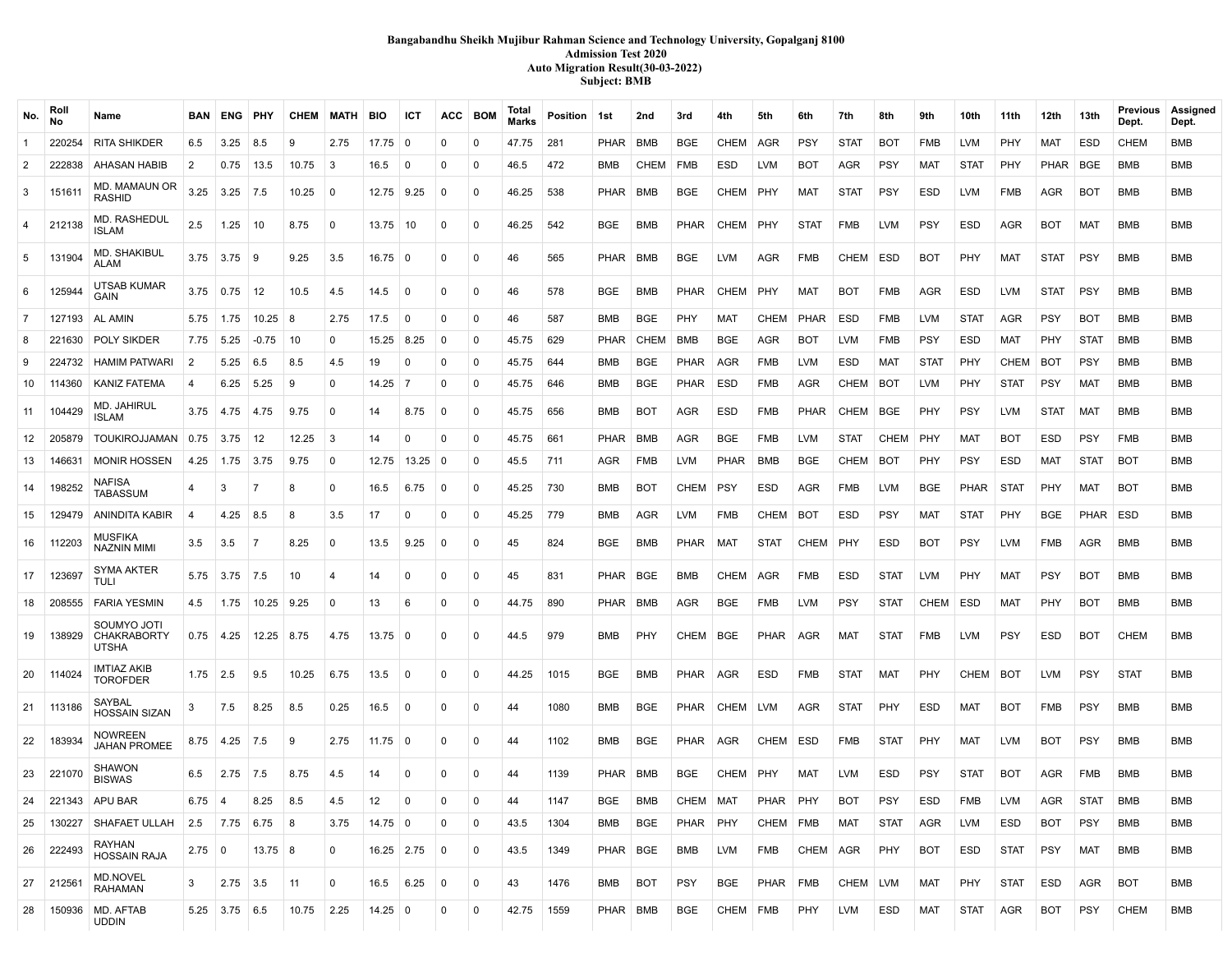### **Bangabandhu Sheikh Mujibur Rahman Science and Technology University, Gopalganj 8100 Admission Test 2020 Auto Migration Result(30-03-2022) Subject: BMB**

| No.            | Roll<br><b>No</b> | Name                                       | BAN              | ENG PHY                |                   | <b>CHEM</b>           | MATH         | <b>BIO</b>        | ICT                 | ACC            | <b>BOM</b>     | Total<br><b>Marks</b> | Position 1st |             | 2nd                           | 3rd         | 4th         | 5th         | 6th         | 7th         | 8th         | 9th                          | 10th        | 11th        | 12th        | 13th        | <b>Previous</b><br>Dept. | Assigned<br>Dept. |
|----------------|-------------------|--------------------------------------------|------------------|------------------------|-------------------|-----------------------|--------------|-------------------|---------------------|----------------|----------------|-----------------------|--------------|-------------|-------------------------------|-------------|-------------|-------------|-------------|-------------|-------------|------------------------------|-------------|-------------|-------------|-------------|--------------------------|-------------------|
| $\overline{1}$ | 220254            | <b>RITA SHIKDER</b>                        | 6.5              | 3.25                   | 8.5               | 9                     | 2.75         | $17.75 \,   \, 0$ |                     | $\mathbf 0$    | $\mathbf 0$    | 47.75                 | 281          | PHAR        | BMB                           | <b>BGE</b>  | <b>CHEM</b> | AGR         | <b>PSY</b>  | <b>STAT</b> | <b>BOT</b>  | <b>FMB</b>                   | <b>LVM</b>  | PHY         | <b>MAT</b>  | <b>ESD</b>  | <b>CHEM</b>              | <b>BMB</b>        |
| $\overline{2}$ | 222838            | AHASAN HABIB                               | 2                | 0.75                   | 13.5              | 10.75                 | -3           | 16.5              | $\Omega$            | $\Omega$       | $\Omega$       | 46.5                  | 472          | BMB         | <b>CHEM</b>                   | FMB         | ESD         | <b>LVM</b>  | BOT         | AGR         | <b>PSY</b>  | MAT                          | <b>STAT</b> | PHY         | <b>PHAR</b> | <b>BGE</b>  | <b>BMB</b>               | <b>BMB</b>        |
| 3              | 151611            | MD. MAMAUN OR<br>RASHID                    | 3.25             | $3.25$ 7.5             |                   | 10.25                 | $\mathbf 0$  | 12.75 9.25        |                     | $\mathbf 0$    | $\mathbf 0$    | 46.25                 | 538          | PHAR        | <b>BMB</b>                    | <b>BGE</b>  | CHEM        | PHY         | MAT         | <b>STAT</b> | <b>PSY</b>  | <b>ESD</b>                   | <b>LVM</b>  | <b>FMB</b>  | AGR         | <b>BOT</b>  | BMB                      | <b>BMB</b>        |
| $\overline{4}$ | 212138            | MD. RASHEDUL<br>ISLAM                      | $2.5\,$          | 1.25                   | 10                | 8.75                  | $\Omega$     | 13.75             | 10                  | $\Omega$       | 0              | 46.25                 | 542          | <b>BGE</b>  | <b>BMB</b>                    | <b>PHAR</b> | CHEM        | PHY         | <b>STAT</b> | <b>FMB</b>  | <b>LVM</b>  | <b>PSY</b>                   | <b>ESD</b>  | AGR         | <b>BOT</b>  | <b>MAT</b>  | <b>BMB</b>               | <b>BMB</b>        |
| 5              | 131904            | MD. SHAKIBUL<br>ALAM                       |                  | $3.75$ $3.75$ 9        |                   | 9.25                  | 3.5          | $16.75 \pm 0$     |                     | $\mathbf 0$    | $\mathbf 0$    | 46                    | 565          | PHAR BMB    |                               | <b>BGE</b>  | LVM         | AGR         | <b>FMB</b>  | CHEM        | <b>ESD</b>  | <b>BOT</b>                   | PHY         | MAT         | <b>STAT</b> | <b>PSY</b>  | <b>BMB</b>               | <b>BMB</b>        |
| 6              | 125944            | UTSAB KUMAR<br>GAIN                        | 3.75             | 0.75                   | 12                | 10.5                  | 4.5          | 14.5              | $\Omega$            | $\Omega$       | $\Omega$       | 46                    | 578          | <b>BGE</b>  | <b>BMB</b>                    | PHAR        | <b>CHEM</b> | PHY         | <b>MAT</b>  | <b>BOT</b>  | <b>FMB</b>  | <b>AGR</b>                   | <b>ESD</b>  | <b>LVM</b>  | <b>STAT</b> | <b>PSY</b>  | BMB                      | <b>BMB</b>        |
| $\overline{7}$ | 127193            | AL AMIN                                    | 5.75             | 1.75                   | $10.25$ 8         |                       | 2.75         | 17.5              | $\Omega$            | $\mathbf 0$    | 0              | 46                    | 587          | <b>BMB</b>  | <b>BGE</b>                    | <b>PHY</b>  | <b>MAT</b>  | <b>CHEM</b> | <b>PHAR</b> | <b>ESD</b>  | <b>FMB</b>  | <b>LVM</b>                   | <b>STAT</b> | <b>AGR</b>  | <b>PSY</b>  | <b>BOT</b>  | <b>BMB</b>               | <b>BMB</b>        |
| 8              | 221630            | POLY SIKDER                                | 7.75             | 5.25                   | $-0.75$           | 10                    | $\mathbf 0$  | 15.25             | 8.25                | $\Omega$       | 0              | 45.75                 | 629          | <b>PHAR</b> | <b>CHEM</b>                   | BMB         | BGE         | AGR         | <b>BOT</b>  | <b>LVM</b>  | <b>FMB</b>  | <b>PSY</b>                   | <b>ESD</b>  | MAT         | <b>PHY</b>  | <b>STAT</b> | BMB                      | <b>BMB</b>        |
| 9              | 224732            | <b>HAMIM PATWARI</b>                       | -2               | 5.25                   | 6.5               | 8.5                   | 4.5          | 19                | $\mathbf 0$         | $\mathbf 0$    | $\mathbf 0$    | 45.75                 | 644          | BMB         | <b>BGE</b>                    | PHAR        | AGR         | <b>FMB</b>  | <b>LVM</b>  | ESD         | MAT         | <b>STAT</b>                  | PHY         | CHEM        | BOT         | <b>PSY</b>  | BMB                      | <b>BMB</b>        |
| 10             | 114360            | KANIZ FATEMA                               | -4               |                        | $6.25$ 5.25       | 9                     | $\mathbf{0}$ | 14.25             | - 7                 | $\mathbf 0$    | $\mathbf 0$    | 45.75                 | 646          | BMB         | BGE                           | PHAR        | <b>ESD</b>  | <b>FMB</b>  | AGR         | CHEM        | <b>BOT</b>  | <b>LVM</b>                   | PHY         | <b>STAT</b> | <b>PSY</b>  | <b>MAT</b>  | <b>BMB</b>               | <b>BMB</b>        |
| 11             | 104429            | MD. JAHIRUL<br>ISLAM                       |                  | $3.75$ $ 4.75$ $ 4.75$ |                   | 9.75                  | $\Omega$     | 14                | 8.75                | $\Omega$       | $\mathbf 0$    | 45.75                 | 656          | BMB         | <b>BOT</b>                    | <b>AGR</b>  | <b>ESD</b>  | <b>FMB</b>  | <b>PHAR</b> | CHEM        | <b>BGE</b>  | PHY                          | <b>PSY</b>  | <b>LVM</b>  | <b>STAT</b> | <b>MAT</b>  | BMB                      | <b>BMB</b>        |
| 12             | 205879            | TOUKIROJJAMAN                              | 0.75             | 3.75                   | 12                | 12.25                 | -3           | 14                | $\mathbf{0}$        | $\Omega$       | $\mathbf 0$    | 45.75                 | 661          | PHAR        | <b>BMB</b>                    | <b>AGR</b>  | <b>BGE</b>  | <b>FMB</b>  | <b>LVM</b>  | <b>STAT</b> | CHEM        | PHY                          | <b>MAT</b>  | <b>BOT</b>  | <b>ESD</b>  | <b>PSY</b>  | <b>FMB</b>               | <b>BMB</b>        |
| 13             | 146631            | <b>MONIR HOSSEN</b>                        | 4.25             | $1.75$ 3.75            |                   | 9.75                  | $^{\circ}$   |                   | $12.75$   13.25   0 |                | $\mathbf 0$    | 45.5                  | 711          | AGR         | <b>FMB</b>                    | <b>LVM</b>  | <b>PHAR</b> | <b>BMB</b>  | <b>BGE</b>  | CHEM        | <b>BOT</b>  | PHY                          | <b>PSY</b>  | ESD         | MAT         | <b>STAT</b> | <b>BOT</b>               | <b>BMB</b>        |
| 14             | 198252            | NAFISA<br>TABASSUM                         |                  | 3                      | 7                 | 8                     | <sup>0</sup> | 16.5              | 6.75                | $\Omega$       | $\mathbf 0$    | 45.25                 | 730          | BMB         | <b>BOT</b>                    | CHEM        | <b>PSY</b>  | <b>ESD</b>  | <b>AGR</b>  | <b>FMB</b>  | <b>LVM</b>  | <b>BGE</b>                   | <b>PHAR</b> | <b>STAT</b> | <b>PHY</b>  | <b>MAT</b>  | <b>BOT</b>               | <b>BMB</b>        |
| 15             | 129479            | ANINDITA KABIR                             |                  | $4.25$ 8.5             |                   | 8                     | 3.5          | 17                | $\Omega$            | $\mathbf 0$    | $\mathbf 0$    | 45.25                 | 779          | <b>BMB</b>  | <b>AGR</b>                    | <b>LVM</b>  | <b>FMB</b>  | CHEM        | <b>BOT</b>  | <b>ESD</b>  | <b>PSY</b>  | <b>MAT</b>                   | <b>STAT</b> | <b>PHY</b>  | <b>BGE</b>  | <b>PHAR</b> | ESD                      | <b>BMB</b>        |
| 16             | 112203            | <b>MUSFIKA</b><br><b>NAZNIN MIMI</b>       | 3.5              | 3.5                    | -7                | 8.25                  | $\Omega$     | 13.5              | 9.25                | $\Omega$       | $\Omega$       | 45                    | 824          | <b>BGE</b>  | <b>BMB</b>                    | PHAR        | <b>MAT</b>  | <b>STAT</b> | <b>CHEM</b> | PHY         | <b>ESD</b>  | <b>BOT</b>                   | <b>PSY</b>  | <b>LVM</b>  | FMB         | <b>AGR</b>  | <b>BMB</b>               | <b>BMB</b>        |
| 17             | 123697            | <b>SYMA AKTER</b><br>tuli                  | 5.75             | 3.75                   | 17.5              | 10                    | 4            | 14                | $\mathbf 0$         | $\Omega$       | $\mathbf 0$    | 45                    | 831          | PHAR BGE    |                               | <b>BMB</b>  | <b>CHEM</b> | AGR         | <b>FMB</b>  | ESD         | <b>STAT</b> | <b>LVM</b>                   | PHY         | <b>MAT</b>  | <b>PSY</b>  | <b>BOT</b>  | BMB                      | <b>BMB</b>        |
| 18             | 208555            | <b>FARIA YESMIN</b>                        | 4.5              | 1.75                   | 10.25             | 9.25                  | $\mathbf 0$  | 13                | 6                   | $\mathbf 0$    | $\mathbf 0$    | 44.75                 | 890          | PHAR        | <b>BMB</b>                    | AGR         | <b>BGE</b>  | <b>FMB</b>  | <b>LVM</b>  | <b>PSY</b>  | <b>STAT</b> | CHEM                         | ESD         | <b>MAT</b>  | PHY         | <b>BOT</b>  | BMB                      | <b>BMB</b>        |
| 19             | 138929            | SOUMYO JOTI<br><b>CHAKRABORTY</b><br>UTSHA |                  | $0.75$ 4.25            | $12.25$ 8.75      |                       | 4.75         | $13.75$ 0         |                     | $\mathbf 0$    | $\mathbf 0$    | 44.5                  | 979          | BMB         | <b>PHY</b>                    | CHEM   BGE  |             | PHAR        | AGR         | MAT         | <b>STAT</b> | <b>FMB</b>                   | <b>LVM</b>  | <b>PSY</b>  | ESD         | <b>BOT</b>  | <b>CHEM</b>              | <b>BMB</b>        |
| 20             | 114024            | <b>IMTIAZ AKIB</b><br><b>TOROFDER</b>      | $1.75$ 2.5       |                        | 9.5               | 10.25                 | 6.75         | 13.5              | 0                   | $\Omega$       | 0              | 44.25                 | 1015         | BGE         | <b>BMB</b>                    | PHAR        | AGR         | <b>ESD</b>  | <b>FMB</b>  | <b>STAT</b> | MAT         | PHY                          | CHEM        | <b>BOT</b>  | <b>LVM</b>  | <b>PSY</b>  | <b>STAT</b>              | <b>BMB</b>        |
| 21             | 113186            | SAYBAL<br>HOSSAIN SIZAN                    | 3                | 7.5                    | 8.25              | 8.5                   | 0.25         | 16.5              | $\mathbf 0$         | $\Omega$       | 0              | 44                    | 1080         | BMB         | <b>BGE</b>                    | PHAR        | CHEM        | <b>LVM</b>  | AGR         | <b>STAT</b> | <b>PHY</b>  | <b>ESD</b>                   | <b>MAT</b>  | <b>BOT</b>  | <b>FMB</b>  | <b>PSY</b>  | BMB                      | <b>BMB</b>        |
| 22             | 183934            | NOWREEN<br>JAHAN PROMEE                    | 8.75             | 4.25                   | 7.5               | 9                     | 2.75         | $11.75$ 0         |                     | $\mathbf 0$    | $\mathbf 0$    | 44                    | 1102         | BMB         | <b>BGE</b>                    | PHAR        | AGR         | CHEM        | ESD         | <b>FMB</b>  | <b>STAT</b> | PHY                          | <b>MAT</b>  | <b>LVM</b>  | <b>BOT</b>  | <b>PSY</b>  | BMB                      | <b>BMB</b>        |
|                | 23 221070         | <b>SHAWON</b><br><b>BISWAS</b>             | 6.5              | $2.75$ 7.5             |                   | 8.75                  | 4.5          | 14                | $\mathbf 0$         | $\Omega$       | 0              | 44                    | 1139         | PHAR   BMB  |                               | <b>BGE</b>  | CHEM        | PHY         | <b>MAT</b>  | <b>LVM</b>  | <b>ESD</b>  | <b>PSY</b>                   | <b>STAT</b> | <b>BOT</b>  | AGR         | <b>FMB</b>  | BMB                      | <b>BMB</b>        |
|                |                   | 24 221343 APU BAR                          |                  |                        |                   | $6.75$ 4 8.25 8.5 4.5 |              | $\vert$ 12        | $\overline{0}$      | $\overline{0}$ | $\overline{0}$ | 44                    | 1147         |             | BGE BMB CHEM MAT PHAR PHY BOT |             |             |             |             |             |             | PSY ESD FMB LVM AGR STAT BMB |             |             |             |             |                          | <b>BMB</b>        |
| 25             | 130227            | SHAFAET ULLAH                              |                  |                        | $2.5$ 7.75 6.75 8 |                       | 3.75         | $14.75$ 0         |                     | 0              | $\mathbf 0$    | 43.5                  | 1304         | BMB         | <b>BGE</b>                    | PHAR PHY    |             | CHEM   FMB  |             | MAT         | <b>STAT</b> | AGR                          | <b>LVM</b>  | <b>ESD</b>  | <b>BOT</b>  | <b>PSY</b>  | BMB                      | BMB               |
| 26             | 222493            | RAYHAN<br><b>HOSSAIN RAJA</b>              | $2.75 \,   \, 0$ |                        | $13.75 \,   \, 8$ |                       | $\mathbf 0$  | $16.25$ 2.75      |                     | $\overline{0}$ | 0              | 43.5                  | 1349         | PHAR   BGE  |                               | BMB         | LVM         | FMB         | CHEM AGR    |             | PHY         | BOT                          | ESD         | STAT        | <b>PSY</b>  | MAT         | BMB                      | BMB               |
| 27             | 212561            | MD.NOVEL<br><b>RAHAMAN</b>                 | 3                | $2.75$ 3.5             |                   | 11                    | $\mathbf 0$  | 16.5              | 6.25                | $\overline{0}$ | $\mathbf 0$    | 43                    | 1476         | BMB         | <b>BOT</b>                    | <b>PSY</b>  | BGE         | PHAR FMB    |             | CHEM   LVM  |             | MAT                          | PHY         | STAT        | ESD         | AGR         | <b>BOT</b>               | <b>BMB</b>        |
| 28             | 150936            | MD. AFTAB<br><b>UDDIN</b>                  |                  | $5.25$ 3.75 6.5        |                   | 10.75                 | 2.25         | $14.25 \mid 0$    |                     | 0              | $\mathbf 0$    | 42.75                 | 1559         | PHAR BMB    |                               | <b>BGE</b>  | CHEM FMB    |             | PHY         | LVM         | <b>ESD</b>  | MAT                          | <b>STAT</b> | AGR         | <b>BOT</b>  | <b>PSY</b>  | <b>CHEM</b>              | <b>BMB</b>        |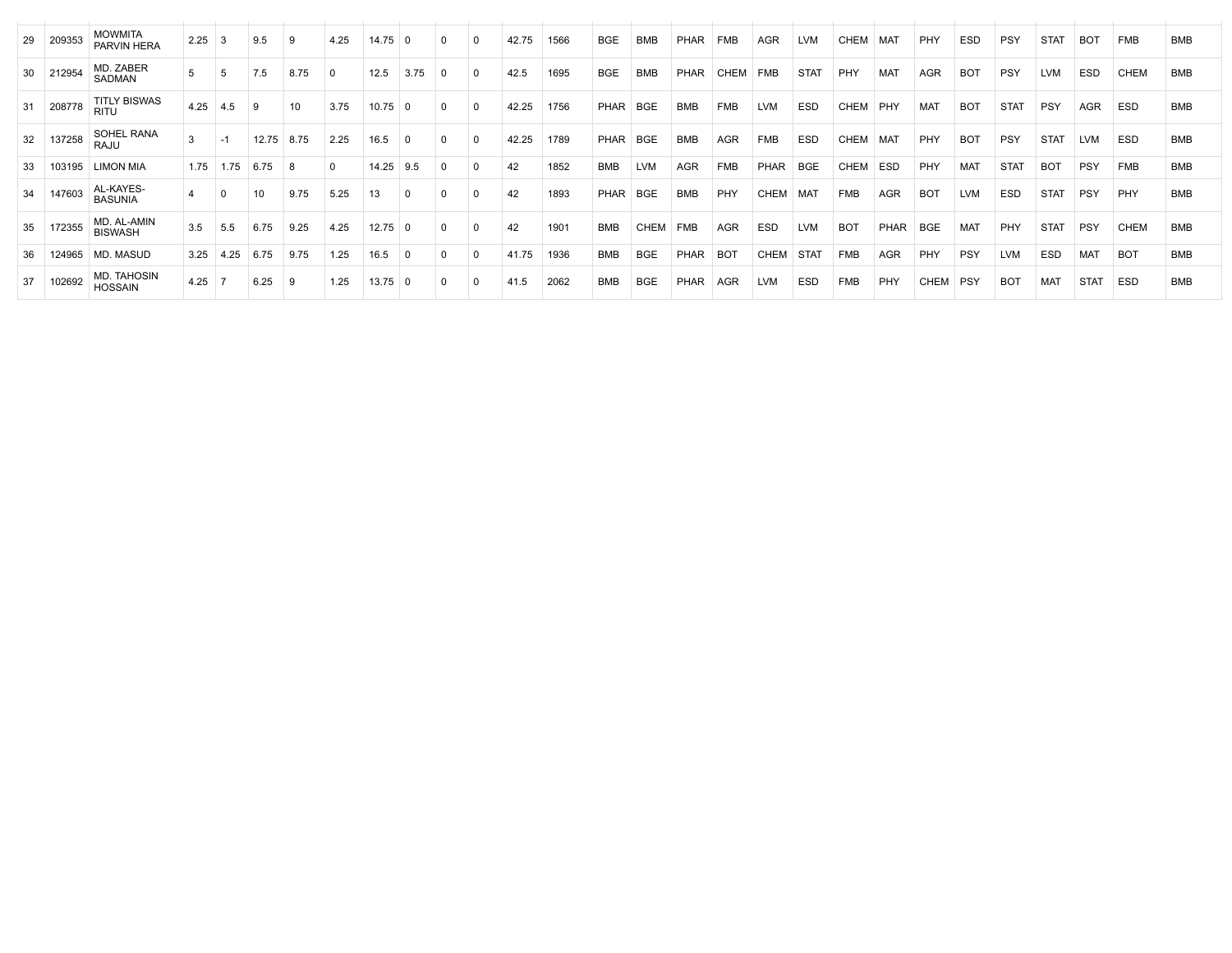| 29  | 209353 | <b>MOWMITA</b><br><b>PARVIN HERA</b> | 2.25 |      | 9.5   |      | 4.25        | 14.75     |      |          |          | 42.75 | 1566 | <b>BGE</b>  | <b>BMB</b> | PHAR        | <b>FMB</b>  | <b>AGR</b>  | <b>LVM</b>  | <b>CHEM</b> | MA1             | PHY        | <b>ESD</b> | <b>PSY</b>  | <b>STAT</b> | <b>BOT</b>  | <b>FMB</b>  | <b>BMB</b> |
|-----|--------|--------------------------------------|------|------|-------|------|-------------|-----------|------|----------|----------|-------|------|-------------|------------|-------------|-------------|-------------|-------------|-------------|-----------------|------------|------------|-------------|-------------|-------------|-------------|------------|
| 30  | 212954 | MD. ZABER<br>SADMAN                  |      |      | 7.5   | 8.75 | $\Omega$    | 12.5      | 3.75 | $\Omega$ | $\Omega$ | 42.5  | 1695 | <b>BGE</b>  | <b>BMB</b> | PHAR        | <b>CHEM</b> | <b>FMB</b>  | <b>STAT</b> | PHY         | <b>MAT</b>      | <b>AGR</b> | <b>BOT</b> | PSY         | <b>LVM</b>  | ESD         | <b>CHEM</b> | <b>BMB</b> |
| 31  | 208778 | <b>TITLY BISWAS</b><br><b>RITU</b>   | 4.25 | 4.5  |       | 10   | 3.75        | 10.75     |      | $\Omega$ | $\Omega$ | 42.25 | 1756 | <b>PHAR</b> | <b>BGE</b> | <b>BMB</b>  | <b>FMB</b>  | <b>LVM</b>  | <b>ESD</b>  | <b>CHEM</b> | PHY             | <b>MAT</b> | <b>BOT</b> | <b>STAT</b> | ⊪ PSY       | <b>AGR</b>  | <b>ESD</b>  | <b>BMB</b> |
| 32  | 137258 | SOHEL RANA<br>RAJU                   | 3    | -1   | 12.75 | 8.75 | 2.25        | 16.5      |      | $\Omega$ |          | 42.25 | 1789 | <b>PHAR</b> | <b>BGE</b> | <b>BMB</b>  | <b>AGR</b>  | <b>FMB</b>  | <b>ESD</b>  | <b>CHEM</b> | MA <sub>1</sub> | PHY        | <b>BOT</b> | PSY         | <b>STAT</b> | LVM         | <b>ESD</b>  | <b>BMB</b> |
| -33 | 103195 | LIMON MIA                            | 1.75 | 1.75 | 6.75  |      | $\mathbf 0$ | 14.25     | 9.5  | 0        | $\Omega$ | 42    | 1852 | <b>BMB</b>  | <b>LVM</b> | <b>AGR</b>  | <b>FMB</b>  | PHAR        | <b>BGE</b>  | <b>CHEM</b> | <b>ESD</b>      | <b>PHY</b> | <b>MAT</b> | <b>STAT</b> | BOT         | PSY         | <b>FMB</b>  | <b>BMB</b> |
| 34  | 147603 | AL-KAYES-<br><b>BASUNIA</b>          |      |      |       | 9.75 | 5.25        | 13        |      | 0        |          | 42    | 1893 | <b>PHAR</b> | <b>BGE</b> | <b>BMB</b>  | PHY         | <b>CHEM</b> | <b>MAT</b>  | <b>FMB</b>  | <b>AGR</b>      | <b>BOT</b> | <b>LVM</b> | <b>ESD</b>  | <b>STAT</b> | PSY         | PHY         | <b>BMB</b> |
| 35  | 172355 | MD. AL-AMIN<br><b>BISWASH</b>        | 3.5  | 5.5  | 6.75  | 9.25 | 4.25        | $12.75$ 0 |      | $\Omega$ | $\Omega$ | 42    | 1901 | <b>BMB</b>  | CHEM       | <b>FMB</b>  | AGR         | <b>ESD</b>  | <b>LVM</b>  | <b>BOT</b>  | PHAR            | <b>BGE</b> | MAT        | <b>PHY</b>  | <b>STAT</b> | PSY         | <b>CHEM</b> | <b>BMB</b> |
| 36  | 124965 | MD. MASUD                            | 3.25 | 4.25 | 6.75  | 9.75 | 1.25        | 16.5      |      | $\Omega$ | $\Omega$ | 41.75 | 1936 | <b>BMB</b>  | <b>BGE</b> | <b>PHAR</b> | <b>BOT</b>  | <b>CHEM</b> | <b>STAT</b> | <b>FMB</b>  | <b>AGR</b>      | PHY        | <b>PSY</b> | LVM         | <b>ESD</b>  | <b>MAT</b>  | <b>BOT</b>  | <b>BMB</b> |
| 37  | 102692 | MD. TAHOSIN<br><b>HOSSAIN</b>        | 4.25 |      | 6.25  | -9   | 1.25        | $13.75$ 0 |      | $\Omega$ | $\Omega$ | 41.5  | 2062 | <b>BMB</b>  | <b>BGE</b> | PHAR        | <b>AGR</b>  | <b>LVM</b>  | <b>ESD</b>  | <b>FMB</b>  | PHY             | CHEM       | PSY        | <b>BOT</b>  | <b>MAT</b>  | <b>STAT</b> | <b>ESD</b>  | <b>BMB</b> |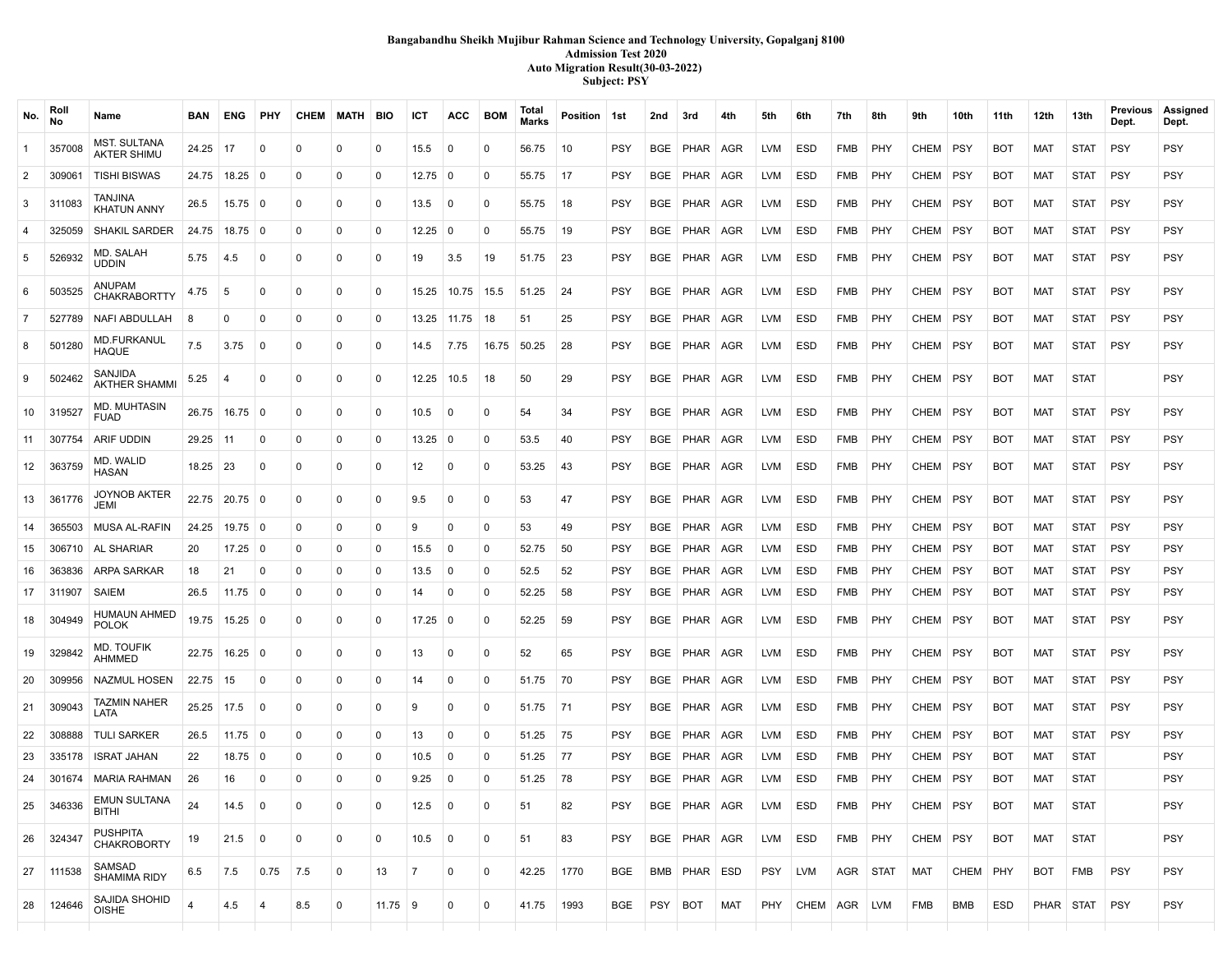# **Bangabandhu Sheikh Mujibur Rahman Science and Technology University, Gopalganj 8100 Admission Test 2020 Auto Migration Result(30-03-2022) Subject: PSY**

| No.            | Rol<br><b>No</b> | Name                                      | BAN            | ENG               | <b>PHY</b>     |                   | CHEM MATH BIO |           | ICT               | ACC            | <b>BOM</b>     | Total<br><b>Marks</b> | Position 1st |            | 2nd        | 3rd              | 4th   | 5th        | 6th              | 7th        | 8th      | 9th        | 10th       | 11 th      | 12th       | 13th        | Previous<br>Dept. | Assigned<br>Dept. |
|----------------|------------------|-------------------------------------------|----------------|-------------------|----------------|-------------------|---------------|-----------|-------------------|----------------|----------------|-----------------------|--------------|------------|------------|------------------|-------|------------|------------------|------------|----------|------------|------------|------------|------------|-------------|-------------------|-------------------|
| $\overline{1}$ | 357008           | <b>MST. SULTANA</b><br><b>AKTER SHIMU</b> | 24.25          | $\vert$ 17        | 0              | 0                 | 0             | 0         | 15.5              | 0              | 0              | 56.75                 | 10           | <b>PSY</b> | BGE        | PHAR   AGR       |       | <b>LVM</b> | <b>ESD</b>       | FMB        | PHY      | CHEM       | <b>PSY</b> | <b>BOT</b> | MAT        | <b>STAT</b> | <b>PSY</b>        | PSY               |
| $\overline{2}$ | 309061           | <b>TISHI BISWAS</b>                       |                | 24.75 18.25 0     |                | $\Omega$          | 0             | 0         | $12.75 \,   \, 0$ |                | $\mathbf 0$    | 55.75                 | 17           | <b>PSY</b> | BGE        | PHAR   AGR       |       | <b>LVM</b> | <b>ESD</b>       | FMB        | PHY      | CHEM       | <b>PSY</b> | <b>BOT</b> | MAT        | <b>STAT</b> | <b>PSY</b>        | <b>PSY</b>        |
| $\mathbf{3}$   | 311083           | TANJINA<br><b>KHATUN ANNY</b>             | 26.5           | $15.75 \t 0$      |                | $\Omega$          | $\mathbf{0}$  | $\Omega$  | 13.5              | 0              | $\mathbf 0$    | 55.75                 | 18           | <b>PSY</b> |            | BGE   PHAR   AGR |       | <b>LVM</b> | ESD              | FMB        | PHY      | CHEM       | PSY        | <b>BOT</b> | MAT        | STAT        | <b>PSY</b>        | <b>PSY</b>        |
| $\overline{4}$ | 325059           | <b>SHAKIL SARDER</b>                      | 24.75          | $18.75 \mid 0$    |                | $\Omega$          | 0             | 0         | 12.25             | $\mathbf 0$    | $\mathbf 0$    | 55.75                 | 19           | <b>PSY</b> | BGE        | PHAR             | AGR   | <b>LVM</b> | <b>ESD</b>       | FMB        | PHY      | CHEM       | <b>PSY</b> | <b>BOT</b> | <b>MAT</b> | <b>STAT</b> | <b>PSY</b>        | <b>PSY</b>        |
| 5              | 526932           | MD. SALAH<br><b>UDDIN</b>                 | 5.75           | 4.5               | $\mathbf 0$    | $\Omega$          | $\mathbf 0$   | 0         | 19                | 3.5            | 19             | 51.75                 | 23           | <b>PSY</b> |            | BGE   PHAR   AGR |       | <b>LVM</b> | <b>ESD</b>       | FMB        | PHY      | CHEM       | <b>PSY</b> | <b>BOT</b> | <b>MAT</b> | <b>STAT</b> | <b>PSY</b>        | <b>PSY</b>        |
| 6              | 503525           | ANUPAM<br><b>CHAKRABORTTY</b>             | 4.75           | 5                 | $\mathbf{0}$   | 0                 | $\mathbf 0$   | 0         | 15.25             | 10.75          | 15.5           | 51.25                 | 24           | <b>PSY</b> | <b>BGE</b> | PHAR             | ∣ AGR | <b>LVM</b> | <b>ESD</b>       | FMB        | PHY      | CHEM       | <b>PSY</b> | <b>BOT</b> | MAT        | <b>STAT</b> | <b>PSY</b>        | <b>PSY</b>        |
| $\overline{7}$ | 527789           | NAFI ABDULLAH                             | 8              | 0                 | 0              | 0                 | 0             | 0         | 13.25             | 11.75          | 18             | 51                    | 25           | <b>PSY</b> | <b>BGE</b> | PHAR   AGR       |       | <b>LVM</b> | <b>ESD</b>       | <b>FMB</b> | PHY      | CHEM       | <b>PSY</b> | <b>BOT</b> | <b>MAT</b> | <b>STAT</b> | <b>PSY</b>        | <b>PSY</b>        |
| 8              | 501280           | <b>MD.FURKANUL</b><br><b>HAQUE</b>        | 7.5            | 3.75              | $\Omega$       | 0                 | 0             | $\Omega$  | 14.5              | 7.75           | 16.75          | 50.25                 | 28           | <b>PSY</b> |            | BGE   PHAR   AGR |       | <b>LVM</b> | ESD              | FMB        | PHY      | CHEM       | <b>PSY</b> | <b>BOT</b> | MAT        | <b>STAT</b> | <b>PSY</b>        | <b>PSY</b>        |
| 9              | 502462           | SANJIDA<br><b>AKTHER SHAMMI</b>           | 5.25           | $\overline{4}$    | $\Omega$       | $\Omega$          | 0             | 0         | 12.25             | 10.5           | 18             | 50                    | 29           | <b>PSY</b> |            | BGE   PHAR   AGR |       | <b>LVM</b> | <b>ESD</b>       | FMB        | PHY      | CHEM       | <b>PSY</b> | <b>BOT</b> | MAT        | <b>STAT</b> |                   | <b>PSY</b>        |
| 10             | 319527           | <b>MD. MUHTASIN</b><br><b>FUAD</b>        |                | 26.75 16.75 0     |                | $\Omega$          | 0             | 0         | 10.5              | 0              | 0              | 54                    | 34           | <b>PSY</b> | <b>BGE</b> | PHAR AGR         |       | <b>LVM</b> | <b>ESD</b>       | FMB        | PHY      | CHEM       | <b>PSY</b> | <b>BOT</b> | MAT        | <b>STAT</b> | <b>PSY</b>        | <b>PSY</b>        |
| 11             | 307754           | ARIF UDDIN                                | $29.25$ 11     |                   | 0              | $\Omega$          | $\mathbf 0$   | $\Omega$  | 13.25             | 0              | $\mathbf 0$    | 53.5                  | 40           | <b>PSY</b> | BGE        | PHAR   AGR       |       | <b>LVM</b> | <b>ESD</b>       | FMB        | PHY      | CHEM       | <b>PSY</b> | <b>BOT</b> | <b>MAT</b> | <b>STAT</b> | <b>PSY</b>        | <b>PSY</b>        |
| 12             | 363759           | MD. WALID<br><b>HASAN</b>                 | $18.25$ 23     |                   | $\Omega$       | $\Omega$          | 0             | 0         | 12                | 0              | $\mathbf 0$    | 53.25                 | 43           | <b>PSY</b> | <b>BGE</b> | PHAR   AGR       |       | <b>LVM</b> | <b>ESD</b>       | FMB        | PHY      | CHEM PSY   |            | <b>BOT</b> | MAT        | <b>STAT</b> | <b>PSY</b>        | <b>PSY</b>        |
| 13             | 361776           | <b>JOYNOB AKTER</b><br>JEMI               |                | 22.75 20.75 0     |                | $\Omega$          | $\mathbf{0}$  | 0         | 9.5               | $\mathbf 0$    | $\mathbf 0$    | 53                    | 47           | <b>PSY</b> |            | BGE PHAR AGR     |       | <b>LVM</b> | ESD              | FMB        | PHY      | CHEM       | <b>PSY</b> | <b>BOT</b> | MAT        | <b>STAT</b> | <b>PSY</b>        | <b>PSY</b>        |
| 14             | 365503           | MUSA AL-RAFIN                             | 24.25          | $19.75 \mid 0$    |                | $\Omega$          | 0             | 0         | 9                 | 0              | 0              | 53                    | 49           | <b>PSY</b> | <b>BGE</b> | PHAR             | AGR   | <b>LVM</b> | ESD              | <b>FMB</b> | PHY      | CHEM       | <b>PSY</b> | <b>BOT</b> | MAT        | <b>STAT</b> | <b>PSY</b>        | <b>PSY</b>        |
| 15             | 306710           | AL SHARIAR                                | 20             | $17.25$ 0         |                | $\Omega$          | 0             | 0         | 15.5              | 0              | $\mathbf 0$    | 52.75                 | 50           | <b>PSY</b> | BGE        | PHAR   AGR       |       | <b>LVM</b> | ESD              | FMB        | PHY      | CHEM       | <b>PSY</b> | <b>BOT</b> | MAT        | STAT        | <b>PSY</b>        | <b>PSY</b>        |
| 16             | 363836           | ARPA SARKAR                               | 18             | 21                | $\mathbf 0$    | $\Omega$          | 0             | 0         | 13.5              | 0              | 0              | 52.5                  | 52           | PSY        | BGE        | PHAR   AGR       |       | <b>LVM</b> | <b>ESD</b>       | <b>FMB</b> | PHY      | CHEM       | <b>PSY</b> | <b>BOT</b> | MAT        | <b>STAT</b> | <b>PSY</b>        | <b>PSY</b>        |
| 17             | 311907           | SAIEM                                     | 26.5           | $11.75 \t 0$      |                | 0                 | 0             | 0         | 14                | 0              | 0              | 52.25                 | 58           | <b>PSY</b> | <b>BGE</b> | PHAR   AGR       |       | <b>LVM</b> | ESD              | <b>FMB</b> | PHY      | CHEM       | <b>PSY</b> | <b>BOT</b> | MAT        | <b>STAT</b> | <b>PSY</b>        | <b>PSY</b>        |
| 18             | 304949           | <b>HUMAUN AHMED</b><br><b>POLOK</b>       |                | 19.75 15.25 0     |                | $\mathbf{0}$      | 0             | 0         | 17.25             | 0              | $\mathbf 0$    | 52.25                 | 59           | <b>PSY</b> | BGE        | PHAR   AGR       |       | <b>LVM</b> | <b>ESD</b>       | FMB        | PHY      | CHEM       | <b>PSY</b> | <b>BOT</b> | MAT        | <b>STAT</b> | <b>PSY</b>        | <b>PSY</b>        |
| 19             | 329842           | <b>MD. TOUFIK</b><br><b>AHMMED</b>        |                | 22.75   16.25   0 |                | 0                 | 0             | 0         | 13                | 0              | $\mathbf 0$    | 52                    | 65           | <b>PSY</b> | BGE        | PHAR   AGR       |       | <b>LVM</b> | <b>ESD</b>       | FMB        | PHY      | CHEM       | <b>PSY</b> | <b>BOT</b> | MAT        | <b>STAT</b> | <b>PSY</b>        | <b>PSY</b>        |
| 20             | 309956           | <b>NAZMUL HOSEN</b>                       | 22.75   15     |                   | 0              | $\Omega$          | 0             | 0         | 14                | 0              | $\mathbf 0$    | 51.75                 | 70           | <b>PSY</b> | BGE        | PHAR   AGR       |       | <b>LVM</b> | <b>ESD</b>       | FMB        | PHY      | CHEM       | <b>PSY</b> | <b>BOT</b> | MAT        | <b>STAT</b> | <b>PSY</b>        | <b>PSY</b>        |
| 21             | 309043           | TAZMIN NAHER<br>LATA                      | 25.25          | 17.5              | 0              | $\Omega$          | 0             | 0         | 9                 | 0              | $^{\circ}$     | 51.75                 | 71           | PSY        | BGE        | PHAR   AGR       |       | <b>LVM</b> | ESD              | FMB        | PHY      | CHEM       | PSY        | <b>BOT</b> | MAT        | STAT        | <b>PSY</b>        | <b>PSY</b>        |
| 22             | 308888           | <b>TULI SARKER</b>                        | 26.5           | $11.75 \t 0$      |                | $\Omega$          | 0             | 0         | 13                | 0              | $\mathbf 0$    | 51.25                 | 75           | PSY        | <b>BGE</b> | PHAR             | AGR   | <b>LVM</b> | <b>ESD</b>       | <b>FMB</b> | PHY      | CHEM       | <b>PSY</b> | <b>BOT</b> | <b>MAT</b> | <b>STAT</b> | <b>PSY</b>        | <b>PSY</b>        |
| 23             | 335178           | <b>ISRAT JAHAN</b>                        | 22             | $18.75$ 0         |                | $\Omega$          | 0             | 0         | 10.5              | 0              | 0              | 51.25                 | 77           | <b>PSY</b> | <b>BGE</b> | PHAR   AGR       |       | <b>LVM</b> | ESD              | FMB        | PHY      | CHEM       | <b>PSY</b> | <b>BOT</b> | MAT        | <b>STAT</b> |                   | <b>PSY</b>        |
| 24             |                  | 301674   MARIA RAHMAN                     | 26             | 16                | $\mathbf 0$    | 0                 | 0             | 0         | 9.25              | 0              | $\mathbf 0$    | 51.25                 | 78           | <b>PSY</b> | <b>BGE</b> | PHAR   AGR       |       | <b>LVM</b> | <b>ESD</b>       | <b>FMB</b> | PHY      | CHEM       | <b>PSY</b> | <b>BOT</b> | <b>MAT</b> | <b>STAT</b> |                   | <b>PSY</b>        |
| 25             | 346336           | <b>EMUN SULTANA</b><br><b>BITHI</b>       | 24             | $14.5 \ 0$        |                | 0                 | 0             | 0         | $12.5 \ 0$        |                | 0              | 51                    | 82           | PSY        |            | BGE   PHAR   AGR |       | LVM        | ESD              | FMB   PHY  |          | CHEM   PSY |            | BOT        | MAT        | STAT        |                   | <b>PSY</b>        |
|                | 26 324347        | <b>PUSHPITA</b><br><b>CHAKROBORTY</b>     | 19             | 21.5              | $\overline{0}$ | 0                 | $\mathbf 0$   | 0         | $10.5 \ 0$        |                | 0              | 51                    | 83           | <b>PSY</b> |            | BGE   PHAR   AGR |       | LVM        | ESD              | FMB PHY    |          | CHEM   PSY |            | <b>BOT</b> | MAT        | <b>STAT</b> |                   | <b>PSY</b>        |
| 27             | 111538           | SAMSAD<br>SHAMIMA RIDY                    | 6.5            | 7.5               | 0.75           | $\vert 7.5 \vert$ | 0             | 13        | $\overline{7}$    | $\overline{0}$ | $\overline{0}$ | 42.25                 | 1770         | BGE        |            | BMB PHAR ESD     |       | PSY        | LVM              |            | AGR STAT | MAT        | CHEM PHY   |            | BOT        | FMB         | <b>PSY</b>        | <b>PSY</b>        |
| 28             | 124646           | SAJIDA SHOHID<br>OISHE                    | $\overline{4}$ | 4.5               | $\overline{4}$ | 8.5               | 0             | $11.75$ 9 |                   | 0              | $\mathbf 0$    | 41.75                 | 1993         | BGE        |            | PSY BOT MAT      |       |            | PHY CHEM AGR LVM |            |          | FMB        | BMB        | ESD        |            | PHAR STAT   | <b>PSY</b>        | <b>PSY</b>        |
|                |                  |                                           |                |                   |                |                   |               |           |                   |                |                |                       |              |            |            |                  |       |            |                  |            |          |            |            |            |            |             |                   |                   |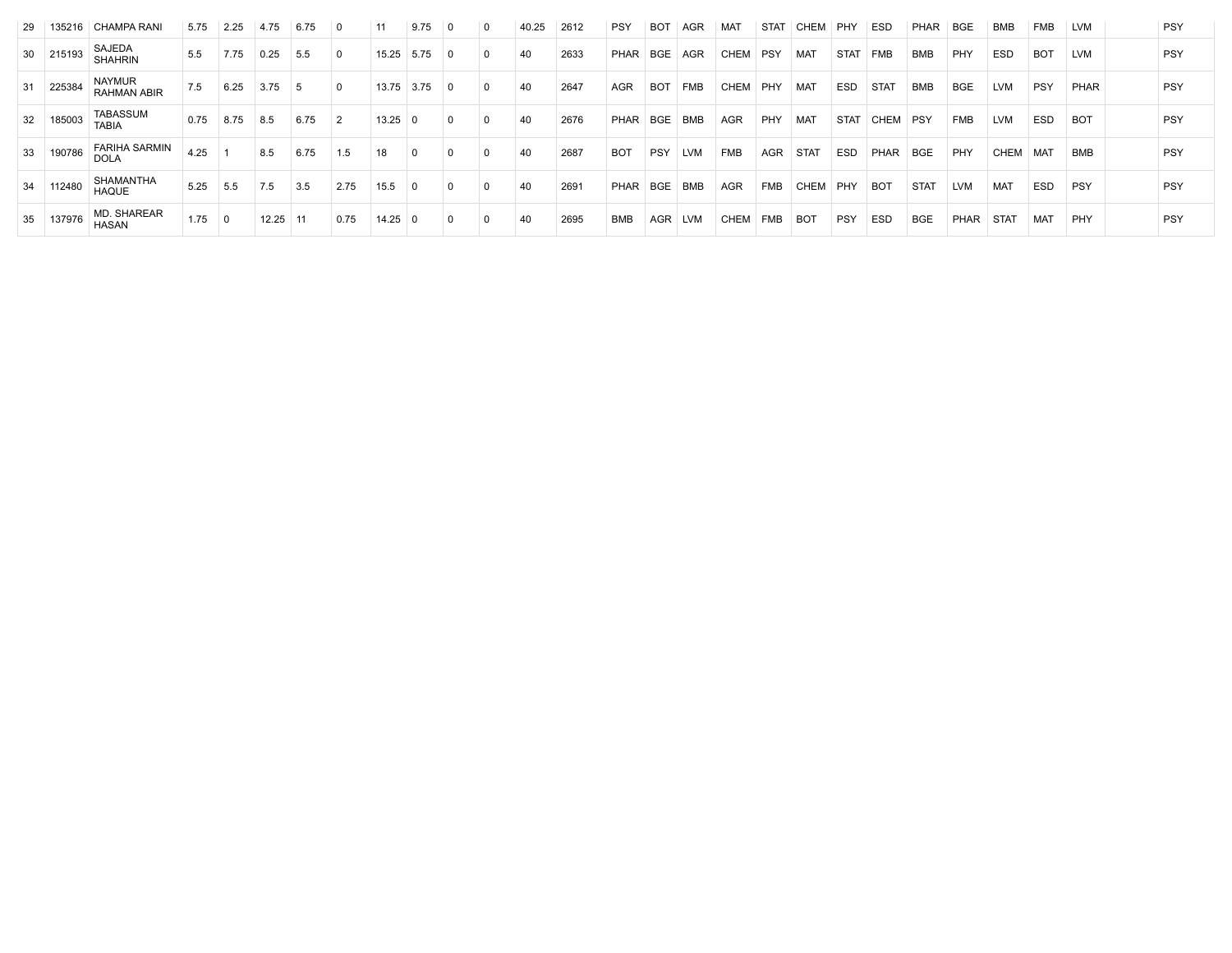| -29 | 135216 | CHAMPA RANI                         | 5.75 | 2.25 | 4.75  | 6.75           |                | 11          | 9.75 | $\mathbf 0$ | 40.25 | 2612 | <b>PSY</b> | <b>BOT</b> | AGR        | MAT         | <b>STAT</b> | CHEM        | PHY         | ESD              | <b>PHAR</b> | <b>BGE</b>  | <b>BMB</b>  | <b>FMB</b> | <b>LVM</b> | <b>PSY</b> |
|-----|--------|-------------------------------------|------|------|-------|----------------|----------------|-------------|------|-------------|-------|------|------------|------------|------------|-------------|-------------|-------------|-------------|------------------|-------------|-------------|-------------|------------|------------|------------|
| 30  | 215193 | SAJEDA<br><b>SHAHRIN</b>            | 5.5  | 7.75 | 0.25  | 5.5            | $\Omega$       | 15.25       | 5.75 | $\Omega$    | 40    | 2633 | PHAR       | <b>BGE</b> | AGR        | CHEM        | <b>PSY</b>  | MAT         | <b>STAT</b> | <b>FMB</b>       | <b>BMB</b>  | PHY         | <b>ESD</b>  | <b>BOT</b> | LVM        | <b>PSY</b> |
| 31  | 225384 | <b>NAYMUR</b><br><b>RAHMAN ABIR</b> | 7.5  | 6.25 | 3.75  | $\overline{5}$ | $\mathbf{0}$   | 13.75       | 3.75 | 0           | 40    | 2647 | AGR        | <b>BOT</b> | <b>FMB</b> | <b>CHEM</b> | PHY         | <b>MAT</b>  | ESD         | STA <sub>1</sub> | <b>BMB</b>  | <b>BGE</b>  | <b>LVM</b>  | <b>PSY</b> | PHAR       | <b>PSY</b> |
| 32  | 185003 | <b>TABASSUM</b><br><b>TABIA</b>     | 0.75 | 8.75 | 8.5   | 6.75           | $\overline{2}$ | $13.25 \ 0$ |      | $\Omega$    | 40    | 2676 | PHAR       | <b>BGE</b> | <b>BMB</b> | AGR         | PHY         | <b>MAT</b>  | <b>STAT</b> | <b>CHEM</b>      | PSY         | <b>FMB</b>  | <b>LVM</b>  | <b>ESD</b> | <b>BOT</b> | PSY        |
| 33  | 190786 | <b>FARIHA SARMIN</b><br><b>DOLA</b> | 4.25 |      | 8.5   | 6.75           | 1.5            | 18          |      |             | 40    | 2687 | <b>BOT</b> | <b>PSY</b> | LVM        | <b>FMB</b>  | <b>AGR</b>  | <b>STAT</b> | ESD         | PHAR             | BGE         | PHY         | CHEM        | <b>MAT</b> | BMB        | <b>PSY</b> |
| 34  | 112480 | SHAMANTHA<br><b>HAQUE</b>           | 5.25 | 5.5  | 7.5   | 3.5            | 2.75           | 15.5        |      | $\Omega$    | 40    | 2691 | PHAR       | BGE        | <b>BMB</b> | AGR         | <b>FMB</b>  | CHEM        | PHY         | <b>BOT</b>       | <b>STAT</b> | <b>LVM</b>  | <b>MAT</b>  | <b>ESD</b> | PSY        | <b>PSY</b> |
| 35  | 137976 | <b>MD. SHAREAR</b><br><b>HASAN</b>  | 1.75 | 0    | 12.25 | -11            | 0.75           | $14.25$ 0   |      | $\Omega$    | 40    | 2695 | <b>BMB</b> | <b>AGR</b> | <b>LVM</b> | CHEM        | <b>FMB</b>  | <b>BOT</b>  | PSY         | <b>ESD</b>       | <b>BGE</b>  | <b>PHAR</b> | <b>STAT</b> | <b>MAT</b> | PHY        | <b>PSY</b> |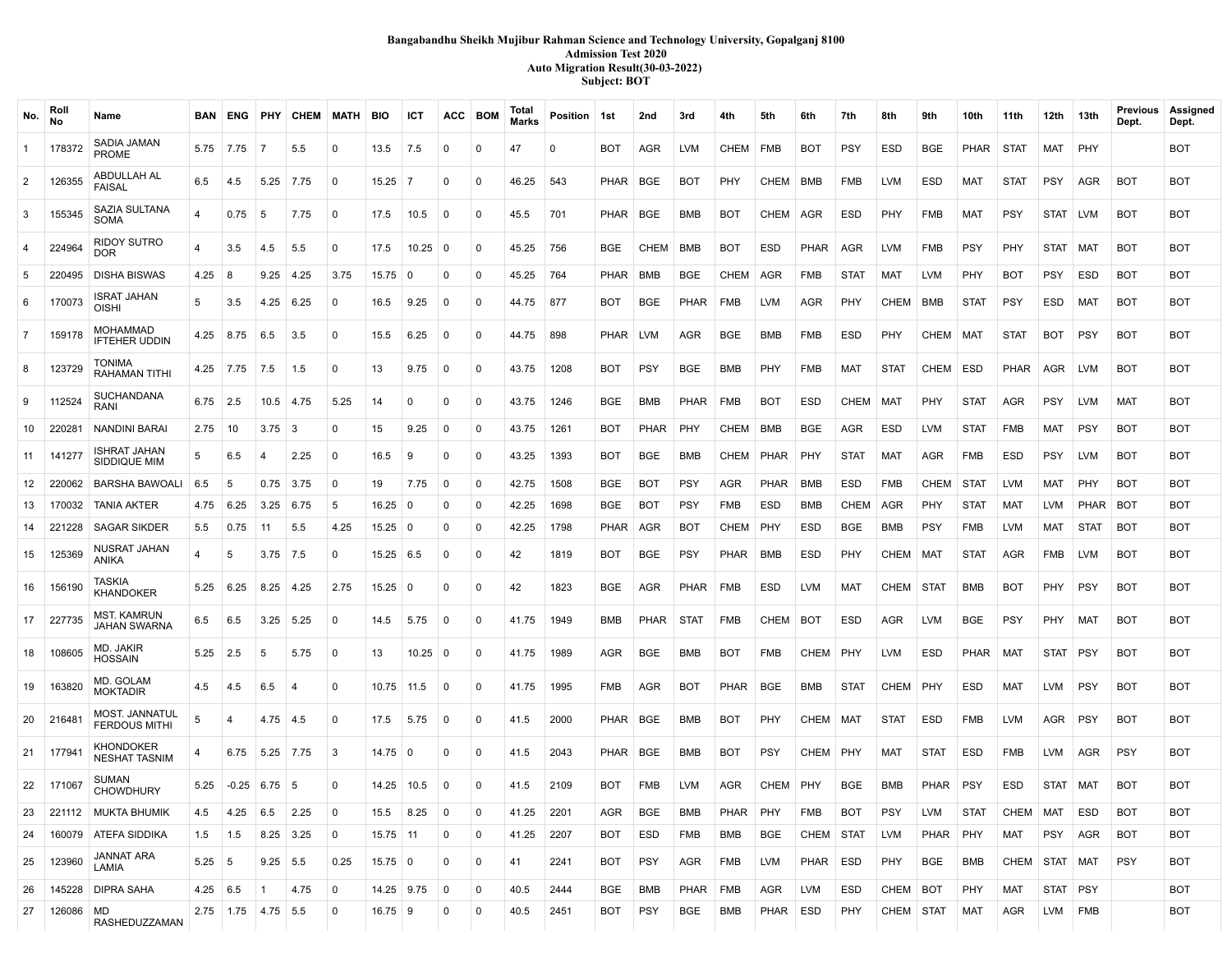# **Bangabandhu Sheikh Mujibur Rahman Science and Technology University, Gopalganj 8100 Admission Test 2020 Auto Migration Result(30-03-2022) Subject: BOT**

| No.            | Roll<br>No | Name                                          | BAN I          |                |                 | <b>ENG PHY CHEM</b> | <b>MATH</b> | <b>BIO</b>     | ICT               | ACC         | BOM         | Total<br><b>Marks</b> | Position   1st |            | 2nd         | 3rd         | 4th         | 5th         | 6th         | 7th         | 8th         | 9th         | 10th        | 11th        | 12th       | 13th        | Previous<br>Dept. | Assigned<br>Dept. |
|----------------|------------|-----------------------------------------------|----------------|----------------|-----------------|---------------------|-------------|----------------|-------------------|-------------|-------------|-----------------------|----------------|------------|-------------|-------------|-------------|-------------|-------------|-------------|-------------|-------------|-------------|-------------|------------|-------------|-------------------|-------------------|
| $\mathbf{1}$   | 178372     | SADIA JAMAN<br>PROME                          | 5.75           | 7.75           | $\overline{7}$  | 5.5                 | $\Omega$    | 13.5           | 7.5               | $\Omega$    | $\Omega$    | 47                    | $\Omega$       | BOT        | <b>AGR</b>  | <b>LVM</b>  | <b>CHEM</b> | FMB         | <b>BOT</b>  | <b>PSY</b>  | ESD         | <b>BGE</b>  | <b>PHAR</b> | STAT        | MAT        | PHY         |                   | BOT               |
| $\overline{2}$ | 126355     | ABDULLAH AL<br><b>FAISAL</b>                  | 6.5            | 4.5            | 5.25            | 7.75                | 0           | $15.25$ 7      |                   | $\Omega$    | $\Omega$    | 46.25                 | 543            | PHAR       | <b>BGE</b>  | <b>BOT</b>  | PHY         | CHEM        | BMB         | FMB         | <b>LVM</b>  | <b>ESD</b>  | <b>MAT</b>  | <b>STAT</b> | <b>PSY</b> | AGR         | <b>BOT</b>        | <b>BOT</b>        |
| $\mathbf{3}$   | 155345     | <b>SAZIA SULTANA</b><br>SOMA                  |                | 0.75           | 5               | 7.75                | 0           | 17.5           | 10.5              | $\mathbf 0$ | 0           | 45.5                  | 701            | PHAR       | <b>BGE</b>  | BMB         | <b>BOT</b>  | CHEM        | AGR         | ESD         | PHY         | <b>FMB</b>  | MAT         | <b>PSY</b>  | STAT   LVM |             | <b>BOT</b>        | <b>BOT</b>        |
| $\overline{4}$ | 224964     | <b>RIDOY SUTRO</b><br><b>DOR</b>              | 4              | 3.5            | 4.5             | 5.5                 | 0           | 17.5           | $10.25 \mid 0$    |             | 0           | 45.25                 | 756            | <b>BGE</b> | <b>CHEM</b> | <b>BMB</b>  | <b>BOT</b>  | ESD         | <b>PHAR</b> | AGR         | <b>LVM</b>  | <b>FMB</b>  | <b>PSY</b>  | PHY         | STAT   MAT |             | <b>BOT</b>        | <b>BOT</b>        |
| 5              | 220495     | <b>DISHA BISWAS</b>                           | 4.25           | -8             | 9.25            | 4.25                | 3.75        | 15.75          | $\Omega$          | $\mathbf 0$ | 0           | 45.25                 | 764            | PHAR       | <b>BMB</b>  | <b>BGE</b>  | <b>CHEM</b> | AGR         | FMB         | <b>STAT</b> | <b>MAT</b>  | <b>LVM</b>  | PHY         | <b>BOT</b>  | <b>PSY</b> | ESD         | <b>BOT</b>        | <b>BOT</b>        |
| 6              | 170073     | ISRAT JAHAN<br><b>OISHI</b>                   | 5              | 3.5            | $4.25 \pm 6.25$ |                     | 0           | 16.5           | 9.25              | 0           | 0           | 44.75                 | 877            | BOT        | <b>BGE</b>  | <b>PHAR</b> | <b>FMB</b>  | <b>LVM</b>  | AGR         | <b>PHY</b>  | CHEM        | BMB         | <b>STAT</b> | <b>PSY</b>  | ESD        | MAT         | <b>BOT</b>        | BOT               |
| $\overline{7}$ | 159178     | MOHAMMAD                                      | 4.25           | 8.75           | 6.5             | 3.5                 | 0           | 15.5           | 6.25              | 0           | $\Omega$    | 44.75                 | 898            | PHAR I     | LVM         | <b>AGR</b>  | BGE         | BMB         | FMB         | ESD         | PHY         | CHEM        | MAT         | <b>STAT</b> | BOT        | PSY         | <b>BOT</b>        | <b>BOT</b>        |
|                |            | <b>IFTEHER UDDIN</b><br>TONIMA                |                |                |                 |                     | $\Omega$    | 13             | 9.75              |             | 0           |                       |                | <b>BOT</b> | <b>PSY</b>  |             |             |             | <b>FMB</b>  |             | <b>STAT</b> | CHEM        | <b>ESD</b>  |             | AGR        |             | <b>BOT</b>        |                   |
| 8              | 123729     | RAHAMAN TITHI<br><b>SUCHANDANA</b>            |                | $4.25$ 7.75    | 7.5             | 1.5                 |             |                |                   | 0           |             | 43.75                 | 1208           |            |             | <b>BGE</b>  | BMB         | PHY         |             | MAT         |             |             |             | <b>PHAR</b> |            | LVM         |                   | <b>BOT</b>        |
| 9              | 112524     | RANI                                          | 6.75           | 2.5            |                 | $10.5$ 4.75         | 5.25        | 14             | $\Omega$          | 0           | 0           | 43.75                 | 1246           | <b>BGE</b> | BMB         | PHAR        | <b>FMB</b>  | <b>BOT</b>  | ESD         | CHEM        | MAT         | PHY         | <b>STAT</b> | <b>AGR</b>  | <b>PSY</b> | LVM         | MAT               | <b>BOT</b>        |
| 10             | 220281     | NANDINI BARAI                                 | 2.75           | 10             | $3.75 \, \, 3$  |                     | $\Omega$    | 15             | 9.25              | 0           | $\mathbf 0$ | 43.75                 | 1261           | BOT        | <b>PHAR</b> | PHY         | CHEM        | BMB         | BGE         | AGR         | <b>ESD</b>  | <b>LVM</b>  | <b>STAT</b> | <b>FMB</b>  | MAT        | <b>PSY</b>  | <b>BOT</b>        | BOT               |
| 11             | 14127      | <b>ISHRAT JAHAN</b><br>SIDDIQUE MIM           | 5              | 6.5            | 4               | 2.25                | 0           | 16.5           | <b>g</b>          | $\Omega$    | $\mathbf 0$ | 43.25                 | 1393           | <b>BOT</b> | <b>BGE</b>  | BMB         | <b>CHEM</b> | PHAR        | PHY         | <b>STAT</b> | MAT         | AGR         | <b>FMB</b>  | ESD         | <b>PSY</b> | <b>LVM</b>  | <b>BOT</b>        | <b>BOT</b>        |
| 12             | 220062     | <b>BARSHA BAWOALI</b>                         | 6.5            | 5              | 0.75            | 3.75                | 0           | 19             | 7.75              | $\mathbf 0$ | 0           | 42.75                 | 1508           | <b>BGE</b> | <b>BOT</b>  | <b>PSY</b>  | <b>AGR</b>  | <b>PHAR</b> | <b>BMB</b>  | <b>ESD</b>  | <b>FMB</b>  | <b>CHEM</b> | <b>STAT</b> | <b>LVM</b>  | MAT        | PHY         | <b>BOT</b>        | <b>BOT</b>        |
| 13             | 170032     | <b>TANIA AKTER</b>                            | 4.75           | 6.25           | 3.25            | 6.75                | -5          | 16.25          | - 0               | $\Omega$    | $\mathbf 0$ | 42.25                 | 1698           | <b>BGE</b> | <b>BOT</b>  | <b>PSY</b>  | <b>FMB</b>  | <b>ESD</b>  | <b>BMB</b>  | <b>CHEM</b> | AGR         | PHY         | <b>STAT</b> | MAT         | <b>LVM</b> | <b>PHAR</b> | <b>BOT</b>        | <b>BOT</b>        |
| 14             | 221228     | <b>SAGAR SIKDER</b>                           | 5.5            | 0.75           | 11              | 5.5                 | 4.25        | 15.25          | $\overline{0}$    | 0           | 0           | 42.25                 | 1798           | PHAR       | AGR         | BOT         | <b>CHEM</b> | PHY         | ESD         | <b>BGE</b>  | <b>BMB</b>  | <b>PSY</b>  | <b>FMB</b>  | <b>LVM</b>  | MAT        | STAT        | <b>BOT</b>        | <b>BOT</b>        |
| 15             | 125369     | NUSRAT JAHAN<br>ANIKA                         | $\overline{a}$ | -5             | $3.75$ 7.5      |                     | $\Omega$    | 15.25 6.5      |                   | $\Omega$    | $\Omega$    | 42                    | 1819           | BOT        | <b>BGE</b>  | <b>PSY</b>  | <b>PHAR</b> | BMB         | <b>ESD</b>  | <b>PHY</b>  | CHEM        | MAT         | <b>STAT</b> | AGR         | FMB        | LVM         | <b>BOT</b>        | BOT               |
| 16             | 156190     | <b>TASKIA</b><br>KHANDOKER                    | 5.25           | 6.25           | $8.25$ 4.25     |                     | 2.75        | 15.25          | - 0               | $\Omega$    | $\Omega$    | 42                    | 1823           | <b>BGE</b> | AGR         | <b>PHAR</b> | <b>FMB</b>  | <b>ESD</b>  | <b>LVM</b>  | MAT         | CHEM        | <b>STAT</b> | BMB         | <b>BOT</b>  | PHY        | <b>PSY</b>  | <b>BOT</b>        | <b>BOT</b>        |
| 17             | 227735     | <b>MST. KAMRUN</b><br>JAHAN SWARNA            | 6.5            | 6.5            | 3.25            | 5.25                | 0           | 14.5           | 5.75              | 0           | 0           | 41.75                 | 1949           | BMB        | <b>PHAR</b> | STAT        | <b>FMB</b>  | CHEM        | <b>BOT</b>  | ESD         | AGR         | <b>LVM</b>  | BGE         | <b>PSY</b>  | PHY        | MAT         | <b>BOT</b>        | <b>BOT</b>        |
| 18             | 108605     | MD. JAKIR<br>HOSSAIN                          | 5.25           | 2.5            | 5               | 5.75                | 0           | 13             | $10.25 \,   \, 0$ |             | 0           | 41.75                 | 1989           | AGR        | <b>BGE</b>  | BMB         | <b>BOT</b>  | <b>FMB</b>  | CHEM   PHY  |             | <b>LVM</b>  | <b>ESD</b>  | <b>PHAR</b> | MAT         | STAT   PSY |             | <b>BOT</b>        | <b>BOT</b>        |
| 19             | 163820     | MD. GOLAM<br><b>MOKTADIR</b>                  | 4.5            | 4.5            | 6.5             | $\overline{4}$      | 0           | 10.75          | 11.5              | 0           | 0           | 41.75                 | 1995           | <b>FMB</b> | <b>AGR</b>  | <b>BOT</b>  | <b>PHAR</b> | BGE         | BMB         | <b>STAT</b> | CHEM        | PHY         | <b>ESD</b>  | MAT         | <b>LVM</b> | <b>PSY</b>  | <b>BOT</b>        | <b>BOT</b>        |
| 20             | 216481     | <b>MOST. JANNATUL</b><br><b>FERDOUS MITHI</b> | 5              | $\overline{4}$ | 4.75            | 4.5                 | 0           | 17.5           | 5.75              | 0           | 0           | 41.5                  | 2000           | PHAR       | <b>BGE</b>  | <b>BMB</b>  | <b>BOT</b>  | PHY         | CHEM        | MAT         | <b>STAT</b> | <b>ESD</b>  | <b>FMB</b>  | <b>LVM</b>  | AGR        | <b>PSY</b>  | <b>BOT</b>        | <b>BOT</b>        |
| 21             | 177941     | <b>KHONDOKER</b>                              | 4              | 6.75           | 5.25 7.75       |                     | -3          | 14.75          | 0                 | $\Omega$    | $\Omega$    | 41.5                  | 2043           | PHAR       | <b>BGE</b>  | BMB         | <b>BOT</b>  | <b>PSY</b>  | CHEM        | PHY         | MAT         | <b>STAT</b> | <b>ESD</b>  | <b>FMB</b>  | LVM        | AGR         | <b>PSY</b>        | <b>BOT</b>        |
| 22             | 171067     | NESHAT TASNIM<br>SUMAN                        | 5.25           |                | $-0.25$ 6.75 5  |                     | $\Omega$    | 14.25          | 10.5              | 0           | $\Omega$    | 41.5                  | 2109           | <b>BOT</b> | <b>FMB</b>  | LVM         | AGR         | CHEM   PHY  |             | BGE         | <b>BMB</b>  | PHAR        | <b>PSY</b>  | <b>ESD</b>  | STAT   MAT |             | <b>BOT</b>        | <b>BOT</b>        |
|                |            | <b>CHOWDHURY</b>                              |                |                |                 |                     |             |                |                   |             |             |                       |                |            |             |             |             |             |             |             |             |             |             |             |            |             |                   |                   |
| 23             |            | 221112   MUKTA BHUMIK                         | 4.5            | 4.25           | 6.5             | 2.25                | - 0         | 15.5           | 8.25              | $\mathbf 0$ | 0           | 41.25                 | 2201           | AGR        | <b>BGE</b>  | <b>BMB</b>  | PHAR        | PHY         | <b>FMB</b>  | <b>BOT</b>  | <b>PSY</b>  | <b>LVM</b>  | <b>STAT</b> | CHEM MAT    |            | ESD         | <b>BOT</b>        | <b>BOT</b>        |
| 24             | 160079     | ATEFA SIDDIKA                                 | 1.5            | 1.5            | $8.25$ 3.25     |                     | 0           | $15.75$ 11     |                   | 0           | 0           | 41.25                 | 2207           | <b>BOT</b> | <b>ESD</b>  | <b>FMB</b>  | BMB         | <b>BGE</b>  | CHEM STAT   |             | <b>LVM</b>  | <b>PHAR</b> | PHY         | MAT         | <b>PSY</b> | AGR         | <b>BOT</b>        | <b>BOT</b>        |
| 25             | 123960     | JANNAT ARA<br>LAMIA                           | 5.25           | 5              | $9.25$ 5.5      |                     | 0.25        | $15.75 \mid 0$ |                   | 0           | 0           | 41                    | 2241           | <b>BOT</b> | <b>PSY</b>  | AGR         | <b>FMB</b>  | LVM         | PHAR        | ESD         | PHY         | BGE         | BMB         | CHEM        | STAT   MAT |             | <b>PSY</b>        | <b>BOT</b>        |
| 26             | 145228     | DIPRA SAHA                                    | $4.25$ 6.5     |                | $\mathbf{1}$    | 4.75                | 0           | 14.25 9.75     |                   | $\mathbf 0$ | $\mathbf 0$ | 40.5                  | 2444           | <b>BGE</b> | <b>BMB</b>  | PHAR        | <b>FMB</b>  | AGR         | <b>LVM</b>  | <b>ESD</b>  | CHEM        | <b>BOT</b>  | PHY         | MAT         | STAT   PSY |             |                   | <b>BOT</b>        |
| 27             | 126086     | MD<br>RASHEDUZZAMAN                           |                | $2.75$ 1.75    | $ 4.75 $ 5.5    |                     | 0           | $16.75$ 9      |                   | $\mathbf 0$ | $\mathbf 0$ | 40.5                  | 2451           | <b>BOT</b> | <b>PSY</b>  | BGE         | BMB         | PHAR        | <b>ESD</b>  | PHY         | CHEM STAT   |             | MAT         | AGR         | LVM        | FMB         |                   | <b>BOT</b>        |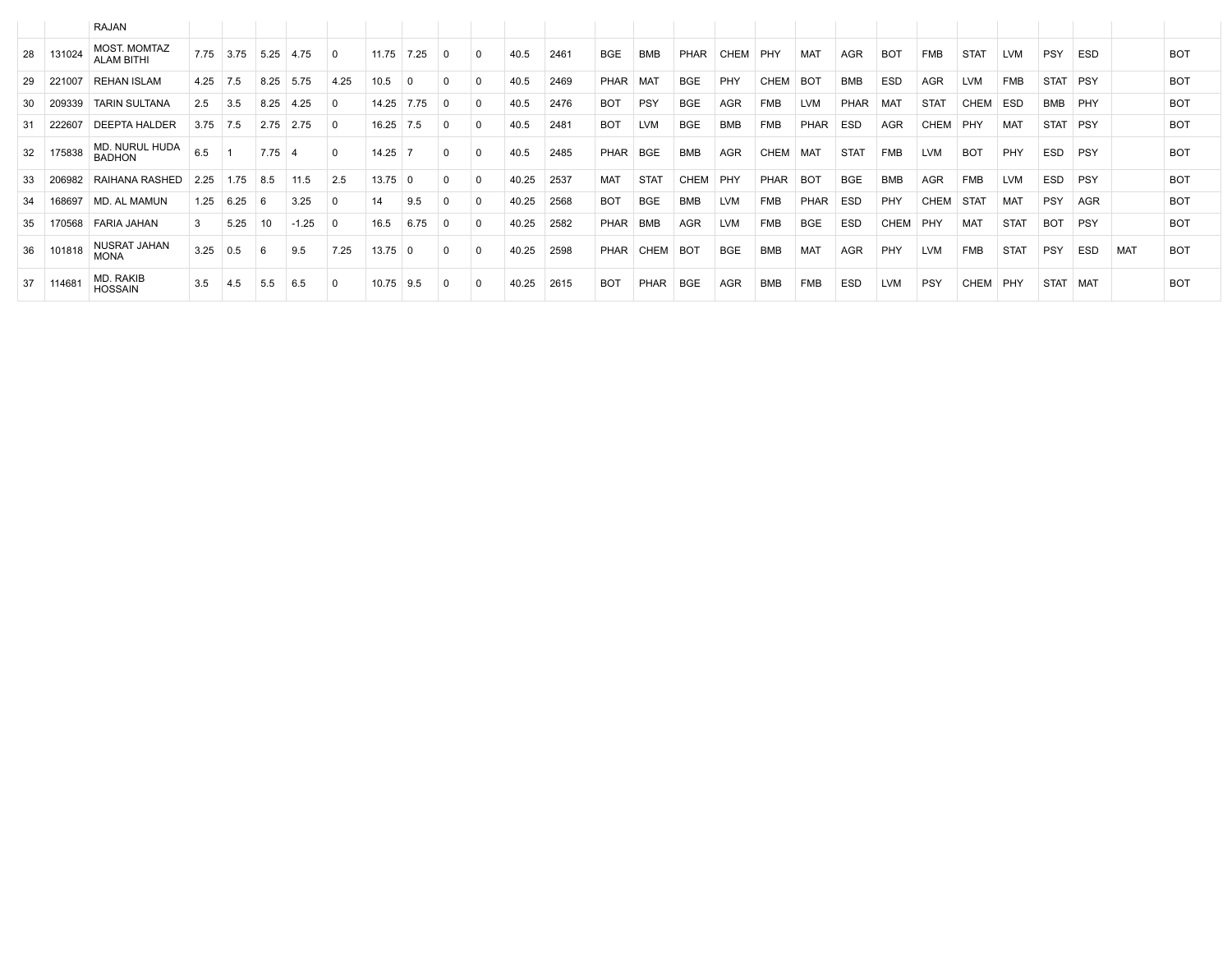|     |        | RAJAN                                    |      |      |      |         |             |               |      |          |       |      |            |             |                 |            |             |                 |             |            |             |             |             |             |            |     |            |
|-----|--------|------------------------------------------|------|------|------|---------|-------------|---------------|------|----------|-------|------|------------|-------------|-----------------|------------|-------------|-----------------|-------------|------------|-------------|-------------|-------------|-------------|------------|-----|------------|
| 28  | 131024 | <b>MOST. MOMTAZ</b><br><b>ALAM BITHI</b> | 7.75 | 3.75 | 5.25 | 4.75    | 0           | 11.75         | 7.25 | $\Omega$ | 40.5  | 2461 | <b>BGE</b> | <b>BMB</b>  | <b>PHAR</b>     | CHEM       | PHY         | MAT             | AGR         | <b>BOT</b> | <b>FMB</b>  | <b>STAT</b> | <b>LVM</b>  | <b>PSY</b>  | ESD        |     | <b>BOT</b> |
| 29  | 221007 | <b>REHAN ISLAM</b>                       | 4.25 | 7.5  | 8.25 | 5.75    | 4.25        | 10.5          |      |          | 40.5  | 2469 | PHAR       | <b>MAT</b>  | <b>BGE</b>      | PHY        | <b>CHEM</b> | BO <sub>1</sub> | <b>BMB</b>  | <b>ESD</b> | <b>AGR</b>  | <b>LVM</b>  | <b>FMB</b>  | <b>STAT</b> | PSY        |     | <b>BOT</b> |
| 30  | 209339 | <b>TARIN SULTANA</b>                     | 2.5  | 3.5  | 8.25 | 4.25    | $\Omega$    | 14.25         | 7.75 |          | 40.5  | 2476 | <b>BOT</b> | <b>PSY</b>  | <b>BGE</b>      | <b>AGR</b> | <b>FMB</b>  | <b>LVM</b>      | <b>PHAR</b> | <b>MAT</b> | <b>STAT</b> | CHEM        | <b>ESD</b>  | <b>BMB</b>  | PHY        |     | <b>BOT</b> |
| -31 | 222607 | <b>DEEPTA HALDER</b>                     | 3.75 | 7.5  | 2.75 | 2.75    | $\Omega$    | 16.25         | 7.5  |          | 40.5  | 2481 | <b>BOT</b> | <b>LVM</b>  | <b>BGE</b>      | <b>BMB</b> | <b>FMB</b>  | PHAR            | <b>ESD</b>  | <b>AGR</b> | CHEM        | PHY         | MAT         | <b>STAT</b> | PSY        |     | <b>BOT</b> |
| 32  | 175838 | MD. NURUL HUDA<br><b>BADHON</b>          | 6.5  |      | 7.75 |         |             | 14.25         |      |          | 40.5  | 2485 | PHAR       | <b>BGE</b>  | <b>BMB</b>      | <b>AGR</b> | <b>CHEM</b> | <b>MAT</b>      | <b>STAT</b> | <b>FMB</b> | <b>LVM</b>  | <b>BOT</b>  | PHY         | <b>ESD</b>  | <b>PSY</b> |     | <b>BOT</b> |
| 33  | 206982 | RAIHANA RASHED                           | 2.25 | 1.75 | 8.5  | 11.5    | 2.5         | $13.75 \pm 0$ |      |          | 40.25 | 2537 | MAT        | <b>STAT</b> | CHEM            | PHY        | <b>PHAR</b> | <b>BOT</b>      | <b>BGE</b>  | <b>BMB</b> | AGR         | <b>FMB</b>  | <b>LVM</b>  | <b>ESD</b>  | <b>PSY</b> |     | <b>BOT</b> |
| 34  | 168697 | MD. AL MAMUN                             | 1.25 | 6.25 | -6   | 3.25    |             | 14            | 9.5  |          | 40.25 | 2568 | <b>BOT</b> | <b>BGE</b>  | <b>BMB</b>      | <b>LVM</b> | <b>FMB</b>  | PHAR            | <b>ESD</b>  | PHY        | CHEM        | <b>STAT</b> | MAT         | <b>PSY</b>  | AGR        |     | <b>BOT</b> |
| 35  | 170568 | FARIA JAHAN                              |      | 5.25 | 10   | $-1.25$ | $\Omega$    | 16.5          | 6.75 |          | 40.25 | 2582 | PHAR       | <b>BMB</b>  | <b>AGR</b>      | <b>LVM</b> | <b>FMB</b>  | <b>BGE</b>      | <b>ESD</b>  | CHEM       | PHY         | <b>MAT</b>  | <b>STAT</b> | <b>BOT</b>  | PSY        |     | <b>BOT</b> |
| 36  | 101818 | NUSRAT JAHAN<br><b>MONA</b>              | 3.25 | 0.5  |      | 9.5     | 7.25        | 13.75         |      |          | 40.25 | 2598 | PHAR       | <b>CHEM</b> | BO <sub>1</sub> | <b>BGE</b> | <b>BMB</b>  | <b>MAT</b>      | AGR         | PHY        | <b>LVM</b>  | <b>FMB</b>  | <b>STAT</b> | PSY         | <b>ESD</b> | MAT | <b>BOT</b> |
| 37  | 114681 | MD. RAKIB<br><b>HOSSAIN</b>              | 3.5  | 4.5  | 5.5  | 6.5     | $\mathbf 0$ | $10.75$ 9.5   |      | $\Omega$ | 40.25 | 2615 | <b>BOT</b> | PHAR        | BGE             | <b>AGR</b> | BMB         | FMB             | ESD         | <b>LVM</b> | PSY         | CHEM PHY    |             | STAT   MAT  |            |     | <b>BOT</b> |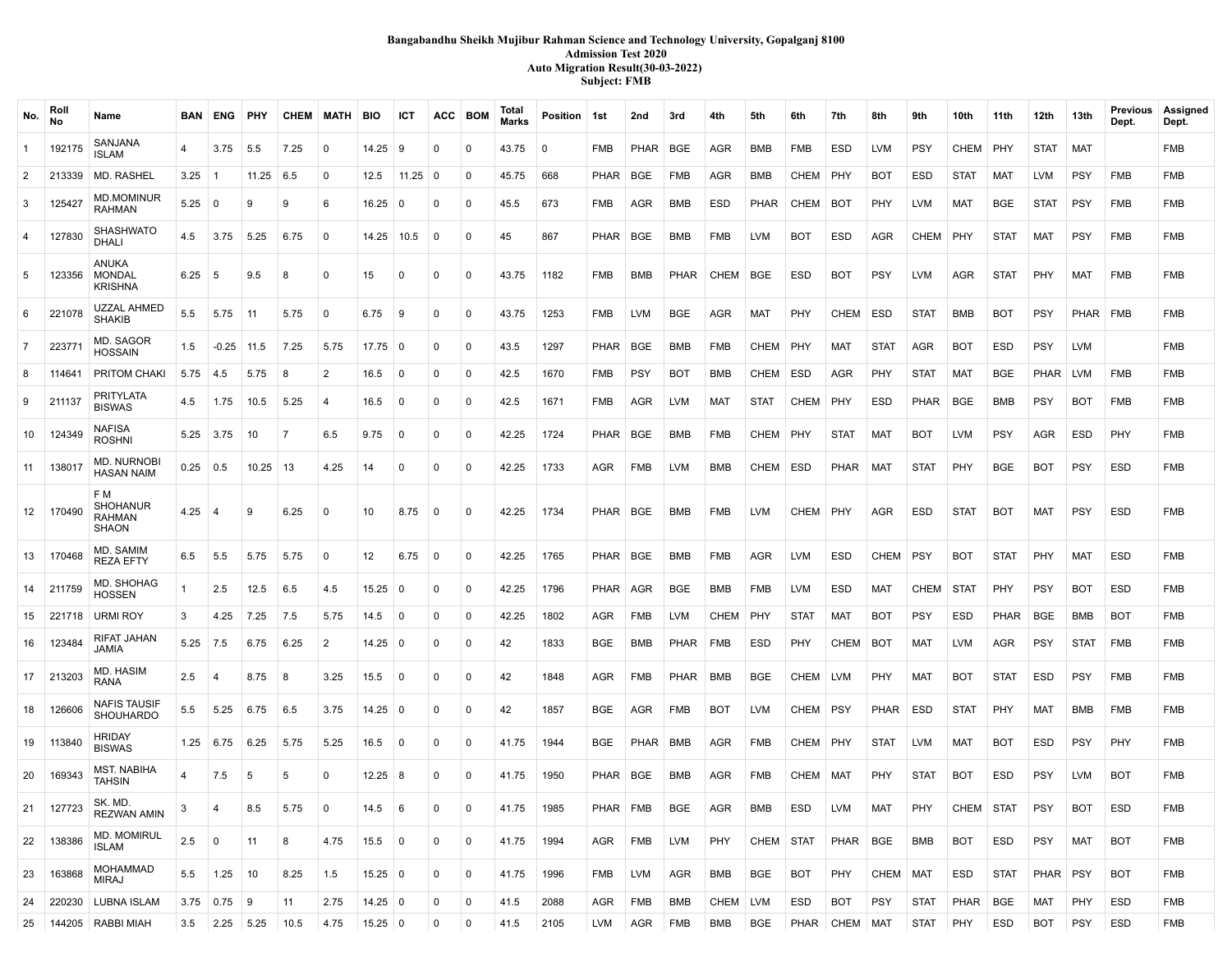# **Bangabandhu Sheikh Mujibur Rahman Science and Technology University, Gopalganj 8100 Admission Test 2020 Auto Migration Result(30-03-2022) Subject: FMB**

| No.            | Roll<br><b>No</b> | Name                                      |             | <b>BAN ENG</b> | PHY          | CHEM MATH BIO |                |                   | ICT            | ACC BOM     |             | Total<br><b>Marks</b> | Position 1st |            | 2nd         | 3rd         | 4th         | 5th         | 6th         | 7th           | 8th         | 9th         | 10th        | 11th        | 12th        | 13th        | Previous<br>Dept. | Assigned<br>Dept. |
|----------------|-------------------|-------------------------------------------|-------------|----------------|--------------|---------------|----------------|-------------------|----------------|-------------|-------------|-----------------------|--------------|------------|-------------|-------------|-------------|-------------|-------------|---------------|-------------|-------------|-------------|-------------|-------------|-------------|-------------------|-------------------|
| $\mathbf{1}$   | 192175            | SANJANA<br>ISLAM                          | 4           | 3.75           | 5.5          | 7.25          | 0              | 14.25             | -9             | 0           | $\mathbf 0$ | 43.75                 | $\mathbf 0$  | FMB        | <b>PHAR</b> | <b>BGE</b>  | AGR         | <b>BMB</b>  | FMB         | <b>ESD</b>    | <b>LVM</b>  | <b>PSY</b>  | CHEM        | PHY         | <b>STAT</b> | MAT         |                   | <b>FMB</b>        |
| $\overline{2}$ | 213339            | MD. RASHEL                                | 3.25        | $\vert$ 1      | 11.25        | 6.5           | 0              | 12.5              | $11.25 \mid 0$ |             | 0           | 45.75                 | 668          | PHAR       | BGE         | <b>FMB</b>  | AGR         | <b>BMB</b>  | CHEM        | PHY           | <b>BOT</b>  | ESD         | <b>STAT</b> | <b>MAT</b>  | LVM         | <b>PSY</b>  | <b>FMB</b>        | <b>FMB</b>        |
| 3              | 125427            | <b>MD.MOMINUR</b><br>RAHMAN               | 5.25        | 0              | 9            | 9             | 6              | 16.25             | $\mathbf 0$    | $\mathbf 0$ | $\mathbf 0$ | 45.5                  | 673          | FMB        | AGR         | <b>BMB</b>  | <b>ESD</b>  | <b>PHAR</b> | CHEM        | <b>BOT</b>    | PHY         | <b>LVM</b>  | MAT         | <b>BGE</b>  | <b>STAT</b> | <b>PSY</b>  | <b>FMB</b>        | FMB               |
| 4              | 127830            | <b>SHASHWATO</b><br>DHALI                 | 4.5         | 3.75           | 5.25         | 6.75          | 0              | 14.25             | 10.5           | 0           | $\mathbf 0$ | 45                    | 867          | PHAR       | BGE         | <b>BMB</b>  | FMB         | <b>LVM</b>  | <b>BOT</b>  | <b>ESD</b>    | AGR         | <b>CHEM</b> | <b>PHY</b>  | <b>STAT</b> | MAT         | <b>PSY</b>  | FMB               | FMB               |
| 5              | 123356            | ANUKA<br><b>MONDAL</b><br>KRISHNA         | $6.25$ 5    |                | 9.5          | -8            | 0              | 15                | 0              | 0           | $\mathbf 0$ | 43.75                 | 1182         | <b>FMB</b> | <b>BMB</b>  | <b>PHAR</b> | CHEM        | <b>BGE</b>  | ESD         | <b>BOT</b>    | <b>PSY</b>  | <b>LVM</b>  | <b>AGR</b>  | <b>STAT</b> | PHY         | <b>MAT</b>  | <b>FMB</b>        | <b>FMB</b>        |
| 6              | 221078            | <b>UZZAL AHMED</b><br><b>SHAKIB</b>       | 5.5         | 5.75           | 11           | 5.75          | $\mathbf{0}$   | 6.75              | -9             | 0           | $\mathbf 0$ | 43.75                 | 1253         | <b>FMB</b> | <b>LVM</b>  | <b>BGE</b>  | AGR         | <b>MAT</b>  | PHY         | CHEM          | ESD         | <b>STAT</b> | <b>BMB</b>  | <b>BOT</b>  | <b>PSY</b>  | PHAR FMB    |                   | <b>FMB</b>        |
| $\overline{7}$ | 22377             | MD. SAGOR<br>HOSSAIN                      | 1.5         | $-0.25$ 11.5   |              | 7.25          | 5.75           | 17.75             | $\mathbf 0$    | $\Omega$    | $\mathbf 0$ | 43.5                  | 1297         | PHAR       | BGE         | <b>BMB</b>  | <b>FMB</b>  | CHEM        | PHY         | <b>MAT</b>    | <b>STAT</b> | AGR         | <b>BOT</b>  | <b>ESD</b>  | <b>PSY</b>  | <b>LVM</b>  |                   | <b>FMB</b>        |
| 8              | 114641            | PRITOM CHAK                               | 5.75        | 4.5            | 5.75         | -8            | $\overline{2}$ | 16.5              | $\Omega$       | $\Omega$    | $\mathbf 0$ | 42.5                  | 1670         | FMB        | <b>PSY</b>  | <b>BOT</b>  | <b>BMB</b>  | CHEM        | ESD         | <b>AGR</b>    | PHY         | <b>STAT</b> | <b>MAT</b>  | <b>BGE</b>  | PHAR        | <b>LVM</b>  | <b>FMB</b>        | <b>FMB</b>        |
| 9              | 211137            | PRITYLATA<br><b>BISWAS</b>                | 4.5         | 1.75           | 10.5         | 5.25          | $\overline{4}$ | 16.5              | $^{\circ}$     | $\Omega$    | $\mathbf 0$ | 42.5                  | 1671         | FMB        | AGR         | <b>LVM</b>  | <b>MAT</b>  | <b>STAT</b> | <b>CHEM</b> | PHY           | <b>ESD</b>  | PHAR        | <b>BGE</b>  | <b>BMB</b>  | <b>PSY</b>  | <b>BOT</b>  | <b>FMB</b>        | <b>FMB</b>        |
| 10             | 124349            | NAFISA<br>ROSHNI                          | $5.25$ 3.75 |                | 10           | 7             | 6.5            | 9.75              | $^{\circ}$     | $\Omega$    | $\mathbf 0$ | 42.25                 | 1724         | PHAR       | BGE         | <b>BMB</b>  | <b>FMB</b>  | CHEM        | PHY         | <b>STAT</b>   | MAT         | <b>BOT</b>  | <b>LVM</b>  | <b>PSY</b>  | <b>AGR</b>  | <b>ESD</b>  | <b>PHY</b>        | <b>FMB</b>        |
| 11             | 138017            | <b>MD. NURNOBI</b><br><b>HASAN NAIM</b>   | $0.25$ 0.5  |                | 10.25        | -13           | 4.25           | 14                | $\mathbf 0$    | $\Omega$    | $\mathbf 0$ | 42.25                 | 1733         | <b>AGR</b> | FMB         | <b>LVM</b>  | BMB         | CHEM        | ESD         | PHAR          | <b>MAT</b>  | <b>STAT</b> | <b>PHY</b>  | <b>BGE</b>  | <b>BOT</b>  | <b>PSY</b>  | <b>ESD</b>        | <b>FMB</b>        |
| 12             | 170490            | F M<br><b>SHOHANUR</b><br>RAHMAN<br>SHAON | 4.25        | -4             | 9            | 6.25          | 0              | 10                | 8.75           | 0           | $\mathbf 0$ | 42.25                 | 1734         | PHAR BGE   |             | <b>BMB</b>  | FMB         | <b>LVM</b>  | CHEM        | PHY           | AGR         | <b>ESD</b>  | <b>STAT</b> | <b>BOT</b>  | MAT         | <b>PSY</b>  | <b>ESD</b>        | <b>FMB</b>        |
| 13             | 170468            | MD. SAMIM<br>REZA EFTY                    | 6.5         | 5.5            | 5.75         | 5.75          | $\mathbf{0}$   | 12                | 6.75           | $\mathbf 0$ | $\mathbf 0$ | 42.25                 | 1765         | PHAR I     | <b>BGE</b>  | <b>BMB</b>  | <b>FMB</b>  | <b>AGR</b>  | <b>LVM</b>  | <b>ESD</b>    | CHEM        | PSY         | <b>BOT</b>  | <b>STAT</b> | <b>PHY</b>  | MAT         | <b>ESD</b>        | <b>FMB</b>        |
| 14             | 211759            | MD. SHOHAG<br>HOSSEN                      | 1           | 2.5            | 12.5         | 6.5           | 4.5            | 15.25             | $\Omega$       | $\Omega$    | $\mathbf 0$ | 42.25                 | 1796         | PHAR       | AGR         | <b>BGE</b>  | BMB         | <b>FMB</b>  | <b>LVM</b>  | <b>ESD</b>    | <b>MAT</b>  | <b>CHEM</b> | <b>STAT</b> | <b>PHY</b>  | <b>PSY</b>  | <b>BOT</b>  | <b>ESD</b>        | <b>FMB</b>        |
| 15             | 221718            | <b>URMI ROY</b>                           | 3           | 4.25           | 7.25         | 7.5           | 5.75           | 14.5              | $\mathbf 0$    | $\Omega$    | $\mathbf 0$ | 42.25                 | 1802         | AGR        | FMB         | <b>LVM</b>  | <b>CHEM</b> | PHY         | <b>STAT</b> | <b>MAT</b>    | <b>BOT</b>  | <b>PSY</b>  | <b>ESD</b>  | PHAR        | <b>BGE</b>  | BMB         | <b>BOT</b>        | <b>FMB</b>        |
| 16             | 123484            | RIFAT JAHAN<br>JAMIA                      | 5.25        | 7.5            | 6.75         | 6.25          | 2              | $14.25$ 0         |                | $\Omega$    | $\Omega$    | 42                    | 1833         | BGE        | BMB         | <b>PHAR</b> | FMB         | <b>ESD</b>  | PHY         | <b>CHEM</b>   | BOT         | MAT         | <b>LVM</b>  | <b>AGR</b>  | <b>PSY</b>  | <b>STAT</b> | FMB               | <b>FMB</b>        |
| 17             | 213203            | MD. HASIM<br>RANA                         | 2.5         | -4             | 8.75         | 8             | 3.25           | 15.5              | $\mathbf 0$    | $\mathbf 0$ | $\mathbf 0$ | 42                    | 1848         | <b>AGR</b> | <b>FMB</b>  | PHAR        | BMB         | <b>BGE</b>  | <b>CHEM</b> | LVM           | PHY         | MAT         | <b>BOT</b>  | <b>STAT</b> | <b>ESD</b>  | <b>PSY</b>  | FMB               | <b>FMB</b>        |
| 18             | 126606            | <b>NAFIS TAUSIF</b><br><b>SHOUHARDO</b>   | 5.5         | 5.25           | 6.75         | 6.5           | 3.75           | $14.25$ 0         |                | $\Omega$    | $\mathbf 0$ | 42                    | 1857         | BGE        | AGR         | <b>FMB</b>  | <b>BOT</b>  | <b>LVM</b>  | CHEM        | PSY           | PHAR        | ESD         | <b>STAT</b> | PHY         | <b>MAT</b>  | BMB         | FMB               | <b>FMB</b>        |
| 19             | 113840            | <b>HRIDAY</b><br><b>BISWAS</b>            | 1.25        | 6.75           | 6.25         | 5.75          | 5.25           | 16.5              | $\mathbf 0$    | 0           | $\mathbf 0$ | 41.75                 | 1944         | <b>BGE</b> | <b>PHAR</b> | <b>BMB</b>  | <b>AGR</b>  | <b>FMB</b>  | CHEM        | PHY           | <b>STAT</b> | LVM         | <b>MAT</b>  | <b>BOT</b>  | <b>ESD</b>  | <b>PSY</b>  | PHY               | <b>FMB</b>        |
| 20             | 169343            | <b>MST. NABIHA</b><br>TAHSIN              | 4           | 7.5            | 5            | 5             | $\mathbf 0$    | $12.25 \,   \, 8$ |                | $\Omega$    | $\mathbf 0$ | 41.75                 | 1950         | PHAR BGE   |             | <b>BMB</b>  | <b>AGR</b>  | <b>FMB</b>  | CHEM        | <b>MAT</b>    | PHY         | <b>STAT</b> | <b>BOT</b>  | <b>ESD</b>  | <b>PSY</b>  | LVM         | <b>BOT</b>        | <b>FMB</b>        |
| 21             | 127723            | SK. MD.<br><b>REZWAN AMIN</b>             | 3           | 4              | 8.5          | 5.75          | 0              | 14.5              | -6             | 0           | 0           | 41.75                 | 1985         | PHAR   FMB |             | <b>BGE</b>  | AGR         | BMB         | ESD         | <b>LVM</b>    | MAT         | PHY         | CHEM STAT   |             | <b>PSY</b>  | <b>BOT</b>  | ESD               | <b>FMB</b>        |
| 22             | 138386            | <b>MD. MOMIRUL</b><br>ISLAM               | 2.5         | 0              | 11           | 8             | 4.75           | 15.5              | $\mathbf 0$    | 0           | 0           | 41.75                 | 1994         | AGR        | FMB         | <b>LVM</b>  | PHY         | CHEM        | <b>STAT</b> | PHAR          | <b>BGE</b>  | <b>BMB</b>  | <b>BOT</b>  | ESD         | <b>PSY</b>  | MAT         | <b>BOT</b>        | <b>FMB</b>        |
| 23             | 163868            | <b>MOHAMMAD</b><br><b>MIRAJ</b>           | 5.5         | 1.25           | $ 10\rangle$ | 8.25          | 1.5            | $15.25$ 0         |                | 0           | $\mathbf 0$ | 41.75                 | 1996         | FMB        | LVM         | AGR         | BMB         | <b>BGE</b>  | <b>BOT</b>  | PHY           | CHEM   MAT  |             | ESD         | <b>STAT</b> | PHAR   PSY  |             | <b>BOT</b>        | <b>FMB</b>        |
| 24             | 220230            | LUBNA ISLAM                               |             | $3.75$ 0.75 9  |              | 11            | 2.75           | $14.25 \,   \, 0$ |                | 0           | 0           | 41.5                  | 2088         | <b>AGR</b> | FMB         | <b>BMB</b>  | CHEM        | LVM         | ESD         | <b>BOT</b>    | <b>PSY</b>  | <b>STAT</b> | PHAR        | <b>BGE</b>  | MAT         | PHY         | ESD               | FMB               |
| 25             |                   | 144205   RABBI MIAH                       | 3.5         | $2.25$ 5.25    |              | 10.5          | 4.75           | $15.25 \,   \, 0$ |                | 0           | 0           | 41.5                  | 2105         | LVM        | AGR         | FMB         | BMB         | <b>BGE</b>  |             | PHAR CHEM MAT |             | STAT        | PHY         | ESD         | BOT         | <b>PSY</b>  | ESD               | <b>FMB</b>        |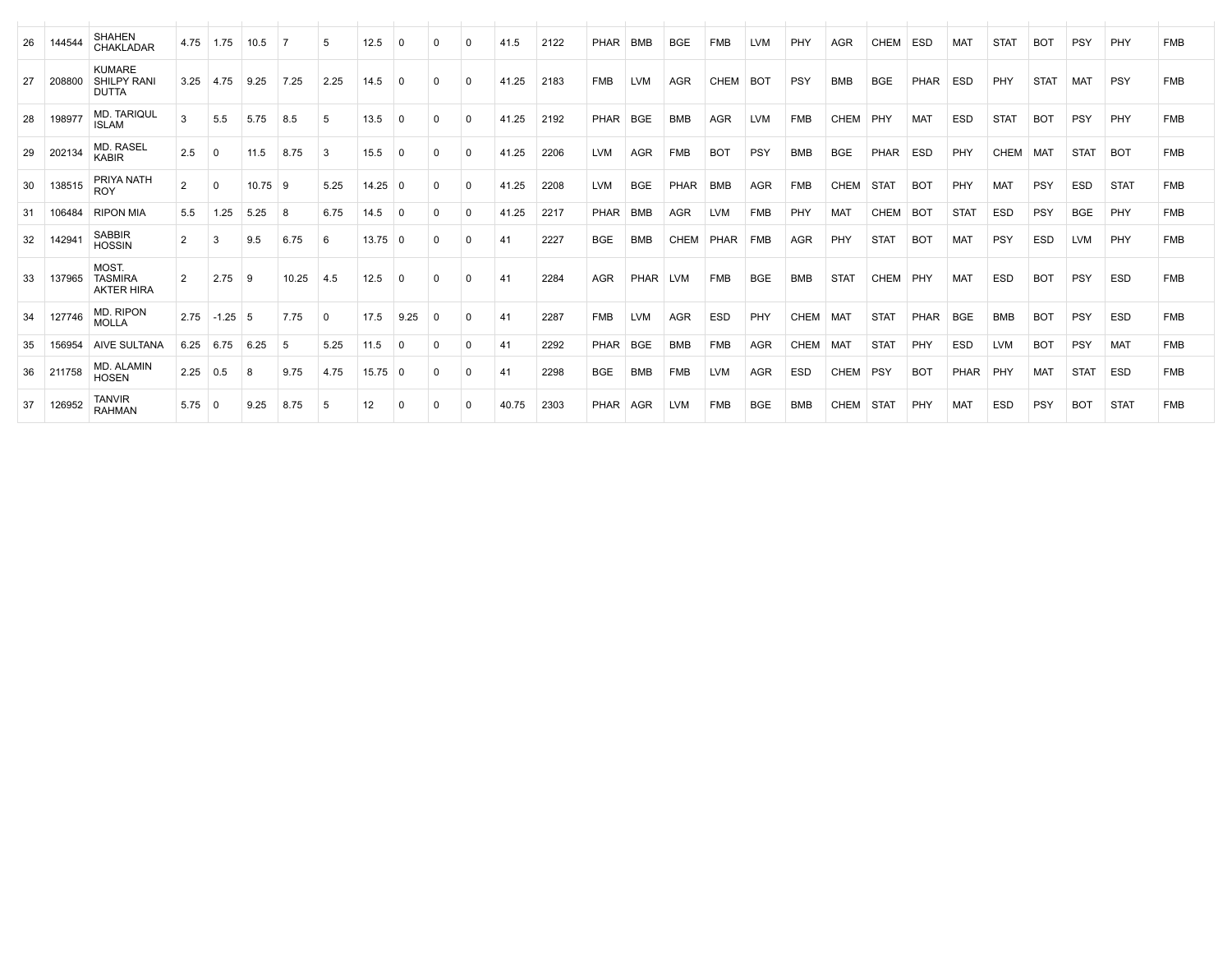| 26 | 144544 | <b>SHAHEN</b><br>CHAKLADAR                          |                | $4.75$ 1.75       | 10.5  | $\overline{7}$ | 5        | 12.5  | $\Omega$ | $\Omega$ | $\Omega$    | 41.5  | 2122 | PHAR        | <b>BMB</b> | <b>BGE</b> | <b>FMB</b>  | <b>LVM</b> | PHY         | <b>AGR</b>      | <b>CHEM</b> | <b>ESD</b> | <b>MAT</b>  | <b>STAT</b> | <b>BOT</b>  | <b>PSY</b>  | PHY         | <b>FMB</b> |
|----|--------|-----------------------------------------------------|----------------|-------------------|-------|----------------|----------|-------|----------|----------|-------------|-------|------|-------------|------------|------------|-------------|------------|-------------|-----------------|-------------|------------|-------------|-------------|-------------|-------------|-------------|------------|
| 27 | 20880  | <b>KUMARE</b><br><b>SHILPY RANI</b><br><b>DUTTA</b> |                | $3.25$ 4.75       | 9.25  | 7.25           | 2.25     | 14.5  | $\Omega$ | $\Omega$ | $\Omega$    | 41.25 | 2183 | <b>FMB</b>  | <b>LVM</b> | <b>AGR</b> | <b>CHEM</b> | <b>BOT</b> | PSY         | <b>BMB</b>      | <b>BGE</b>  | PHAR       | <b>ESD</b>  | PHY         | <b>STAT</b> | <b>MAT</b>  | PSY         | <b>FMB</b> |
| 28 | 198977 | <b>MD. TARIQUL</b><br><b>ISLAM</b>                  | 3              | 5.5               | 5.75  | 8.5            | 5        | 13.5  | $\Omega$ | 0        | $\mathbf 0$ | 41.25 | 2192 | PHAR        | <b>BGE</b> | <b>BMB</b> | <b>AGR</b>  | <b>LVM</b> | <b>FMB</b>  | <b>CHEM</b>     | PHY         | <b>MAT</b> | <b>ESD</b>  | <b>STAT</b> | <b>BOT</b>  | PSY         | PHY         | <b>FMB</b> |
| 29 | 202134 | <b>MD. RASEL</b><br>KABIR                           | 2.5            | $\Omega$          | 11.5  | 8.75           | 3        | 15.5  | $\Omega$ | 0        | $\mathbf 0$ | 41.25 | 2206 | <b>LVM</b>  | <b>AGR</b> | <b>FMB</b> | <b>BOT</b>  | PSY        | <b>BMB</b>  | <b>BGE</b>      | <b>PHAR</b> | <b>ESD</b> | PHY         | <b>CHEM</b> | MAT         | <b>STAT</b> | <b>BOT</b>  | <b>FMB</b> |
| 30 | 138515 | PRIYA NATH<br><b>ROY</b>                            | $\overline{2}$ | $\Omega$          | 10.75 | -9             | 5.25     | 14.25 | - 0      | 0        | $\mathbf 0$ | 41.25 | 2208 | <b>LVM</b>  | <b>BGE</b> | PHAR       | <b>BMB</b>  | <b>AGR</b> | <b>FMB</b>  | <b>CHEM</b>     | <b>STAT</b> | <b>BOT</b> | PHY         | <b>MAT</b>  | PSY         | <b>ESD</b>  | <b>STAT</b> | <b>FMB</b> |
| 31 | 106484 | <b>RIPON MIA</b>                                    | 5.5            | 1.25              | 5.25  | 8              | 6.75     | 14.5  | $\Omega$ | $\Omega$ | $\mathbf 0$ | 41.25 | 2217 | <b>PHAR</b> | <b>BMB</b> | <b>AGR</b> | <b>LVM</b>  | <b>FMB</b> | PHY         | <b>MAT</b>      | <b>CHEM</b> | <b>BOT</b> | <b>STAT</b> | <b>ESD</b>  | PSY         | <b>BGE</b>  | PHY         | <b>FMB</b> |
| 32 | 14294  | <b>SABBIR</b><br><b>HOSSIN</b>                      | $\overline{2}$ | 3                 | 9.5   | 6.75           | 6        | 13.75 | $\Omega$ | 0        | $\Omega$    | 41    | 2227 | <b>BGE</b>  | <b>BMB</b> | CHEM       | <b>PHAR</b> | <b>FMB</b> | <b>AGR</b>  | PHY             | <b>STAT</b> | <b>BOT</b> | <b>MAT</b>  | PSY         | <b>ESD</b>  | <b>LVM</b>  | PHY         | <b>FMB</b> |
| 33 | 137965 | MOST.<br><b>TASMIRA</b><br><b>AKTER HIRA</b>        | 2              | 2.75              | -9    | 10.25          | 4.5      | 12.5  | $\Omega$ | $\Omega$ | $\Omega$    | 41    | 2284 | <b>AGR</b>  | PHAR       | <b>LVM</b> | <b>FMB</b>  | <b>BGE</b> | <b>BMB</b>  | <b>STAT</b>     | <b>CHEM</b> | PHY        | <b>MAT</b>  | <b>ESD</b>  | <b>BOT</b>  | <b>PSY</b>  | <b>ESD</b>  | <b>FMB</b> |
| 34 | 127746 | MD. RIPON<br><b>MOLLA</b>                           | 2.75           | $-1.25$ 5         |       | 7.75           | $\Omega$ | 17.5  | 9.25     | $\Omega$ | $\Omega$    | 41    | 2287 | <b>FMB</b>  | <b>LVM</b> | <b>AGR</b> | <b>ESD</b>  | PHY        | <b>CHEM</b> | <b>MAT</b>      | <b>STAT</b> | PHAR       | <b>BGE</b>  | <b>BMB</b>  | <b>BOT</b>  | PSY         | <b>ESD</b>  | <b>FMB</b> |
| 35 | 156954 | <b>AIVE SULTANA</b>                                 |                | $6.25 \quad 6.75$ | 6.25  | 5              | 5.25     | 11.5  | $\Omega$ | 0        | $\Omega$    | 41    | 2292 | PHAR        | <b>BGE</b> | <b>BMB</b> | <b>FMB</b>  | <b>AGR</b> | <b>CHEM</b> | MA <sub>1</sub> | <b>STAT</b> | PHY        | <b>ESD</b>  | <b>LVM</b>  | <b>BOT</b>  | PSY         | <b>MAT</b>  | <b>FMB</b> |
| 36 | 211758 | MD. ALAMIN<br><b>HOSEN</b>                          | 2.25           | 0.5               | 8     | 9.75           | 4.75     | 15.75 |          | 0        | $\Omega$    | 41    | 2298 | <b>BGE</b>  | <b>BMB</b> | <b>FMB</b> | <b>LVM</b>  | <b>AGR</b> | <b>ESD</b>  | <b>CHEM</b>     | PSY         | <b>BOT</b> | PHAR        | PHY         | <b>MAT</b>  | <b>STAT</b> | <b>ESD</b>  | <b>FMB</b> |
| 37 | 126952 | <b>TANVIR</b><br><b>RAHMAN</b>                      | $5.75 \ 0$     |                   | 9.25  | 8.75           | 5        | 12    |          | $\Omega$ | $\Omega$    | 40.75 | 2303 | <b>PHAR</b> | AGR        | <b>LVM</b> | <b>FMB</b>  | <b>BGE</b> | <b>BMB</b>  | <b>CHEM</b>     | STAT        | PHY        | <b>MAT</b>  | <b>ESD</b>  | PSY         | <b>BOT</b>  | <b>STAT</b> | <b>FMB</b> |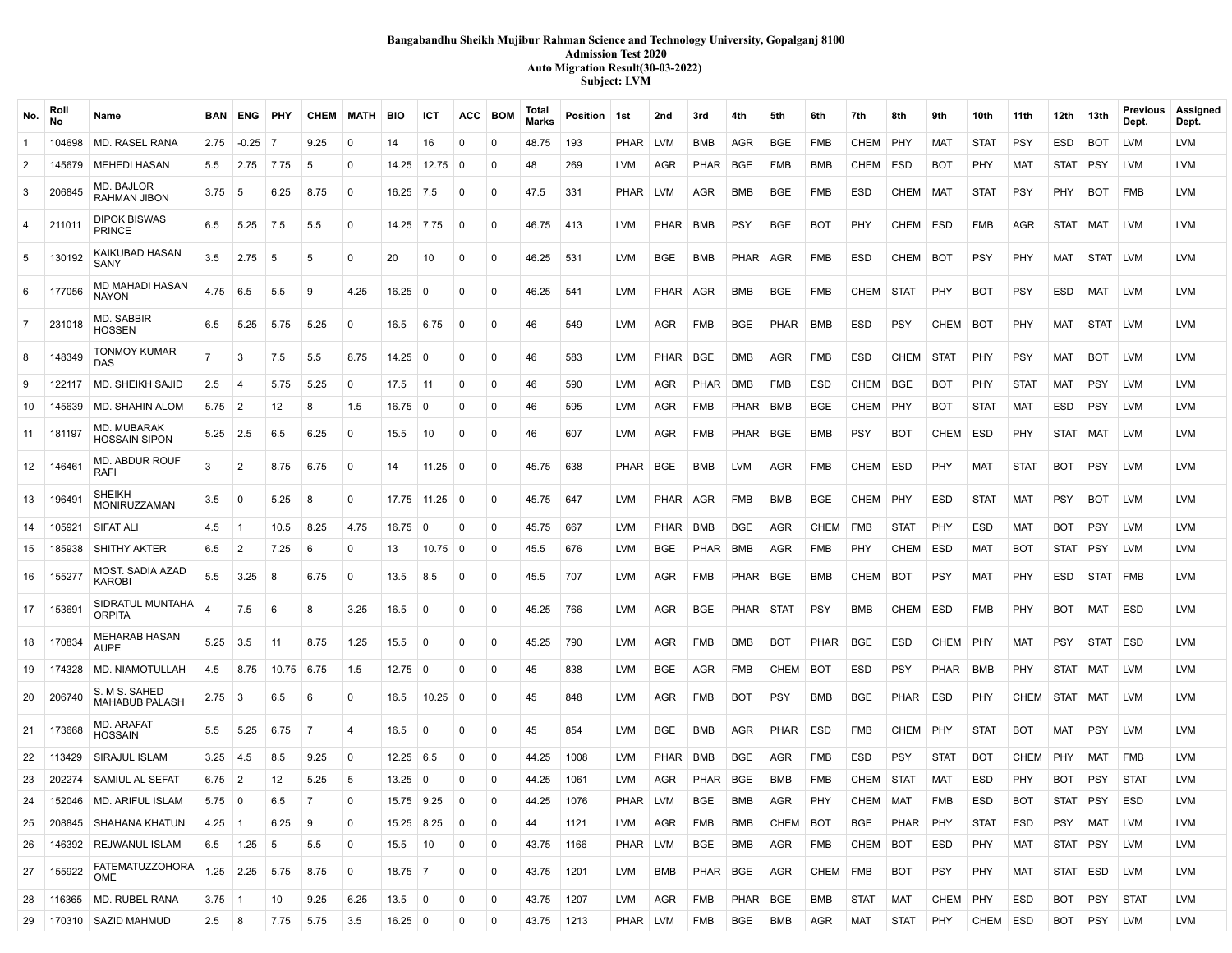### **Bangabandhu Sheikh Mujibur Rahman Science and Technology University, Gopalganj 8100 Admission Test 2020 Auto Migration Result(30-03-2022) Subject: LVM**

| No.            | Rol<br>No   | Name                                       |                  | <b>BAN ENG PHY</b> |              | <b>CHEM</b>    | MATH            | BIO                 | ICT               | ACC            | <b>BOM</b>     | Total<br>Marks | Position 1st |            | 2nd         | 3rd         | 4th         | 5th         | 6th        | 7th         | 8th         | 9th         | 10th        | 11th        | 12th       | 13th        | Previous<br>Dept. | Assigned<br>Dept. |
|----------------|-------------|--------------------------------------------|------------------|--------------------|--------------|----------------|-----------------|---------------------|-------------------|----------------|----------------|----------------|--------------|------------|-------------|-------------|-------------|-------------|------------|-------------|-------------|-------------|-------------|-------------|------------|-------------|-------------------|-------------------|
| -1             | 104698      | <b>MD. RASEL RANA</b>                      | 2.75             | -0.25              | - 7          | 9.25           | 0               | 14                  | 16                | 0              | $\mathbf 0$    | 48.75          | 193          | PHAR       | LVM         | BMB         | AGR         | <b>BGE</b>  | <b>FMB</b> | CHEM        | PHY         | <b>MAT</b>  | <b>STAT</b> | PSY         | ESD        | <b>BOT</b>  | LVM               | LVM               |
| 2              | 145679      | <b>MEHEDI HASAN</b>                        | 5.5              | 2.75               | 7.75         | 5              | $\Omega$        | 14.25               | 12.75             | <b>0</b>       | $\mathbf 0$    | 48             | 269          | LVM        | AGR         | PHAR        | <b>BGE</b>  | <b>FMB</b>  | BMB        | CHEM        | <b>ESD</b>  | BOT         | PHY         | MAT         | STAT PSY   |             | LVM               | LVM               |
| 3              | 206845      | MD. BAJLOR<br>RAHMAN JIBON                 | 3.75             | 5                  | 6.25         | 8.75           | 0               | $16.25$ 7.5         |                   | $\mathbf 0$    | $\mathbf 0$    | 47.5           | 331          | PHAR LVM   |             | AGR         | BMB         | <b>BGE</b>  | FMB        | ESD         | CHEM        | MAT         | <b>STAT</b> | <b>PSY</b>  | <b>PHY</b> | <b>BOT</b>  | <b>FMB</b>        | LVM               |
| 4              | 211011      | <b>DIPOK BISWAS</b><br><b>PRINCE</b>       | 6.5              | 5.25               | 7.5          | 5.5            | $\Omega$        | 14.25 7.75          |                   | $\mathbf 0$    | $\mathbf 0$    | 46.75          | 413          | <b>LVM</b> | <b>PHAR</b> | <b>BMB</b>  | <b>PSY</b>  | <b>BGE</b>  | <b>BOT</b> | PHY         | CHEM        | ESD         | <b>FMB</b>  | AGR         | STAT MAT   |             | LVM               | LVM               |
| 5              | 130192      | KAIKUBAD HASAN<br>SANY                     | 3.5              | 2.75               | <b>5</b>     | 5              | $\Omega$        | 20                  | 10                | $\mathbf 0$    | $\mathbf 0$    | 46.25          | 531          | <b>LVM</b> | BGE         | <b>BMB</b>  | PHAR I      | AGR         | <b>FMB</b> | <b>ESD</b>  | CHEM        | <b>BOT</b>  | <b>PSY</b>  | <b>PHY</b>  | MAT        | <b>STAT</b> | <b>LVM</b>        | LVM               |
| 6              | 177056      | <b>MD MAHADI HASAN</b><br>NAYON            | 4.75             | 6.5                | 5.5          | 9              | 4.25            | 16.25               | $\Omega$          | $\Omega$       | $\mathbf 0$    | 46.25          | 541          | <b>LVM</b> | <b>PHAR</b> | AGR         | BMB         | <b>BGE</b>  | <b>FMB</b> | CHEM        | STAT        | PHY         | <b>BOT</b>  | <b>PSY</b>  | ESD        | MAT         | LVM               | LVM               |
| $\overline{7}$ | 231018      | MD. SABBIR<br>HOSSEN                       | 6.5              | 5.25               | 5.75         | 5.25           | $\Omega$        | 16.5                | 6.75              | $\mathbf 0$    | $\mathbf 0$    | 46             | 549          | <b>LVM</b> | AGR         | <b>FMB</b>  | BGE         | <b>PHAR</b> | BMB        | ESD         | <b>PSY</b>  | CHEM        | <b>BOT</b>  | <b>PHY</b>  | MAT        | STAT LVM    |                   | LVM               |
| 8              | 148349      | TONMOY KUMAR<br>DAS                        |                  | 3                  | 7.5          | 5.5            | 8.75            | 14.25               | 0                 | $\Omega$       | $\Omega$       | 46             | 583          | <b>LVM</b> | PHAR        | BGE         | BMB         | AGR         | FMB        | <b>ESD</b>  | CHEM        | <b>STAT</b> | PHY         | <b>PSY</b>  | MAT        | <b>BOT</b>  | LVM               | LVM               |
| 9              | 122117      | <b>MD. SHEIKH SAJID</b>                    | 2.5              | 4                  | 5.75         | 5.25           | $\Omega$        | 17.5                | 11                | 0              | $\mathbf 0$    | 46             | 590          | <b>LVM</b> | AGR         | <b>PHAR</b> | <b>BMB</b>  | <b>FMB</b>  | <b>ESD</b> | CHEM        | <b>BGE</b>  | <b>BOT</b>  | PHY         | <b>STAT</b> | <b>MAT</b> | <b>PSY</b>  | LVM               | LVM               |
| 10             | 145639      | MD. SHAHIN ALOM                            | $5.75$ 2         |                    | 12           | 8              | 1.5             | 16.75               | $\mathbf 0$       | $\Omega$       | $\Omega$       | 46             | 595          | <b>LVM</b> | AGR         | FMB         | <b>PHAR</b> | BMB         | <b>BGE</b> | CHEM        | PHY         | BOT         | <b>STAT</b> | MAT         | ESD        | <b>PSY</b>  | LVM               | LVM               |
| 11             | 181197      | <b>MD. MUBARAK</b><br><b>HOSSAIN SIPON</b> | 5.25             | 2.5                | 6.5          | 6.25           | 0               | 15.5                | 10                | $\mathbf 0$    | $\Omega$       | 46             | 607          | LVM        | AGR         | <b>FMB</b>  | PHAR I      | BGE         | BMB        | <b>PSY</b>  | BOT         | CHEM        | ESD         | <b>PHY</b>  | STAT MAT   |             | LVM               | LVM               |
|                | 12   146461 | <b>MD. ABDUR ROUF</b><br>RAFI              | 3                | 2                  | 8.75         | 6.75           | 0               | 14                  | $11.25 \pm 0$     |                | $\mathbf 0$    | 45.75          | 638          | PHAR       | BGE         | BMB         | LVM         | AGR         | <b>FMB</b> | CHEM        | ESD         | <b>PHY</b>  | MAT         | <b>STAT</b> | BOT        | <b>PSY</b>  | LVM               | LVM               |
| 13             | 196491      | <b>SHEIKH</b><br><b>MONIRUZZAMAN</b>       | 3.5              | 0                  | 5.25         | 8              | 0               |                     | $17.75$ 11.25 0   |                | $\mathbf 0$    | 45.75          | 647          | <b>LVM</b> | PHAR        | AGR         | FMB         | <b>BMB</b>  | <b>BGE</b> | CHEM        | PHY         | <b>ESD</b>  | <b>STAT</b> | MAT         | <b>PSY</b> | BOT         | LVM               | LVM               |
| 14             | 105921      | <b>SIFAT ALI</b>                           | 4.5              | -1                 | 10.5         | 8.25           | 4.75            | 16.75               | $\mathbf 0$       | $\mathbf 0$    | $\mathbf 0$    | 45.75          | 667          | <b>LVM</b> | <b>PHAR</b> | BMB         | <b>BGE</b>  | AGR         | CHEM       | <b>FMB</b>  | <b>STAT</b> | PHY         | <b>ESD</b>  | MAT         | <b>BOT</b> | <b>PSY</b>  | <b>LVM</b>        | LVM               |
| 15             | 185938      | <b>SHITHY AKTER</b>                        | 6.5              | $\overline{2}$     | 7.25         | 6              | 0               | 13                  | $10.75 \,   \, 0$ |                | 0              | 45.5           | 676          | <b>LVM</b> | BGE         | PHAR        | BMB         | AGR         | FMB        | PHY         | CHEM        | ESD         | MAT         | BOT         | STAT   PSY |             | LVM               | LVM               |
| 16             | 155277      | MOST. SADIA AZAD<br>KAROBI                 | 5.5              | 3.25               | 8            | 6.75           | $\Omega$        | 13.5                | 8.5               | $\mathbf 0$    | $\mathbf 0$    | 45.5           | 707          | <b>LVM</b> | AGR         | <b>FMB</b>  | PHAR BGE    |             | BMB        | CHEM        | BOT         | <b>PSY</b>  | MAT         | <b>PHY</b>  | ESD        | STAT FMB    |                   | LVM               |
| 17             | 153691      | SIDRATUL MUNTAHA<br><b>ORPITA</b>          |                  | 7.5                | -6           | 8              | 3.25            | 16.5                | $\Omega$          | $\Omega$       | $\mathbf 0$    | 45.25          | 766          | <b>LVM</b> | AGR         | BGE         | PHAR STAT   |             | <b>PSY</b> | <b>BMB</b>  | CHEM        | <b>ESD</b>  | <b>FMB</b>  | <b>PHY</b>  | BOT        | MAT         | ESD               | LVM               |
| 18             | 170834      | <b>MEHARAB HASAN</b><br><b>AUPE</b>        | 5.25             | 3.5                | 11           | 8.75           | 1.25            | 15.5                | $\Omega$          | $\mathbf 0$    | $\mathbf 0$    | 45.25          | 790          | <b>LVM</b> | AGR         | <b>FMB</b>  | <b>BMB</b>  | <b>BOT</b>  | PHAR       | <b>BGE</b>  | <b>ESD</b>  | CHEM        | PHY         | <b>MAT</b>  | <b>PSY</b> | STAT   ESD  |                   | <b>LVM</b>        |
| 19             | 174328      | MD. NIAMOTULLAH                            | 4.5              | 8.75               | $10.75$ 6.75 |                | 1.5             | $12.75 \,   \, 0$   |                   | $\Omega$       | $\mathbf 0$    | 45             | 838          | <b>LVM</b> | <b>BGE</b>  | AGR         | FMB         | CHEM        | <b>BOT</b> | <b>ESD</b>  | <b>PSY</b>  | <b>PHAR</b> | BMB         | <b>PHY</b>  | STAT   MAT |             | LVM               | LVM               |
| 20             | 206740      | S. M S. SAHED<br><b>MAHABUB PALASH</b>     | $2.75 \,   \, 3$ |                    | 6.5          | -6             | $\mathbf{0}$    | 16.5                | 10.25             | $\overline{0}$ | $\mathbf 0$    | 45             | 848          | <b>LVM</b> | AGR         | <b>FMB</b>  | BOT         | <b>PSY</b>  | BMB        | <b>BGE</b>  | <b>PHAR</b> | <b>ESD</b>  | PHY         | CHEM        | STAT MAT   |             | LVM               | LVM               |
| 21             | 173668      | <b>MD. ARAFAT</b><br><b>HOSSAIN</b>        | 5.5              | 5.25               | 6.75         | 7              | $\overline{4}$  | 16.5                | $\Omega$          | $\Omega$       | $\Omega$       | 45             | 854          | <b>LVM</b> | BGE         | BMB         | AGR         | <b>PHAR</b> | ESD        | FMB         | CHEM        | PHY         | STAT        | <b>BOT</b>  | MAT        | PSY         | LVM               | LVM               |
| 22             | 113429      | SIRAJUL ISLAM                              | 3.25             | 4.5                | 8.5          | 9.25           | $\mathbf 0$     | $12.25 \;   \; 6.5$ |                   | $\mathbf 0$    | $\mathbf 0$    | 44.25          | 1008         | <b>LVM</b> | <b>PHAR</b> | <b>BMB</b>  | BGE         | AGR         | <b>FMB</b> | <b>ESD</b>  | PSY         | <b>STAT</b> | <b>BOT</b>  | CHEM        | PHY        | <b>MAT</b>  | <b>FMB</b>        | LVM               |
|                | 23 202274   | SAMIUL AL SEFAT                            | $6.75$ 2         |                    | 12           | 5.25           | 5               | $13.25 \,   \, 0$   |                   | $\Omega$       | $\mathbf 0$    | 44.25          | 1061         | LVM        | AGR         | PHAR   BGE  |             | BMB         | FMB        | CHEM STAT   |             | MAT         | ESD         | <b>PHY</b>  | BOT        | <b>PSY</b>  | <b>STAT</b>       | LVM               |
|                |             | 24   152046   MD. ARIFUL ISLAM             | $5.75 \ 0$       |                    | 6.5          | $\overline{z}$ | $\vert 0 \vert$ |                     | 15.75 9.25 0      |                | $\overline{0}$ | 44.25 1076     |              | PHAR LVM   |             | BGE         | BMB         | AGR         | <b>PHY</b> | CHEM MAT    |             | FMB         | ESD         | <b>BOT</b>  |            | STAT PSY    | ESD               | <b>LVM</b>        |
| 25             | 208845      | <b>SHAHANA KHATUN</b>                      | $4.25$ 1         |                    | 6.25         | ∣9             | 0               | 15.25 8.25          |                   | $\overline{0}$ | 0              | 44             | 1121         | LVM        | AGR         | FMB         | BMB         | CHEM        | <b>BOT</b> | <b>BGE</b>  | PHAR        | PHY         | <b>STAT</b> | ESD         | PSY        | MAT         | LVM               | LVM               |
| 26             | 146392      | REJWANUL ISLAM                             |                  | $6.5$   1.25   5   |              | 5.5            | 0               | 15.5                | 10                | $\mathbf 0$    | 0              | 43.75          | 1166         | PHAR   LVM |             | BGE         | BMB         | AGR         | FMB        | CHEM   BOT  |             | ESD         | PHY         | MAT         | STAT PSY   |             | LVM               | LVM               |
| 27             | 155922      | <b>FATEMATUZZOHORA</b><br><b>OME</b>       |                  | $1.25$ 2.25 5.75   |              | 8.75           | 0               | $18.75$ 7           |                   | $\mathbf 0$    | 0              | 43.75          | 1201         | LVM        | BMB         | PHAR BGE    |             | AGR         | CHEM FMB   |             | BOT         | <b>PSY</b>  | PHY         | MAT         | STAT ESD   |             | LVM               | LVM               |
| 28             | 116365      | MD. RUBEL RANA                             | $3.75$ 1         |                    | 10           | 9.25           | 6.25            | 13.5                | 0                 | $\mathbf 0$    | $\mathbf 0$    | 43.75          | 1207         | <b>LVM</b> | AGR         | <b>FMB</b>  | PHAR   BGE  |             | <b>BMB</b> | <b>STAT</b> | MAT         | CHEM        | PHY         | ESD         | BOT        | PSY         | <b>STAT</b>       | LVM               |
| 29             |             | 170310   SAZID MAHMUD                      | $2.5 \t   8$     |                    | 7.75         | 5.75           | 3.5             | $16.25 \ 0$         |                   | $\mathbf 0$    | 0              | 43.75   1213   |              | PHAR   LVM |             | <b>FMB</b>  | BGE         | BMB         | AGR        | MAT         | <b>STAT</b> | PHY         | CHEM ESD    |             | BOT PSY    |             | LVM               | LVM               |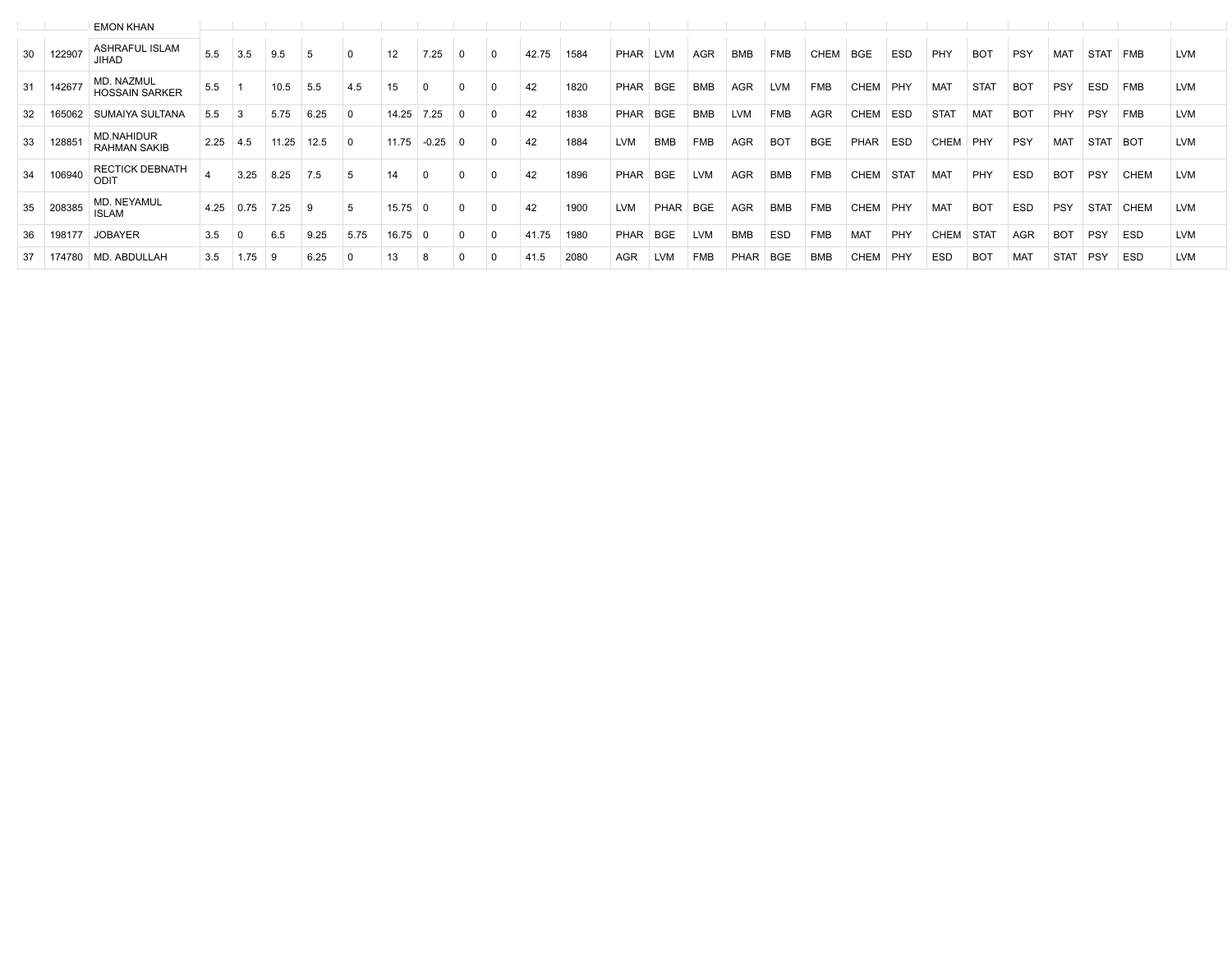|    |        | <b>EMON KHAN</b>                         |      |      |       |      |             |       |         |          |       |      |             |            |            |             |                |            |             |             |             |             |            |             |             |            |            |
|----|--------|------------------------------------------|------|------|-------|------|-------------|-------|---------|----------|-------|------|-------------|------------|------------|-------------|----------------|------------|-------------|-------------|-------------|-------------|------------|-------------|-------------|------------|------------|
| 30 | 122907 | <b>ASHRAFUL ISLAM</b><br>JIHAD           | 5.5  | 3.5  | 9.5   |      |             |       | 7.25    |          | 42.75 | 1584 | <b>PHAR</b> | <b>LVM</b> | <b>AGR</b> | <b>BMB</b>  | <b>FMB</b>     | CHEM       | <b>BGE</b>  | <b>ESD</b>  | PHY         | <b>BOT</b>  | PSY        | MAT         | <b>STAT</b> | <b>FMB</b> | <b>LVM</b> |
| 31 | 142677 | MD. NAZMUL<br><b>HOSSAIN SARKER</b>      | 5.5  |      | 10.5  | 5.5  | 4.5         | 15    |         | $\Omega$ | 42    | 1820 | <b>PHAR</b> | <b>BGE</b> | <b>BMB</b> | <b>AGR</b>  | <b>LVM</b>     | <b>FMB</b> | <b>CHEM</b> | PHY         | <b>MAT</b>  | <b>STAT</b> | <b>BOT</b> | <b>PSY</b>  | <b>ESD</b>  | <b>FMB</b> | <b>LVM</b> |
| 32 | 165062 | SUMAIYA SULTANA                          | 5.5  |      | 5.75  | 6.25 | $^{\circ}$  | 14.25 | 7.25    | $\Omega$ | 42    | 1838 | PHAR        | <b>BGE</b> | <b>BMB</b> | <b>LVM</b>  | <b>FMB</b>     | <b>AGR</b> | <b>CHEM</b> | <b>ESD</b>  | <b>STAT</b> | <b>MAT</b>  | <b>BOT</b> | PHY         | <b>PSY</b>  | <b>FMB</b> | <b>LVM</b> |
| 33 | 12885  | <b>MD.NAHIDUR</b><br><b>RAHMAN SAKIB</b> | 2.25 | 4.5  | 11.25 | 12.5 | $\Omega$    | 11.75 | $-0.25$ |          | 42    | 1884 | <b>LVM</b>  | BMB        | <b>FMB</b> | <b>AGR</b>  | B <sub>O</sub> | <b>BGE</b> | PHAR        | <b>ESD</b>  | <b>CHEM</b> | PHY         | PSY        | MAT         | <b>STAT</b> | <b>BOT</b> | <b>LVM</b> |
| 34 | 106940 | <b>RECTICK DEBNATH</b><br>ODIT           |      | 3.25 | 8.25  | 7.5  | 5           |       |         |          | 42    | 1896 | PHAR        | <b>BGE</b> | <b>LVM</b> | AGR         | <b>BMB</b>     | <b>FMB</b> | CHEM        | <b>STAT</b> | MAT         | PHY         | ESD        | <b>BOT</b>  | <b>PSY</b>  | CHEM       | <b>LVM</b> |
| 35 | 208385 | MD. NEYAMUL<br><b>ISLAM</b>              | 4.25 | 0.75 | 7.25  | 9    | 5           | 15.75 |         |          | 42    | 1900 | <b>LVM</b>  | PHAR       | <b>BGE</b> | <b>AGR</b>  | <b>BMB</b>     | <b>FMB</b> | <b>CHEM</b> | PHY         | MAT         | <b>BOT</b>  | <b>ESD</b> | <b>PSY</b>  | <b>STAT</b> | CHEM       | <b>LVM</b> |
| 36 | 198177 | <b>JOBAYER</b>                           | 3.5  |      | 6.5   | 9.25 | 5.75        | 16.75 |         |          | 41.75 | 1980 | PHAR        | <b>BGE</b> | <b>LVM</b> | <b>BMB</b>  | <b>ESD</b>     | <b>FMB</b> | <b>MAT</b>  | PHY         | <b>CHEM</b> | <b>STAT</b> | <b>AGR</b> | <b>BOT</b>  | <b>PSY</b>  | ESD        | <b>LVM</b> |
| 37 | 174780 | MD. ABDULLAH                             | 3.5  | 1.75 | 9     | 6.25 | $\mathbf 0$ | 13    |         |          | 41.5  | 2080 | <b>AGR</b>  | <b>LVM</b> | <b>FMB</b> | <b>PHAR</b> | <b>BGE</b>     | <b>BMB</b> | <b>CHEM</b> | PHY         | <b>ESD</b>  | <b>BOT</b>  | <b>MAT</b> | <b>STAT</b> | PSY         | <b>ESD</b> | <b>LVM</b> |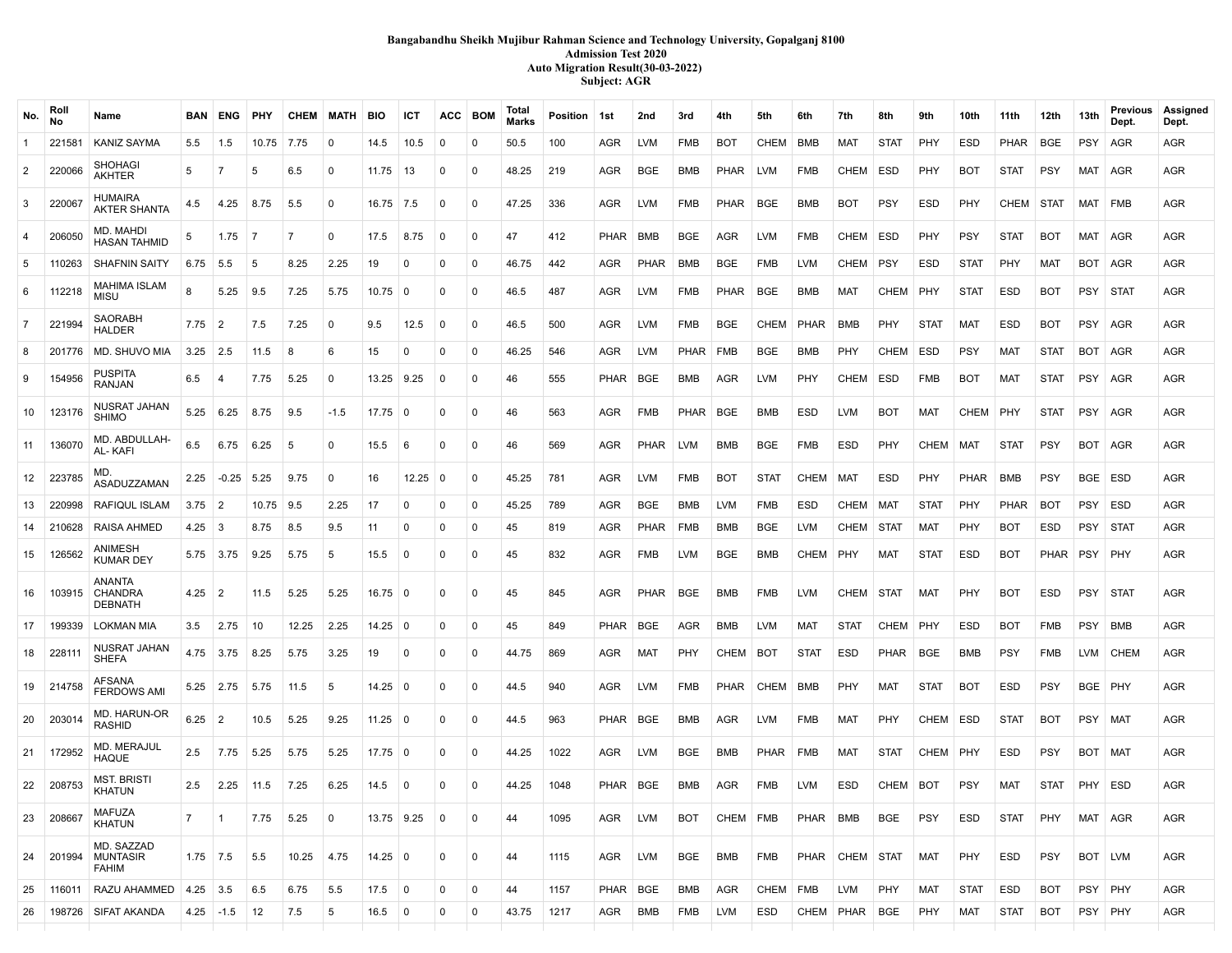### **Bangabandhu Sheikh Mujibur Rahman Science and Technology University, Gopalganj 8100 Admission Test 2020 Auto Migration Result(30-03-2022) Subject: AGR**

| No.            | Roll<br>No | Name                                       | BAN I       | ENG            | PHY   | <b>CHEM MATH</b> |              | BIO            | ICT            | ACC         | <b>BOM</b>  | Total<br><b>Marks</b> | Position   1st |             | 2nd         | 3rd         | 4th         | 5th         | 6th         | 7th         | 8th         | 9th         | 10th        | 11th        | 12th        | 13th       | Previous<br>Dept. | Assigned<br>Dept. |
|----------------|------------|--------------------------------------------|-------------|----------------|-------|------------------|--------------|----------------|----------------|-------------|-------------|-----------------------|----------------|-------------|-------------|-------------|-------------|-------------|-------------|-------------|-------------|-------------|-------------|-------------|-------------|------------|-------------------|-------------------|
| $\mathbf{1}$   | 221581     | <b>KANIZ SAYMA</b>                         | 5.5         | 1.5            | 10.75 | 7.75             | 0            | 14.5           | 10.5           | 0           | 0           | 50.5                  | 100            | AGR         | <b>LVM</b>  | <b>FMB</b>  | <b>BOT</b>  | CHEM        | BMB         | MAT         | <b>STAT</b> | PHY         | <b>ESD</b>  | <b>PHAR</b> | <b>BGE</b>  | <b>PSY</b> | AGR               | <b>AGR</b>        |
| $\overline{2}$ | 220066     | <b>SHOHAGI</b><br><b>AKHTER</b>            | 5           |                | 5     | 6.5              | 0            | 11.75          | 13             | 0           | $\Omega$    | 48.25                 | 219            | AGR         | <b>BGE</b>  | <b>BMB</b>  | <b>PHAR</b> | <b>LVM</b>  | <b>FMB</b>  | <b>CHEM</b> | ESD         | PHY         | <b>BOT</b>  | <b>STAT</b> | <b>PSY</b>  | MAT        | AGR               | AGR               |
| 3              | 220067     | HUMAIRA<br><b>AKTER SHANTA</b>             | 4.5         | 4.25           | 8.75  | 5.5              | $\mathbf{0}$ | $16.75$ 7.5    |                | $\Omega$    | $\Omega$    | 47.25                 | 336            | AGR         | <b>LVM</b>  | <b>FMB</b>  | <b>PHAR</b> | <b>BGE</b>  | <b>BMB</b>  | <b>BOT</b>  | <b>PSY</b>  | ESD         | PHY         | CHEM        | STAT        | MAT FMB    |                   | <b>AGR</b>        |
| $\overline{4}$ | 206050     | MD. MAHDI<br><b>HASAN TAHMID</b>           | -5          | 1.75           | - 7   | $\overline{7}$   | $\mathbf{0}$ | 17.5           | 8.75           | $\Omega$    | $\Omega$    | 47                    | 412            | <b>PHAR</b> | <b>BMB</b>  | <b>BGE</b>  | <b>AGR</b>  | <b>LVM</b>  | <b>FMB</b>  | CHEM        | <b>ESD</b>  | PHY         | <b>PSY</b>  | <b>STAT</b> | <b>BOT</b>  | MAT        | AGR               | <b>AGR</b>        |
| 5              | 110263     | <b>SHAFNIN SAITY</b>                       | 6.75        | 5.5            | -5    | 8.25             | 2.25         | 19             | $\mathbf 0$    | 0           | $\mathbf 0$ | 46.75                 | 442            | AGR         | PHAR        | BMB         | BGE         | <b>FMB</b>  | <b>LVM</b>  | CHEM        | <b>PSY</b>  | ESD         | <b>STAT</b> | PHY         | <b>MAT</b>  | BOT AGR    |                   | AGR               |
| 6              | 112218     | <b>MAHIMA ISLAM</b><br>MISU                | 8           | 5.25           | 9.5   | 7.25             | 5.75         | 10.75          | 0              | $\Omega$    | $\Omega$    | 46.5                  | 487            | AGR         | <b>LVM</b>  | FMB         | PHAR        | BGE         | BMB         | MAT         | <b>CHEM</b> | PHY         | <b>STAT</b> | ESD         | <b>BOT</b>  | PSY        | <b>STAT</b>       | AGR               |
| $\overline{7}$ | 221994     | SAORABH<br><b>HALDER</b>                   | 7.75        | 2              | 7.5   | 7.25             | $\Omega$     | 9.5            | 12.5           | $\Omega$    | $\Omega$    | 46.5                  | 500            | AGR         | <b>LVM</b>  | <b>FMB</b>  | <b>BGE</b>  | <b>CHEM</b> | <b>PHAR</b> | BMB         | PHY         | <b>STAT</b> | <b>MAT</b>  | ESD         | <b>BOT</b>  | PSY   AGR  |                   | <b>AGR</b>        |
| 8              | 201776     | MD. SHUVO MIA                              | 3.25        | 2.5            | 11.5  | 8                | 6            | 15             | $\Omega$       | $\Omega$    | $\Omega$    | 46.25                 | 546            | AGR         | <b>LVM</b>  | <b>PHAR</b> | <b>FMB</b>  | BGE         | <b>BMB</b>  | PHY         | <b>CHEM</b> | ESD         | PSY         | MAT         | <b>STAT</b> | BOT        | AGR               | AGR               |
| 9              | 154956     | PUSPITA<br><b>RANJAN</b>                   | 6.5         | -4             | 7.75  | 5.25             | 0            | 13.25          | 9.25           | 0           | $\Omega$    | 46                    | 555            | PHAR        | <b>BGE</b>  | <b>BMB</b>  | AGR         | <b>LVM</b>  | PHY         | <b>CHEM</b> | ESD         | FMB         | <b>BOT</b>  | MAT         | <b>STAT</b> | PSY        | AGR               | <b>AGR</b>        |
| 10             | 123176     | NUSRAT JAHAN<br><b>SHIMO</b>               | 5.25        | 6.25           | 8.75  | 9.5              | $-1.5$       | 17.75          | 0              | $\Omega$    | $\Omega$    | 46                    | 563            | AGR         | <b>FMB</b>  | <b>PHAR</b> | <b>BGE</b>  | <b>BMB</b>  | <b>ESD</b>  | <b>LVM</b>  | <b>BOT</b>  | MAT         | <b>CHEM</b> | PHY         | <b>STAT</b> | <b>PSY</b> | AGR               | <b>AGR</b>        |
| 11             | 136070     | MD. ABDULLAH-<br>AL-KAFI                   | 6.5         | 6.75           | 6.25  | 5                | $\Omega$     | 15.5           | -6             | $\Omega$    | $\Omega$    | 46                    | 569            | AGR         | <b>PHAR</b> | LVM         | <b>BMB</b>  | BGE         | <b>FMB</b>  | ESD         | PHY         | <b>CHEM</b> | MAT         | <b>STAT</b> | <b>PSY</b>  | BOT AGR    |                   | AGR               |
| 12             | 223785     | MD.<br>ASADUZZAMAN                         | 2.25        | $-0.25$        | 5.25  | 9.75             | $\Omega$     | 16             | 12.25          | 0           | $\Omega$    | 45.25                 | 781            | AGR         | <b>LVM</b>  | <b>FMB</b>  | <b>BOT</b>  | <b>STAT</b> | <b>CHEM</b> | MAT         | <b>ESD</b>  | PHY         | <b>PHAR</b> | BMB         | <b>PSY</b>  | <b>BGE</b> | ESD               | AGR               |
| 13             | 220998     | <b>RAFIQUL ISLAM</b>                       | 3.75        | - 2            | 10.75 | 9.5              | 2.25         | 17             | $\Omega$       | $\Omega$    | $\Omega$    | 45.25                 | 789            | AGR         | <b>BGE</b>  | <b>BMB</b>  | <b>LVM</b>  | <b>FMB</b>  | <b>ESD</b>  | <b>CHEM</b> | MAT         | <b>STAT</b> | PHY         | <b>PHAR</b> | <b>BOT</b>  | PSY        | <b>ESD</b>        | AGR               |
| 14             | 210628     | <b>RAISA AHMED</b>                         | 4.25        | - 3            | 8.75  | 8.5              | 9.5          | 11             | $\mathbf 0$    | 0           | 0           | 45                    | 819            | AGR         | <b>PHAR</b> | <b>FMB</b>  | <b>BMB</b>  | BGE         | <b>LVM</b>  | CHEM        | STAT        | MAT         | PHY         | <b>BOT</b>  | <b>ESD</b>  | PSY        | <b>STAT</b>       | AGR               |
| 15             | 126562     | ANIMESH<br><b>KUMAR DEY</b>                |             | $5.75$ 3.75    | 9.25  | 5.75             | 5            | 15.5           | 0              | 0           | $\Omega$    | 45                    | 832            | AGR         | <b>FMB</b>  | LVM         | <b>BGE</b>  | BMB         | CHEM        | PHY         | MAT         | <b>STAT</b> | <b>ESD</b>  | <b>BOT</b>  | PHAR        | <b>PSY</b> | PHY               | AGR               |
| 16             | 103915     | ANANTA<br><b>CHANDRA</b><br><b>DEBNATH</b> | $4.25$ 2    |                | 11.5  | 5.25             | 5.25         | $16.75$ 0      |                | 0           | 0           | 45                    | 845            | AGR         | <b>PHAR</b> | <b>BGE</b>  | BMB         | <b>FMB</b>  | <b>LVM</b>  | CHEM        | STAT        | MAT         | PHY         | <b>BOT</b>  | <b>ESD</b>  | PSY        | <b>STAT</b>       | <b>AGR</b>        |
| 17             | 199339     | <b>LOKMAN MIA</b>                          | 3.5         | 2.75           | 10    | 12.25            | 2.25         | $14.25$ 0      |                | $\Omega$    | 0           | 45                    | 849            | PHAR        | <b>BGE</b>  | AGR         | <b>BMB</b>  | <b>LVM</b>  | MAT         | <b>STAT</b> | CHEM        | PHY         | <b>ESD</b>  | <b>BOT</b>  | <b>FMB</b>  | PSY        | BMB               | <b>AGR</b>        |
| 18             | 228111     | NUSRAT JAHAN<br><b>SHEFA</b>               |             | 4.75 3.75      | 8.25  | 5.75             | 3.25         | 19             | 0              | $\Omega$    | $\Omega$    | 44.75                 | 869            | AGR         | MAT         | PHY         | CHEM        | <b>BOT</b>  | <b>STAT</b> | ESD         | PHAR        | BGE         | <b>BMB</b>  | PSY         | <b>FMB</b>  | LVM        | CHEM              | AGR               |
| 19             | 214758     | AFSANA<br><b>FERDOWS AMI</b>               | 5.25        | 2.75           | 5.75  | 11.5             | 5            | 14.25          | 0              | 0           | 0           | 44.5                  | 940            | AGR         | <b>LVM</b>  | FMB         | PHAR        | CHEM        | BMB         | PHY         | MAT         | <b>STAT</b> | BOT         | ESD         | <b>PSY</b>  | BGE   PHY  |                   | AGR               |
| 20             | 203014     | MD. HARUN-OR<br>RASHID                     | $6.25$ 2    |                | 10.5  | 5.25             | 9.25         | $11.25$ 0      |                | 0           | 0           | 44.5                  | 963            | PHAR        | <b>BGE</b>  | BMB         | AGR         | <b>LVM</b>  | <b>FMB</b>  | <b>MAT</b>  | PHY         | CHEM        | ESD         | <b>STAT</b> | <b>BOT</b>  | PSY        | MAT               | <b>AGR</b>        |
| 21             | 172952     | MD. MERAJUL<br>HAQUE                       | 2.5         | 7.75           | 5.25  | 5.75             | 5.25         | $17.75$ 0      |                | 0           | 0           | 44.25                 | 1022           | AGR         | <b>LVM</b>  | <b>BGE</b>  | <b>BMB</b>  | <b>PHAR</b> | <b>FMB</b>  | MAT         | <b>STAT</b> | <b>CHEM</b> | PHY         | ESD         | <b>PSY</b>  | BOT        | MAT               | AGR               |
| 22             | 208753     | <b>MST. BRISTI</b><br>KHATUN               | 2.5         | 2.25           | 11.5  | 7.25             | 6.25         | 14.5           | 0              | $\Omega$    | $\Omega$    | 44.25                 | 1048           | PHAR I      | <b>BGE</b>  | <b>BMB</b>  | <b>AGR</b>  | <b>FMB</b>  | <b>LVM</b>  | <b>ESD</b>  | CHEM        | BOT         | <b>PSY</b>  | MAT         | <b>STAT</b> | PHY        | ESD               | <b>AGR</b>        |
| 23             | 208667     | MAFUZA<br><b>KHATUN</b>                    | 7           | $\blacksquare$ | 7.75  | 5.25             | $\mathbf{0}$ | $13.75$ 9.25   |                | ∣ O         | $\mathbf 0$ | 44                    | 1095           | AGR         | <b>LVM</b>  | BOT         | CHEM   FMB  |             | PHAR BMB    |             | BGE         | PSY         | ESD         | STAT        | PHY         | MAT AGR    |                   | AGR               |
| 24             | 201994     | MD. SAZZAD<br>MUNTASIR<br><b>FAHIM</b>     | $1.75$ 7.5  |                | 5.5   | 10.25            | 4.75         | $14.25 \mid 0$ |                | 0           | 0           | 44                    | 1115           | AGR         | <b>LVM</b>  | BGE         | BMB         | FMB         |             | PHAR CHEM   | <b>STAT</b> | MAT         | PHY         | ESD         | <b>PSY</b>  | BOT LVM    |                   | <b>AGR</b>        |
| 25             | 116011     | RAZU AHAMMED                               | $4.25$ 3.5  |                | 6.5   | 6.75             | 5.5          | 17.5           | $\overline{0}$ | $\mathbf 0$ | 0           | 44                    | 1157           | PHAR        | <b>BGE</b>  | <b>BMB</b>  | <b>AGR</b>  | <b>CHEM</b> | <b>FMB</b>  | <b>LVM</b>  | PHY         | MAT         | <b>STAT</b> | ESD         | <b>BOT</b>  | PSY PHY    |                   | <b>AGR</b>        |
| 26             | 198726     | <b>SIFAT AKANDA</b>                        | $4.25$ -1.5 |                | 12    | 7.5              | 5            | 16.5           | $\mathbf 0$    | 0           | 0           | 43.75                 | 1217           | AGR         | BMB         | FMB         | <b>LVM</b>  | <b>ESD</b>  |             | CHEM PHAR   | <b>BGE</b>  | PHY         | <b>MAT</b>  | <b>STAT</b> | <b>BOT</b>  | PSY PHY    |                   | AGR               |
|                |            |                                            |             |                |       |                  |              |                |                |             |             |                       |                |             |             |             |             |             |             |             |             |             |             |             |             |            |                   |                   |